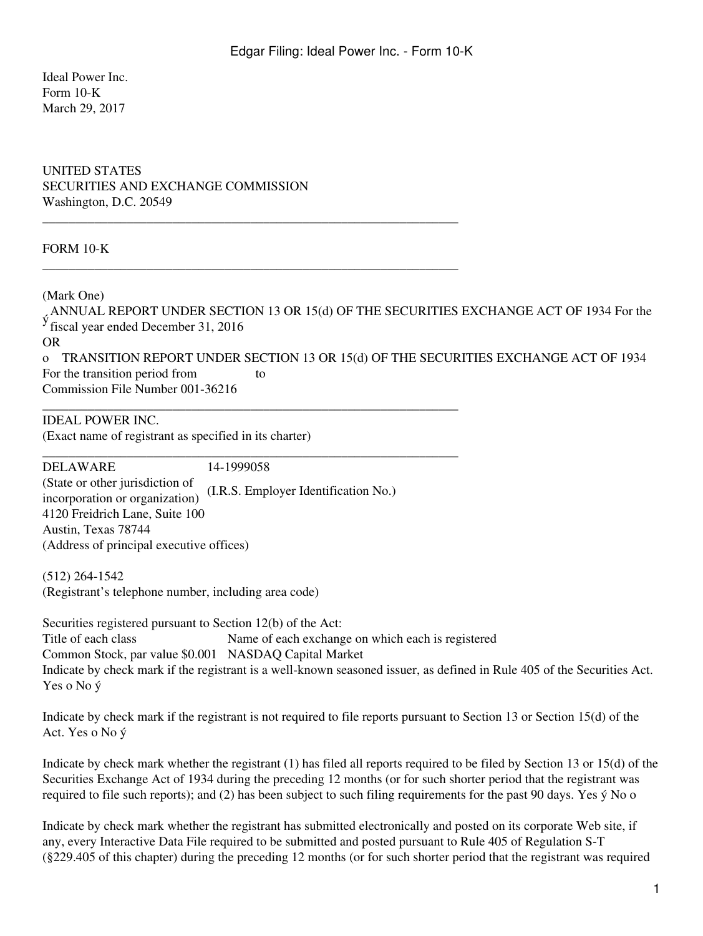Ideal Power Inc. Form 10-K March 29, 2017

UNITED STATES SECURITIES AND EXCHANGE COMMISSION Washington, D.C. 20549

\_\_\_\_\_\_\_\_\_\_\_\_\_\_\_\_\_\_\_\_\_\_\_\_\_\_\_\_\_\_\_\_\_\_\_\_\_\_\_\_\_\_\_\_\_\_\_\_\_\_\_\_\_\_\_\_\_\_\_\_\_\_\_\_

\_\_\_\_\_\_\_\_\_\_\_\_\_\_\_\_\_\_\_\_\_\_\_\_\_\_\_\_\_\_\_\_\_\_\_\_\_\_\_\_\_\_\_\_\_\_\_\_\_\_\_\_\_\_\_\_\_\_\_\_\_\_\_\_

\_\_\_\_\_\_\_\_\_\_\_\_\_\_\_\_\_\_\_\_\_\_\_\_\_\_\_\_\_\_\_\_\_\_\_\_\_\_\_\_\_\_\_\_\_\_\_\_\_\_\_\_\_\_\_\_\_\_\_\_\_\_\_\_

\_\_\_\_\_\_\_\_\_\_\_\_\_\_\_\_\_\_\_\_\_\_\_\_\_\_\_\_\_\_\_\_\_\_\_\_\_\_\_\_\_\_\_\_\_\_\_\_\_\_\_\_\_\_\_\_\_\_\_\_\_\_\_\_

#### FORM 10-K

(Mark One)

ANNUAL REPORT UNDER SECTION 13 OR 15(d) OF THE SECURITIES EXCHANGE ACT OF 1934 For the fiscal year ended December 31, 2016 OR o TRANSITION REPORT UNDER SECTION 13 OR 15(d) OF THE SECURITIES EXCHANGE ACT OF 1934 For the transition period from to Commission File Number 001-36216

IDEAL POWER INC. (Exact name of registrant as specified in its charter)

DELAWARE 14-1999058 (State or other jurisdiction of incorporation or organization) (I.R.S. Employer Identification No.) 4120 Freidrich Lane, Suite 100 Austin, Texas 78744 (Address of principal executive offices)

(512) 264-1542 (Registrant's telephone number, including area code)

Securities registered pursuant to Section 12(b) of the Act: Title of each class Name of each exchange on which each is registered Common Stock, par value \$0.001 NASDAQ Capital Market Indicate by check mark if the registrant is a well-known seasoned issuer, as defined in Rule 405 of the Securities Act. Yes o No ý

Indicate by check mark if the registrant is not required to file reports pursuant to Section 13 or Section 15(d) of the Act. Yes o No ý

Indicate by check mark whether the registrant (1) has filed all reports required to be filed by Section 13 or 15(d) of the Securities Exchange Act of 1934 during the preceding 12 months (or for such shorter period that the registrant was required to file such reports); and (2) has been subject to such filing requirements for the past 90 days. Yes ý No o

Indicate by check mark whether the registrant has submitted electronically and posted on its corporate Web site, if any, every Interactive Data File required to be submitted and posted pursuant to Rule 405 of Regulation S-T (§229.405 of this chapter) during the preceding 12 months (or for such shorter period that the registrant was required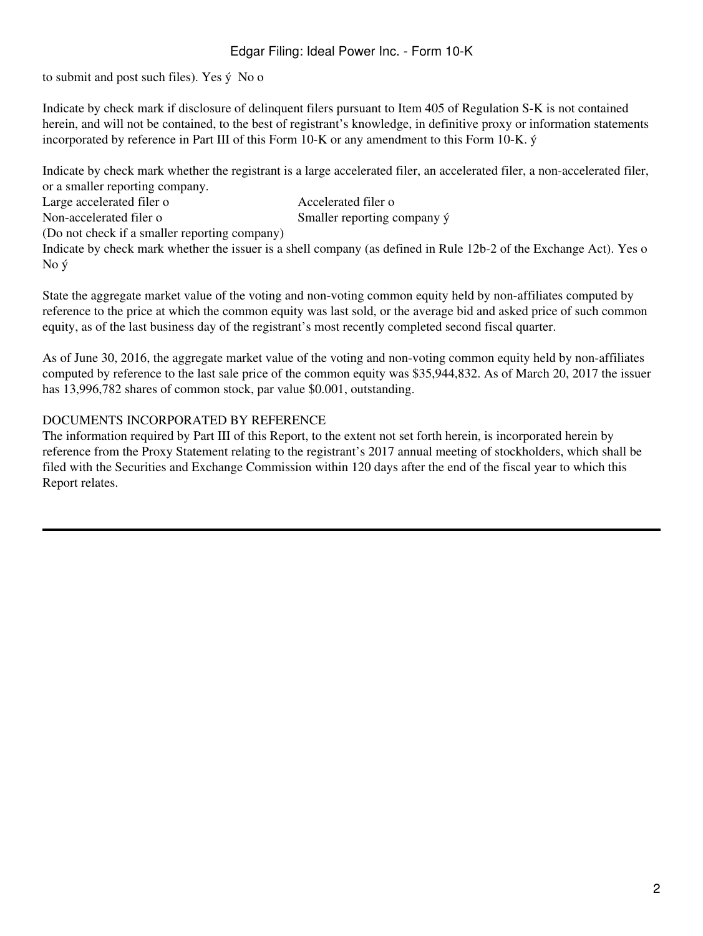to submit and post such files). Yes ý No o

Indicate by check mark if disclosure of delinquent filers pursuant to Item 405 of Regulation S-K is not contained herein, and will not be contained, to the best of registrant's knowledge, in definitive proxy or information statements incorporated by reference in Part III of this Form 10-K or any amendment to this Form 10-K. ý

Indicate by check mark whether the registrant is a large accelerated filer, an accelerated filer, a non-accelerated filer, or a smaller reporting company.

Large accelerated filer o Accelerated filer o Non-accelerated filer o Smaller reporting company ý (Do not check if a smaller reporting company)

Indicate by check mark whether the issuer is a shell company (as defined in Rule 12b-2 of the Exchange Act). Yes o No ý

State the aggregate market value of the voting and non-voting common equity held by non-affiliates computed by reference to the price at which the common equity was last sold, or the average bid and asked price of such common equity, as of the last business day of the registrant's most recently completed second fiscal quarter.

As of June 30, 2016, the aggregate market value of the voting and non-voting common equity held by non-affiliates computed by reference to the last sale price of the common equity was \$35,944,832. As of March 20, 2017 the issuer has 13,996,782 shares of common stock, par value \$0.001, outstanding.

### DOCUMENTS INCORPORATED BY REFERENCE

The information required by Part III of this Report, to the extent not set forth herein, is incorporated herein by reference from the Proxy Statement relating to the registrant's 2017 annual meeting of stockholders, which shall be filed with the Securities and Exchange Commission within 120 days after the end of the fiscal year to which this Report relates.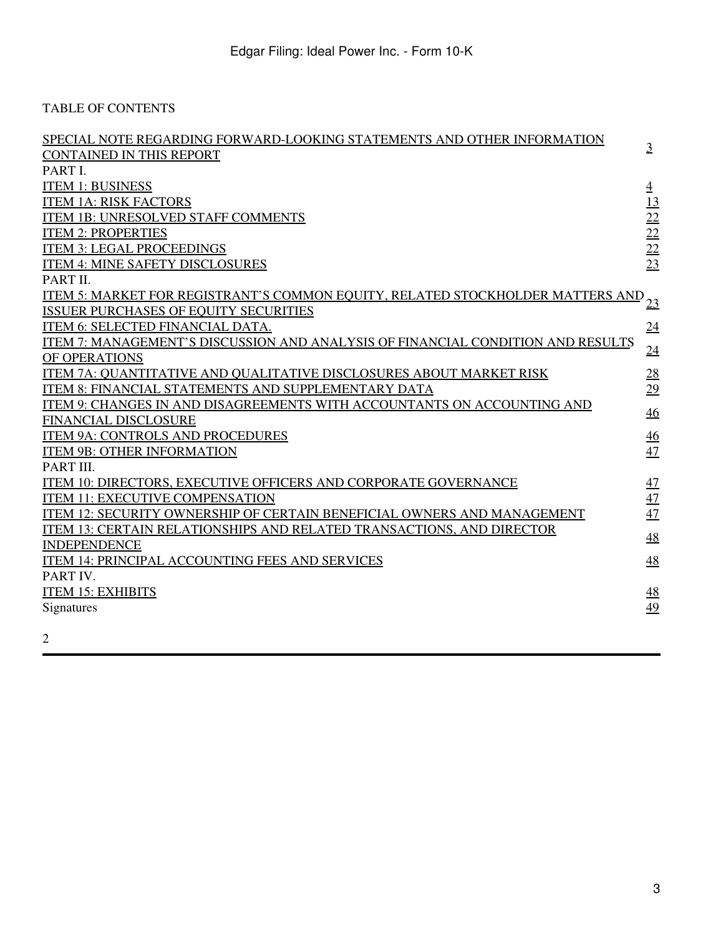TABLE OF CONTENTS

| SPECIAL NOTE REGARDING FORWARD-LOOKING STATEMENTS AND OTHER INFORMATION<br><b>CONTAINED IN THIS REPORT</b><br>PART I.                                                                                                                                                                                                                                                                                                                                                                                                                                                                                                   | $\overline{3}$                                                         |
|-------------------------------------------------------------------------------------------------------------------------------------------------------------------------------------------------------------------------------------------------------------------------------------------------------------------------------------------------------------------------------------------------------------------------------------------------------------------------------------------------------------------------------------------------------------------------------------------------------------------------|------------------------------------------------------------------------|
| <b>ITEM 1: BUSINESS</b><br><b>ITEM 1A: RISK FACTORS</b><br><b>ITEM 1B: UNRESOLVED STAFF COMMENTS</b><br><b>ITEM 2: PROPERTIES</b><br><b>ITEM 3: LEGAL PROCEEDINGS</b><br>ITEM 4: MINE SAFETY DISCLOSURES                                                                                                                                                                                                                                                                                                                                                                                                                | $\overline{4}$<br>13<br>22<br>22<br>$\overline{22}$<br>$\overline{23}$ |
| PART II.<br>ITEM 5: MARKET FOR REGISTRANT'S COMMON EQUITY, RELATED STOCKHOLDER MATTERS AND<br><b>ISSUER PURCHASES OF EQUITY SECURITIES</b><br>ITEM 6: SELECTED FINANCIAL DATA.<br>ITEM 7: MANAGEMENT'S DISCUSSION AND ANALYSIS OF FINANCIAL CONDITION AND RESULTS<br>OF OPERATIONS<br>ITEM 7A: OUANTITATIVE AND OUALITATIVE DISCLOSURES ABOUT MARKET RISK<br>ITEM 8: FINANCIAL STATEMENTS AND SUPPLEMENTARY DATA<br>ITEM 9: CHANGES IN AND DISAGREEMENTS WITH ACCOUNTANTS ON ACCOUNTING AND<br><b>FINANCIAL DISCLOSURE</b><br><b>ITEM 9A: CONTROLS AND PROCEDURES</b><br><b>ITEM 9B: OTHER INFORMATION</b><br>PART III. | 23<br>24<br>24<br>28<br>29<br>46<br>46<br>47                           |
| ITEM 10: DIRECTORS, EXECUTIVE OFFICERS AND CORPORATE GOVERNANCE<br><b>ITEM 11: EXECUTIVE COMPENSATION</b><br>ITEM 12: SECURITY OWNERSHIP OF CERTAIN BENEFICIAL OWNERS AND MANAGEMENT<br>ITEM 13: CERTAIN RELATIONSHIPS AND RELATED TRANSACTIONS, AND DIRECTOR<br><b>INDEPENDENCE</b><br>ITEM 14: PRINCIPAL ACCOUNTING FEES AND SERVICES<br>PART IV.                                                                                                                                                                                                                                                                     | 47<br>47<br>47<br>48<br>48                                             |
| <b>ITEM 15: EXHIBITS</b><br>Signatures                                                                                                                                                                                                                                                                                                                                                                                                                                                                                                                                                                                  | <u>48</u><br>49                                                        |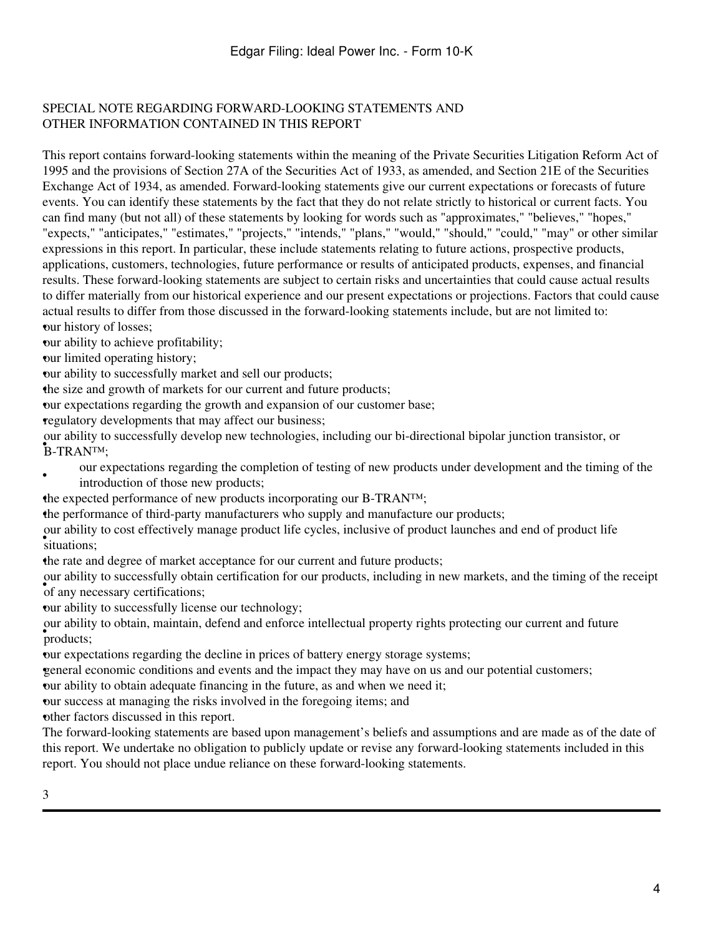## <span id="page-3-0"></span>SPECIAL NOTE REGARDING FORWARD-LOOKING STATEMENTS AND OTHER INFORMATION CONTAINED IN THIS REPORT

This report contains forward-looking statements within the meaning of the Private Securities Litigation Reform Act of 1995 and the provisions of Section 27A of the Securities Act of 1933, as amended, and Section 21E of the Securities Exchange Act of 1934, as amended. Forward-looking statements give our current expectations or forecasts of future events. You can identify these statements by the fact that they do not relate strictly to historical or current facts. You can find many (but not all) of these statements by looking for words such as "approximates," "believes," "hopes," "expects," "anticipates," "estimates," "projects," "intends," "plans," "would," "should," "could," "may" or other similar expressions in this report. In particular, these include statements relating to future actions, prospective products, applications, customers, technologies, future performance or results of anticipated products, expenses, and financial results. These forward-looking statements are subject to certain risks and uncertainties that could cause actual results to differ materially from our historical experience and our present expectations or projections. Factors that could cause actual results to differ from those discussed in the forward-looking statements include, but are not limited to: •our history of losses;

•our ability to achieve profitability;

•our limited operating history;

•our ability to successfully market and sell our products;

•the size and growth of markets for our current and future products;

•our expectations regarding the growth and expansion of our customer base;

•regulatory developments that may affect our business;

B-TRAN<sup>TM</sup>; our ability to successfully develop new technologies, including our bi-directional bipolar junction transistor, or

- our expectations regarding the completion of testing of new products under development and the timing of the introduction of those new products;
- •the expected performance of new products incorporating our B-TRAN™;

•the performance of third-party manufacturers who supply and manufacture our products;

• situations; our ability to cost effectively manage product life cycles, inclusive of product launches and end of product life

•the rate and degree of market acceptance for our current and future products;

• **of any necessary certifications**; our ability to successfully obtain certification for our products, including in new markets, and the timing of the receipt

our ability to successfully license our technology;

• products; our ability to obtain, maintain, defend and enforce intellectual property rights protecting our current and future

•our expectations regarding the decline in prices of battery energy storage systems;

•general economic conditions and events and the impact they may have on us and our potential customers;

•our ability to obtain adequate financing in the future, as and when we need it;

•our success at managing the risks involved in the foregoing items; and

•other factors discussed in this report.

The forward-looking statements are based upon management's beliefs and assumptions and are made as of the date of this report. We undertake no obligation to publicly update or revise any forward-looking statements included in this report. You should not place undue reliance on these forward-looking statements.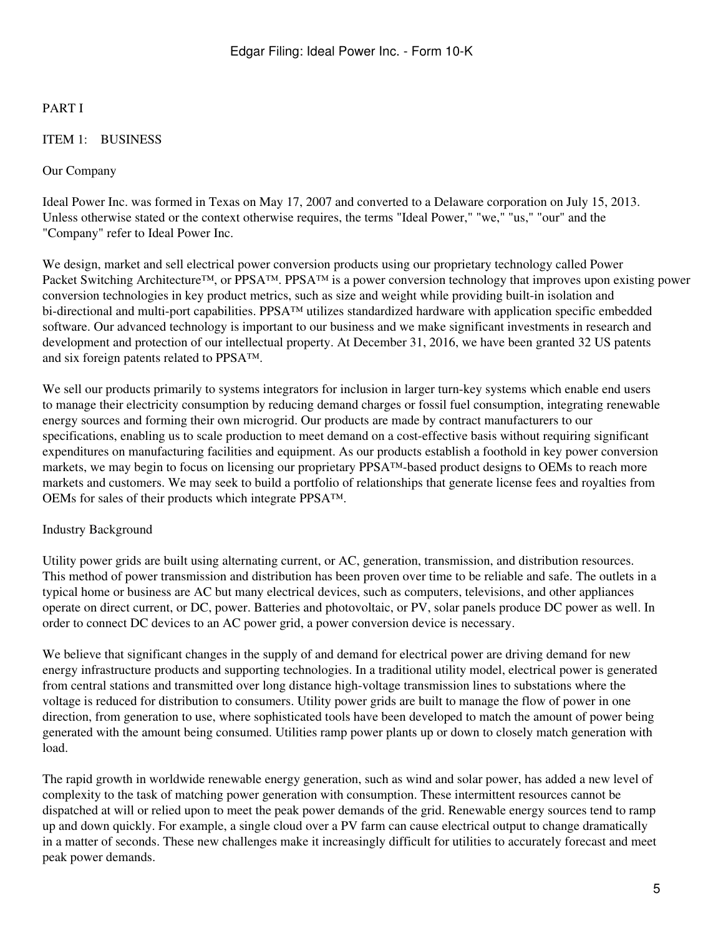# PART I

### <span id="page-4-0"></span>ITEM 1: BUSINESS

#### Our Company

Ideal Power Inc. was formed in Texas on May 17, 2007 and converted to a Delaware corporation on July 15, 2013. Unless otherwise stated or the context otherwise requires, the terms "Ideal Power," "we," "us," "our" and the "Company" refer to Ideal Power Inc.

We design, market and sell electrical power conversion products using our proprietary technology called Power Packet Switching Architecture™, or PPSA™. PPSA™ is a power conversion technology that improves upon existing power conversion technologies in key product metrics, such as size and weight while providing built-in isolation and bi-directional and multi-port capabilities. PPSA™ utilizes standardized hardware with application specific embedded software. Our advanced technology is important to our business and we make significant investments in research and development and protection of our intellectual property. At December 31, 2016, we have been granted 32 US patents and six foreign patents related to PPSA™.

We sell our products primarily to systems integrators for inclusion in larger turn-key systems which enable end users to manage their electricity consumption by reducing demand charges or fossil fuel consumption, integrating renewable energy sources and forming their own microgrid. Our products are made by contract manufacturers to our specifications, enabling us to scale production to meet demand on a cost-effective basis without requiring significant expenditures on manufacturing facilities and equipment. As our products establish a foothold in key power conversion markets, we may begin to focus on licensing our proprietary PPSA™-based product designs to OEMs to reach more markets and customers. We may seek to build a portfolio of relationships that generate license fees and royalties from OEMs for sales of their products which integrate PPSA™.

#### Industry Background

Utility power grids are built using alternating current, or AC, generation, transmission, and distribution resources. This method of power transmission and distribution has been proven over time to be reliable and safe. The outlets in a typical home or business are AC but many electrical devices, such as computers, televisions, and other appliances operate on direct current, or DC, power. Batteries and photovoltaic, or PV, solar panels produce DC power as well. In order to connect DC devices to an AC power grid, a power conversion device is necessary.

We believe that significant changes in the supply of and demand for electrical power are driving demand for new energy infrastructure products and supporting technologies. In a traditional utility model, electrical power is generated from central stations and transmitted over long distance high-voltage transmission lines to substations where the voltage is reduced for distribution to consumers. Utility power grids are built to manage the flow of power in one direction, from generation to use, where sophisticated tools have been developed to match the amount of power being generated with the amount being consumed. Utilities ramp power plants up or down to closely match generation with load.

The rapid growth in worldwide renewable energy generation, such as wind and solar power, has added a new level of complexity to the task of matching power generation with consumption. These intermittent resources cannot be dispatched at will or relied upon to meet the peak power demands of the grid. Renewable energy sources tend to ramp up and down quickly. For example, a single cloud over a PV farm can cause electrical output to change dramatically in a matter of seconds. These new challenges make it increasingly difficult for utilities to accurately forecast and meet peak power demands.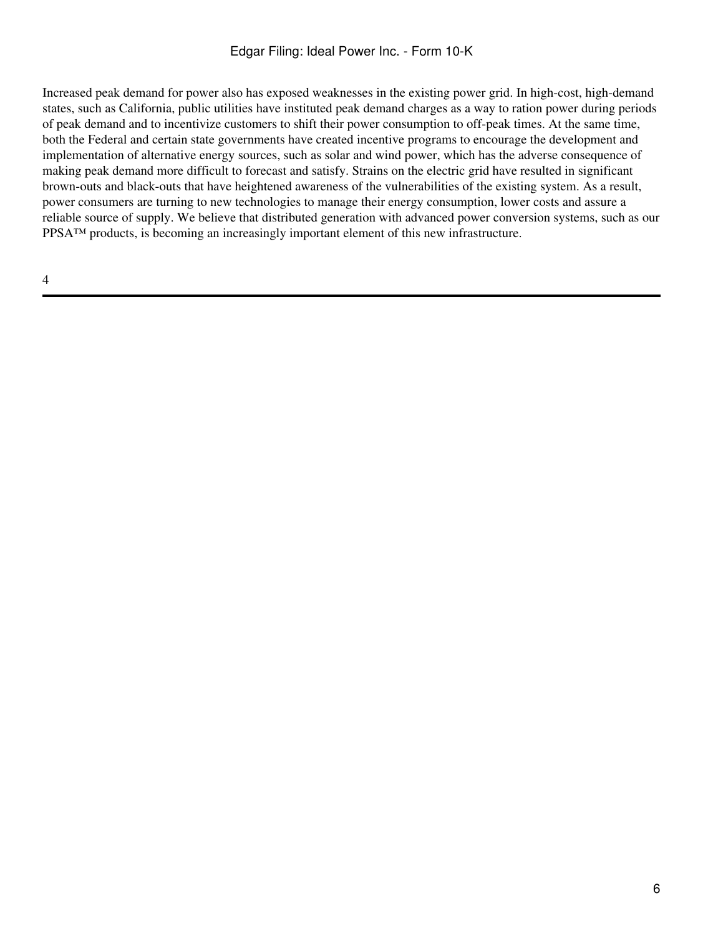Increased peak demand for power also has exposed weaknesses in the existing power grid. In high-cost, high-demand states, such as California, public utilities have instituted peak demand charges as a way to ration power during periods of peak demand and to incentivize customers to shift their power consumption to off-peak times. At the same time, both the Federal and certain state governments have created incentive programs to encourage the development and implementation of alternative energy sources, such as solar and wind power, which has the adverse consequence of making peak demand more difficult to forecast and satisfy. Strains on the electric grid have resulted in significant brown-outs and black-outs that have heightened awareness of the vulnerabilities of the existing system. As a result, power consumers are turning to new technologies to manage their energy consumption, lower costs and assure a reliable source of supply. We believe that distributed generation with advanced power conversion systems, such as our PPSA™ products, is becoming an increasingly important element of this new infrastructure.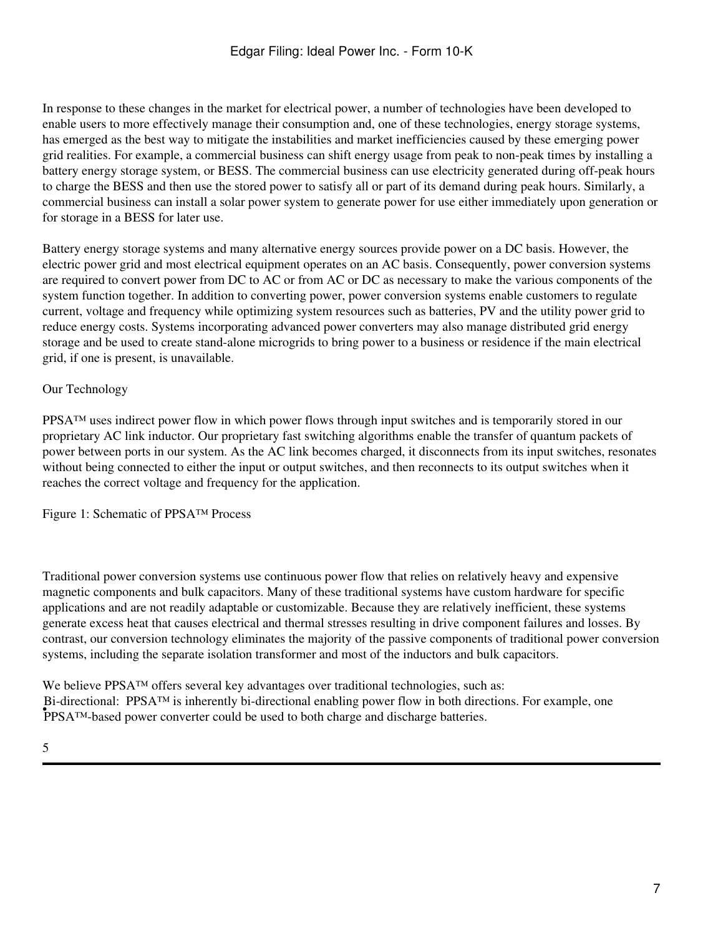In response to these changes in the market for electrical power, a number of technologies have been developed to enable users to more effectively manage their consumption and, one of these technologies, energy storage systems, has emerged as the best way to mitigate the instabilities and market inefficiencies caused by these emerging power grid realities. For example, a commercial business can shift energy usage from peak to non-peak times by installing a battery energy storage system, or BESS. The commercial business can use electricity generated during off-peak hours to charge the BESS and then use the stored power to satisfy all or part of its demand during peak hours. Similarly, a commercial business can install a solar power system to generate power for use either immediately upon generation or for storage in a BESS for later use.

Battery energy storage systems and many alternative energy sources provide power on a DC basis. However, the electric power grid and most electrical equipment operates on an AC basis. Consequently, power conversion systems are required to convert power from DC to AC or from AC or DC as necessary to make the various components of the system function together. In addition to converting power, power conversion systems enable customers to regulate current, voltage and frequency while optimizing system resources such as batteries, PV and the utility power grid to reduce energy costs. Systems incorporating advanced power converters may also manage distributed grid energy storage and be used to create stand-alone microgrids to bring power to a business or residence if the main electrical grid, if one is present, is unavailable.

## Our Technology

PPSA™ uses indirect power flow in which power flows through input switches and is temporarily stored in our proprietary AC link inductor. Our proprietary fast switching algorithms enable the transfer of quantum packets of power between ports in our system. As the AC link becomes charged, it disconnects from its input switches, resonates without being connected to either the input or output switches, and then reconnects to its output switches when it reaches the correct voltage and frequency for the application.

Figure 1: Schematic of PPSA™ Process

Traditional power conversion systems use continuous power flow that relies on relatively heavy and expensive magnetic components and bulk capacitors. Many of these traditional systems have custom hardware for specific applications and are not readily adaptable or customizable. Because they are relatively inefficient, these systems generate excess heat that causes electrical and thermal stresses resulting in drive component failures and losses. By contrast, our conversion technology eliminates the majority of the passive components of traditional power conversion systems, including the separate isolation transformer and most of the inductors and bulk capacitors.

We believe PPSA™ offers several key advantages over traditional technologies, such as: **• PPSATM-based power converter could be used to both charge and discharge batteries.** Bi-directional: PPSA™ is inherently bi-directional enabling power flow in both directions. For example, one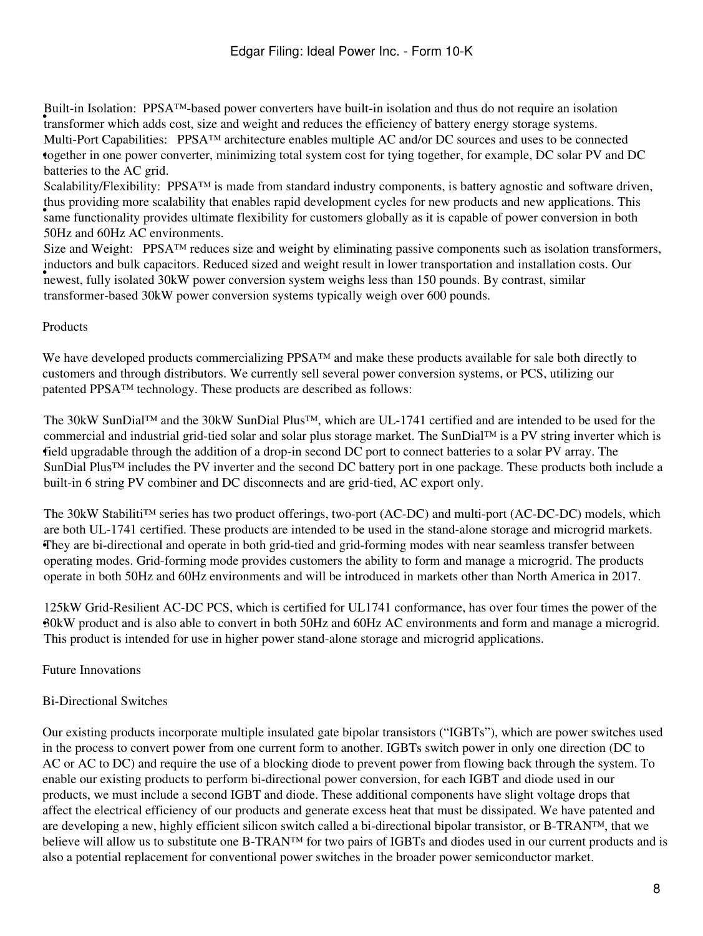Fund in isolation. Then was a power conveniers have ound in isolation and thus do not require an isolation transformer which adds cost, size and weight and reduces the efficiency of battery energy storage systems. Built-in Isolation: PPSA™-based power converters have built-in isolation and thus do not require an isolation • together in one power converter, minimizing total system cost for tying together, for example, DC solar PV and DC Multi-Port Capabilities: PPSA™ architecture enables multiple AC and/or DC sources and uses to be connected batteries to the AC grid.

and providing more scalability that entities rapid development eyeres for new products and new approacholist. This Scalability/Flexibility: PPSA<sup>™</sup> is made from standard industry components, is battery agnostic and software driven, thus providing more scalability that enables rapid development cycles for new products and new applications. This 50Hz and 60Hz AC environments.

newest, fully isolated 30kW power conversion system weight less than 150 pounds. By contrast, similar Size and Weight: PPSA<sup>™</sup> reduces size and weight by eliminating passive components such as isolation transformers, inductors and bulk capacitors. Reduced sized and weight result in lower transportation and installation costs. Our transformer-based 30kW power conversion systems typically weigh over 600 pounds.

## Products

We have developed products commercializing PPSA™ and make these products available for sale both directly to customers and through distributors. We currently sell several power conversion systems, or PCS, utilizing our patented PPSA™ technology. These products are described as follows:

field upgradable through the addition of a drop-in second DC port to connect batteries to a solar PV array. The The 30kW SunDial™ and the 30kW SunDial Plus™, which are UL-1741 certified and are intended to be used for the commercial and industrial grid-tied solar and solar plus storage market. The SunDial™ is a PV string inverter which is SunDial Plus™ includes the PV inverter and the second DC battery port in one package. These products both include a built-in 6 string PV combiner and DC disconnects and are grid-tied, AC export only.

• They are bi-directional and operate in both grid-tied and grid-forming modes with near seamless transfer between The 30kW Stabiliti™ series has two product offerings, two-port (AC-DC) and multi-port (AC-DC-DC) models, which are both UL-1741 certified. These products are intended to be used in the stand-alone storage and microgrid markets. operating modes. Grid-forming mode provides customers the ability to form and manage a microgrid. The products operate in both 50Hz and 60Hz environments and will be introduced in markets other than North America in 2017.

• 30kW product and is also able to convert in both 50Hz and 60Hz AC environments and form and manage a microgrid. 125kW Grid-Resilient AC-DC PCS, which is certified for UL1741 conformance, has over four times the power of the This product is intended for use in higher power stand-alone storage and microgrid applications.

Future Innovations

# Bi-Directional Switches

Our existing products incorporate multiple insulated gate bipolar transistors ("IGBTs"), which are power switches used in the process to convert power from one current form to another. IGBTs switch power in only one direction (DC to AC or AC to DC) and require the use of a blocking diode to prevent power from flowing back through the system. To enable our existing products to perform bi-directional power conversion, for each IGBT and diode used in our products, we must include a second IGBT and diode. These additional components have slight voltage drops that affect the electrical efficiency of our products and generate excess heat that must be dissipated. We have patented and are developing a new, highly efficient silicon switch called a bi-directional bipolar transistor, or B-TRAN™, that we believe will allow us to substitute one B-TRAN<sup>™</sup> for two pairs of IGBTs and diodes used in our current products and is also a potential replacement for conventional power switches in the broader power semiconductor market.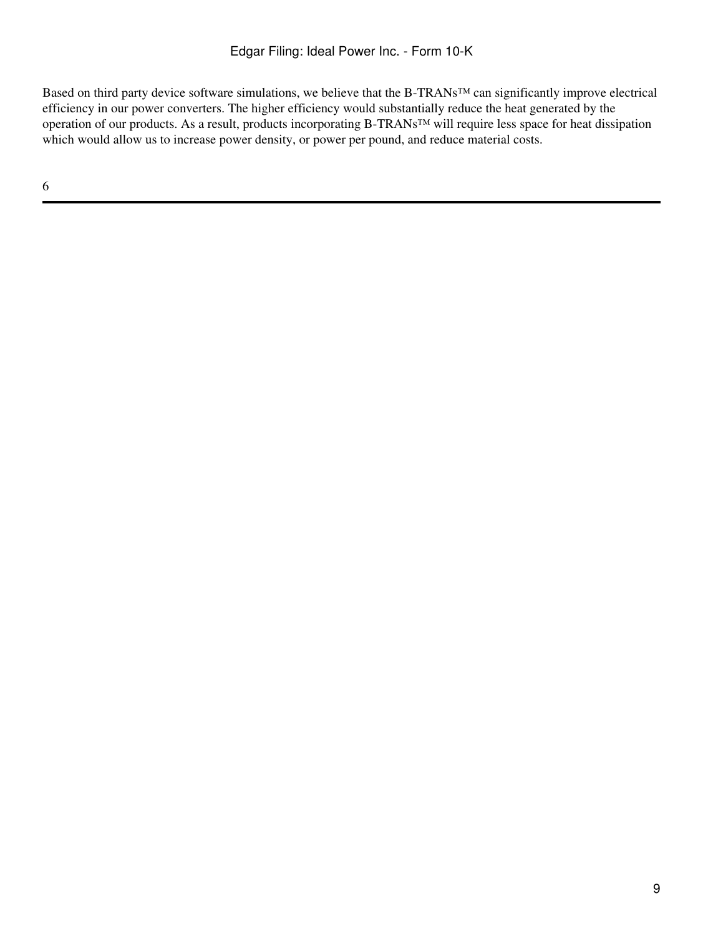Based on third party device software simulations, we believe that the B-TRANs™ can significantly improve electrical efficiency in our power converters. The higher efficiency would substantially reduce the heat generated by the operation of our products. As a result, products incorporating B-TRANs™ will require less space for heat dissipation which would allow us to increase power density, or power per pound, and reduce material costs.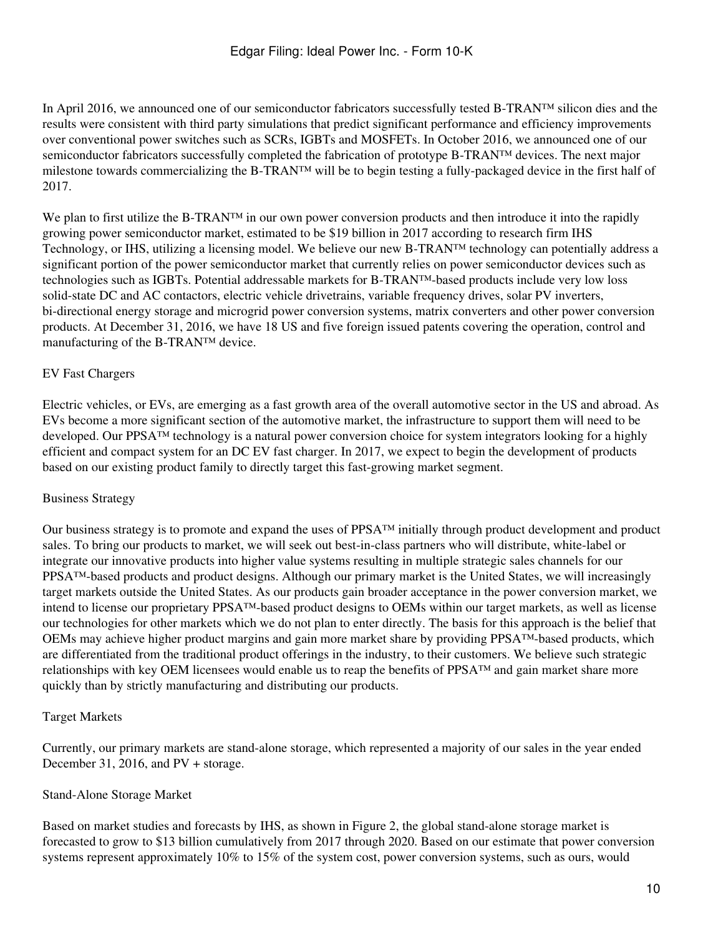In April 2016, we announced one of our semiconductor fabricators successfully tested B-TRAN™ silicon dies and the results were consistent with third party simulations that predict significant performance and efficiency improvements over conventional power switches such as SCRs, IGBTs and MOSFETs. In October 2016, we announced one of our semiconductor fabricators successfully completed the fabrication of prototype B-TRAN™ devices. The next major milestone towards commercializing the B-TRAN™ will be to begin testing a fully-packaged device in the first half of 2017.

We plan to first utilize the B-TRAN™ in our own power conversion products and then introduce it into the rapidly growing power semiconductor market, estimated to be \$19 billion in 2017 according to research firm IHS Technology, or IHS, utilizing a licensing model. We believe our new B-TRAN™ technology can potentially address a significant portion of the power semiconductor market that currently relies on power semiconductor devices such as technologies such as IGBTs. Potential addressable markets for B-TRAN™-based products include very low loss solid-state DC and AC contactors, electric vehicle drivetrains, variable frequency drives, solar PV inverters, bi-directional energy storage and microgrid power conversion systems, matrix converters and other power conversion products. At December 31, 2016, we have 18 US and five foreign issued patents covering the operation, control and manufacturing of the B-TRAN™ device.

## EV Fast Chargers

Electric vehicles, or EVs, are emerging as a fast growth area of the overall automotive sector in the US and abroad. As EVs become a more significant section of the automotive market, the infrastructure to support them will need to be developed. Our PPSA™ technology is a natural power conversion choice for system integrators looking for a highly efficient and compact system for an DC EV fast charger. In 2017, we expect to begin the development of products based on our existing product family to directly target this fast-growing market segment.

# Business Strategy

Our business strategy is to promote and expand the uses of PPSA™ initially through product development and product sales. To bring our products to market, we will seek out best-in-class partners who will distribute, white-label or integrate our innovative products into higher value systems resulting in multiple strategic sales channels for our PPSA™-based products and product designs. Although our primary market is the United States, we will increasingly target markets outside the United States. As our products gain broader acceptance in the power conversion market, we intend to license our proprietary PPSA™-based product designs to OEMs within our target markets, as well as license our technologies for other markets which we do not plan to enter directly. The basis for this approach is the belief that OEMs may achieve higher product margins and gain more market share by providing PPSA™-based products, which are differentiated from the traditional product offerings in the industry, to their customers. We believe such strategic relationships with key OEM licensees would enable us to reap the benefits of PPSA™ and gain market share more quickly than by strictly manufacturing and distributing our products.

### Target Markets

Currently, our primary markets are stand-alone storage, which represented a majority of our sales in the year ended December 31, 2016, and PV + storage.

### Stand-Alone Storage Market

Based on market studies and forecasts by IHS, as shown in Figure 2, the global stand-alone storage market is forecasted to grow to \$13 billion cumulatively from 2017 through 2020. Based on our estimate that power conversion systems represent approximately 10% to 15% of the system cost, power conversion systems, such as ours, would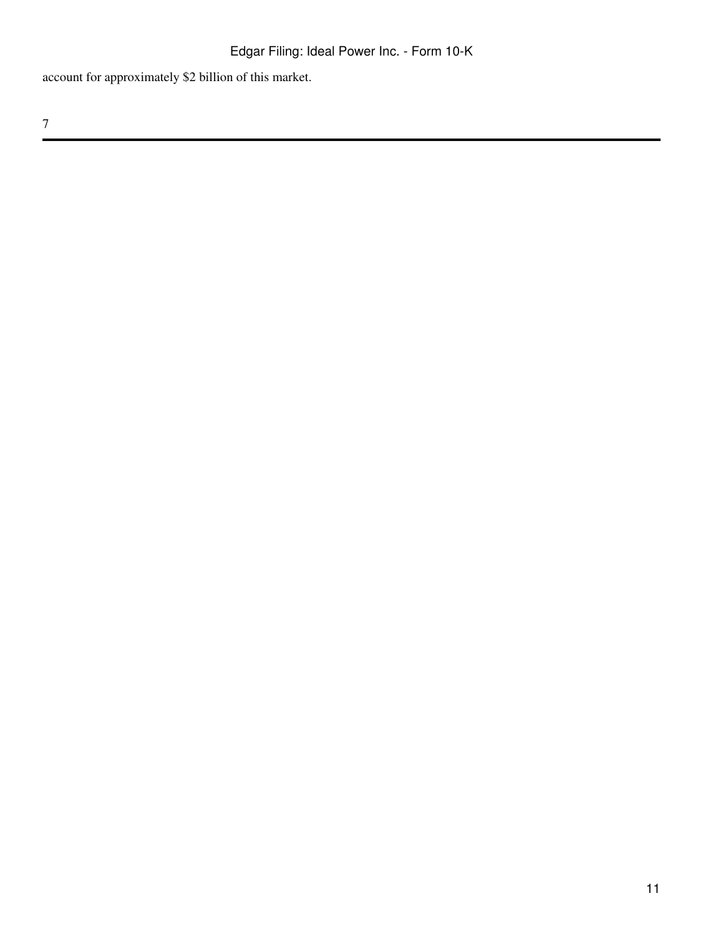account for approximately \$2 billion of this market.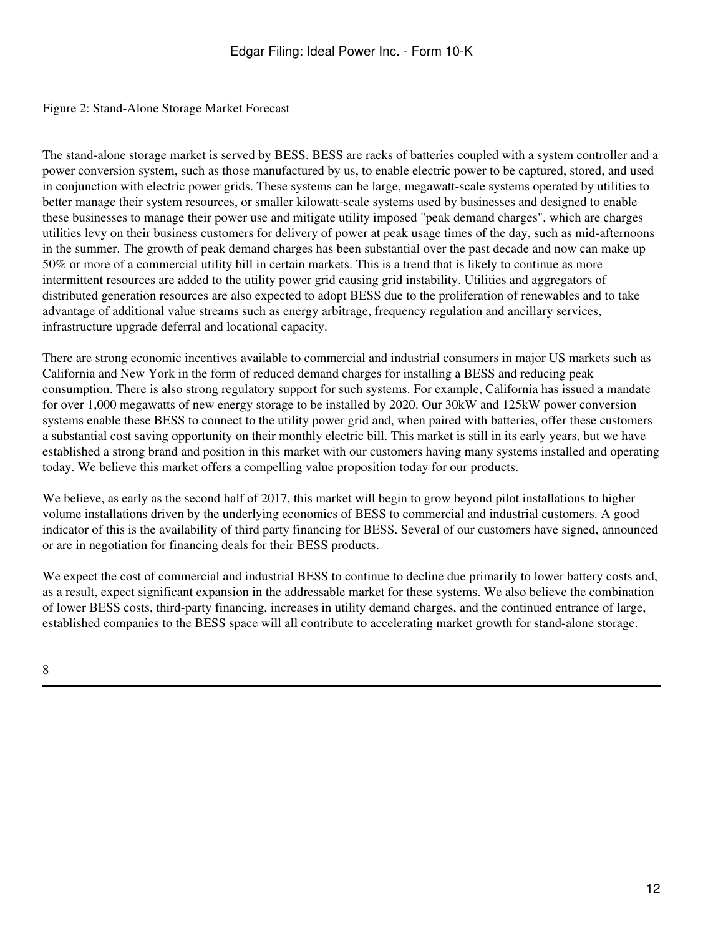### Figure 2: Stand-Alone Storage Market Forecast

The stand-alone storage market is served by BESS. BESS are racks of batteries coupled with a system controller and a power conversion system, such as those manufactured by us, to enable electric power to be captured, stored, and used in conjunction with electric power grids. These systems can be large, megawatt-scale systems operated by utilities to better manage their system resources, or smaller kilowatt-scale systems used by businesses and designed to enable these businesses to manage their power use and mitigate utility imposed "peak demand charges", which are charges utilities levy on their business customers for delivery of power at peak usage times of the day, such as mid-afternoons in the summer. The growth of peak demand charges has been substantial over the past decade and now can make up 50% or more of a commercial utility bill in certain markets. This is a trend that is likely to continue as more intermittent resources are added to the utility power grid causing grid instability. Utilities and aggregators of distributed generation resources are also expected to adopt BESS due to the proliferation of renewables and to take advantage of additional value streams such as energy arbitrage, frequency regulation and ancillary services, infrastructure upgrade deferral and locational capacity.

There are strong economic incentives available to commercial and industrial consumers in major US markets such as California and New York in the form of reduced demand charges for installing a BESS and reducing peak consumption. There is also strong regulatory support for such systems. For example, California has issued a mandate for over 1,000 megawatts of new energy storage to be installed by 2020. Our 30kW and 125kW power conversion systems enable these BESS to connect to the utility power grid and, when paired with batteries, offer these customers a substantial cost saving opportunity on their monthly electric bill. This market is still in its early years, but we have established a strong brand and position in this market with our customers having many systems installed and operating today. We believe this market offers a compelling value proposition today for our products.

We believe, as early as the second half of 2017, this market will begin to grow beyond pilot installations to higher volume installations driven by the underlying economics of BESS to commercial and industrial customers. A good indicator of this is the availability of third party financing for BESS. Several of our customers have signed, announced or are in negotiation for financing deals for their BESS products.

We expect the cost of commercial and industrial BESS to continue to decline due primarily to lower battery costs and, as a result, expect significant expansion in the addressable market for these systems. We also believe the combination of lower BESS costs, third-party financing, increases in utility demand charges, and the continued entrance of large, established companies to the BESS space will all contribute to accelerating market growth for stand-alone storage.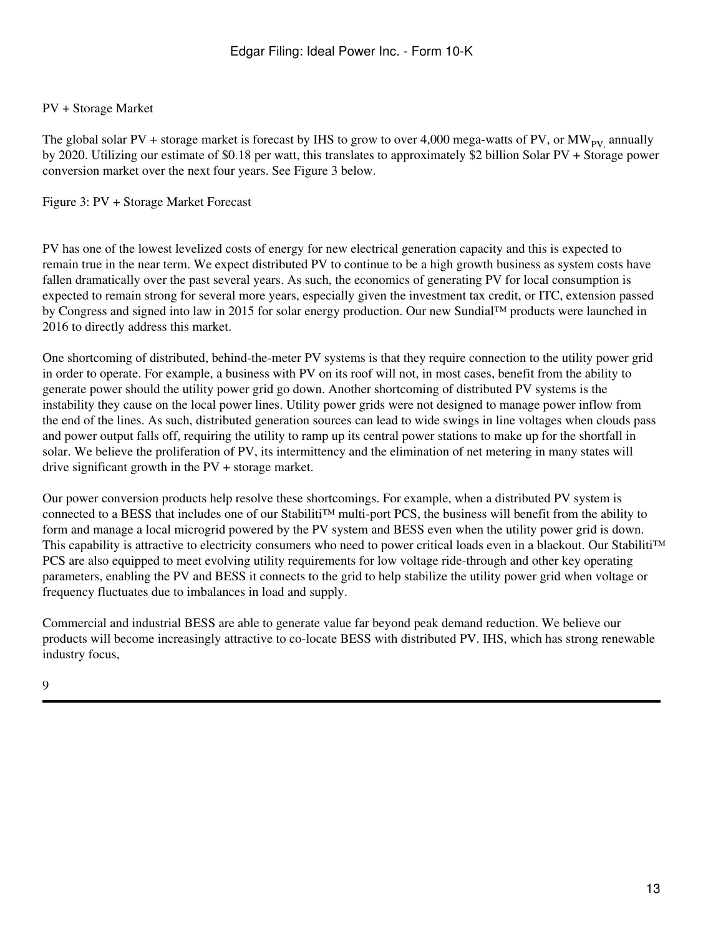## PV + Storage Market

The global solar PV + storage market is forecast by IHS to grow to over 4,000 mega-watts of PV, or  $MW_{PV}$  annually by 2020. Utilizing our estimate of \$0.18 per watt, this translates to approximately \$2 billion Solar PV + Storage power conversion market over the next four years. See Figure 3 below.

#### Figure 3: PV + Storage Market Forecast

PV has one of the lowest levelized costs of energy for new electrical generation capacity and this is expected to remain true in the near term. We expect distributed PV to continue to be a high growth business as system costs have fallen dramatically over the past several years. As such, the economics of generating PV for local consumption is expected to remain strong for several more years, especially given the investment tax credit, or ITC, extension passed by Congress and signed into law in 2015 for solar energy production. Our new Sundial™ products were launched in 2016 to directly address this market.

One shortcoming of distributed, behind-the-meter PV systems is that they require connection to the utility power grid in order to operate. For example, a business with PV on its roof will not, in most cases, benefit from the ability to generate power should the utility power grid go down. Another shortcoming of distributed PV systems is the instability they cause on the local power lines. Utility power grids were not designed to manage power inflow from the end of the lines. As such, distributed generation sources can lead to wide swings in line voltages when clouds pass and power output falls off, requiring the utility to ramp up its central power stations to make up for the shortfall in solar. We believe the proliferation of PV, its intermittency and the elimination of net metering in many states will drive significant growth in the PV + storage market.

Our power conversion products help resolve these shortcomings. For example, when a distributed PV system is connected to a BESS that includes one of our Stabiliti™ multi-port PCS, the business will benefit from the ability to form and manage a local microgrid powered by the PV system and BESS even when the utility power grid is down. This capability is attractive to electricity consumers who need to power critical loads even in a blackout. Our Stabiliti<sup>™</sup> PCS are also equipped to meet evolving utility requirements for low voltage ride-through and other key operating parameters, enabling the PV and BESS it connects to the grid to help stabilize the utility power grid when voltage or frequency fluctuates due to imbalances in load and supply.

Commercial and industrial BESS are able to generate value far beyond peak demand reduction. We believe our products will become increasingly attractive to co-locate BESS with distributed PV. IHS, which has strong renewable industry focus,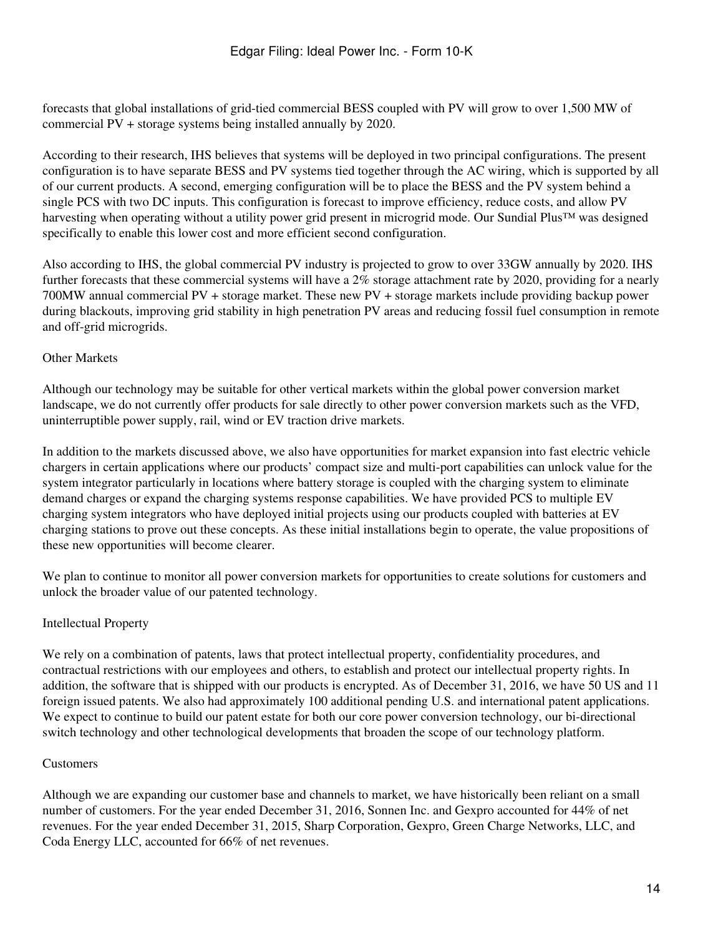forecasts that global installations of grid-tied commercial BESS coupled with PV will grow to over 1,500 MW of commercial PV + storage systems being installed annually by 2020.

According to their research, IHS believes that systems will be deployed in two principal configurations. The present configuration is to have separate BESS and PV systems tied together through the AC wiring, which is supported by all of our current products. A second, emerging configuration will be to place the BESS and the PV system behind a single PCS with two DC inputs. This configuration is forecast to improve efficiency, reduce costs, and allow PV harvesting when operating without a utility power grid present in microgrid mode. Our Sundial Plus™ was designed specifically to enable this lower cost and more efficient second configuration.

Also according to IHS, the global commercial PV industry is projected to grow to over 33GW annually by 2020. IHS further forecasts that these commercial systems will have a 2% storage attachment rate by 2020, providing for a nearly 700MW annual commercial PV + storage market. These new PV + storage markets include providing backup power during blackouts, improving grid stability in high penetration PV areas and reducing fossil fuel consumption in remote and off-grid microgrids.

### Other Markets

Although our technology may be suitable for other vertical markets within the global power conversion market landscape, we do not currently offer products for sale directly to other power conversion markets such as the VFD, uninterruptible power supply, rail, wind or EV traction drive markets.

In addition to the markets discussed above, we also have opportunities for market expansion into fast electric vehicle chargers in certain applications where our products' compact size and multi-port capabilities can unlock value for the system integrator particularly in locations where battery storage is coupled with the charging system to eliminate demand charges or expand the charging systems response capabilities. We have provided PCS to multiple EV charging system integrators who have deployed initial projects using our products coupled with batteries at EV charging stations to prove out these concepts. As these initial installations begin to operate, the value propositions of these new opportunities will become clearer.

We plan to continue to monitor all power conversion markets for opportunities to create solutions for customers and unlock the broader value of our patented technology.

### Intellectual Property

We rely on a combination of patents, laws that protect intellectual property, confidentiality procedures, and contractual restrictions with our employees and others, to establish and protect our intellectual property rights. In addition, the software that is shipped with our products is encrypted. As of December 31, 2016, we have 50 US and 11 foreign issued patents. We also had approximately 100 additional pending U.S. and international patent applications. We expect to continue to build our patent estate for both our core power conversion technology, our bi-directional switch technology and other technological developments that broaden the scope of our technology platform.

### **Customers**

Although we are expanding our customer base and channels to market, we have historically been reliant on a small number of customers. For the year ended December 31, 2016, Sonnen Inc. and Gexpro accounted for 44% of net revenues. For the year ended December 31, 2015, Sharp Corporation, Gexpro, Green Charge Networks, LLC, and Coda Energy LLC, accounted for 66% of net revenues.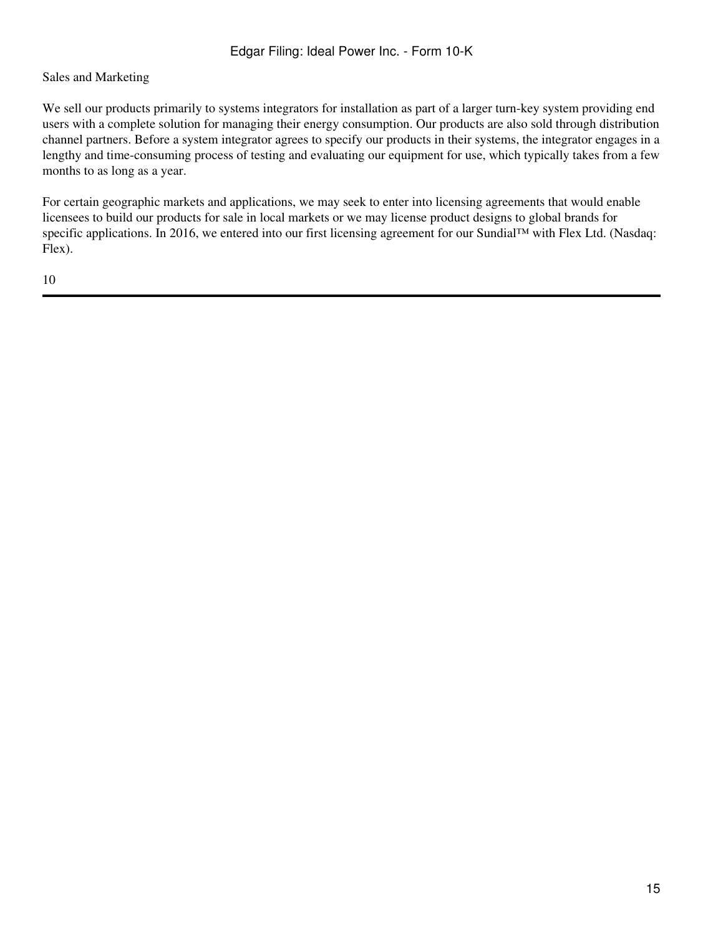### Sales and Marketing

We sell our products primarily to systems integrators for installation as part of a larger turn-key system providing end users with a complete solution for managing their energy consumption. Our products are also sold through distribution channel partners. Before a system integrator agrees to specify our products in their systems, the integrator engages in a lengthy and time-consuming process of testing and evaluating our equipment for use, which typically takes from a few months to as long as a year.

For certain geographic markets and applications, we may seek to enter into licensing agreements that would enable licensees to build our products for sale in local markets or we may license product designs to global brands for specific applications. In 2016, we entered into our first licensing agreement for our Sundial™ with Flex Ltd. (Nasdaq: Flex).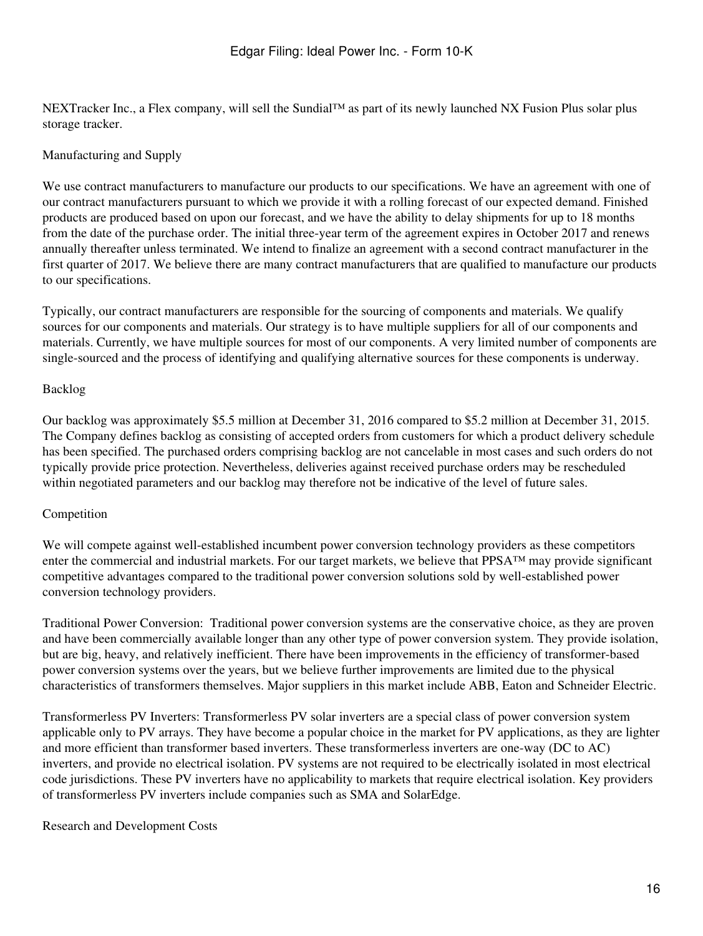NEXTracker Inc., a Flex company, will sell the Sundial™ as part of its newly launched NX Fusion Plus solar plus storage tracker.

### Manufacturing and Supply

We use contract manufacturers to manufacture our products to our specifications. We have an agreement with one of our contract manufacturers pursuant to which we provide it with a rolling forecast of our expected demand. Finished products are produced based on upon our forecast, and we have the ability to delay shipments for up to 18 months from the date of the purchase order. The initial three-year term of the agreement expires in October 2017 and renews annually thereafter unless terminated. We intend to finalize an agreement with a second contract manufacturer in the first quarter of 2017. We believe there are many contract manufacturers that are qualified to manufacture our products to our specifications.

Typically, our contract manufacturers are responsible for the sourcing of components and materials. We qualify sources for our components and materials. Our strategy is to have multiple suppliers for all of our components and materials. Currently, we have multiple sources for most of our components. A very limited number of components are single-sourced and the process of identifying and qualifying alternative sources for these components is underway.

### Backlog

Our backlog was approximately \$5.5 million at December 31, 2016 compared to \$5.2 million at December 31, 2015. The Company defines backlog as consisting of accepted orders from customers for which a product delivery schedule has been specified. The purchased orders comprising backlog are not cancelable in most cases and such orders do not typically provide price protection. Nevertheless, deliveries against received purchase orders may be rescheduled within negotiated parameters and our backlog may therefore not be indicative of the level of future sales.

### Competition

We will compete against well-established incumbent power conversion technology providers as these competitors enter the commercial and industrial markets. For our target markets, we believe that PPSA™ may provide significant competitive advantages compared to the traditional power conversion solutions sold by well-established power conversion technology providers.

Traditional Power Conversion: Traditional power conversion systems are the conservative choice, as they are proven and have been commercially available longer than any other type of power conversion system. They provide isolation, but are big, heavy, and relatively inefficient. There have been improvements in the efficiency of transformer-based power conversion systems over the years, but we believe further improvements are limited due to the physical characteristics of transformers themselves. Major suppliers in this market include ABB, Eaton and Schneider Electric.

Transformerless PV Inverters: Transformerless PV solar inverters are a special class of power conversion system applicable only to PV arrays. They have become a popular choice in the market for PV applications, as they are lighter and more efficient than transformer based inverters. These transformerless inverters are one-way (DC to AC) inverters, and provide no electrical isolation. PV systems are not required to be electrically isolated in most electrical code jurisdictions. These PV inverters have no applicability to markets that require electrical isolation. Key providers of transformerless PV inverters include companies such as SMA and SolarEdge.

Research and Development Costs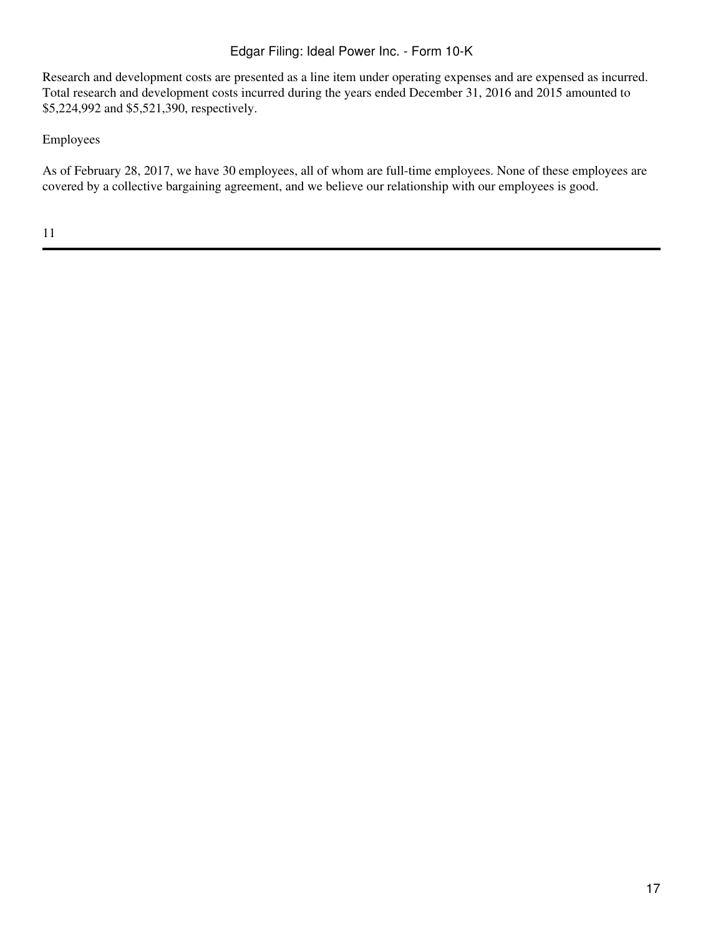Research and development costs are presented as a line item under operating expenses and are expensed as incurred. Total research and development costs incurred during the years ended December 31, 2016 and 2015 amounted to \$5,224,992 and \$5,521,390, respectively.

Employees

As of February 28, 2017, we have 30 employees, all of whom are full-time employees. None of these employees are covered by a collective bargaining agreement, and we believe our relationship with our employees is good.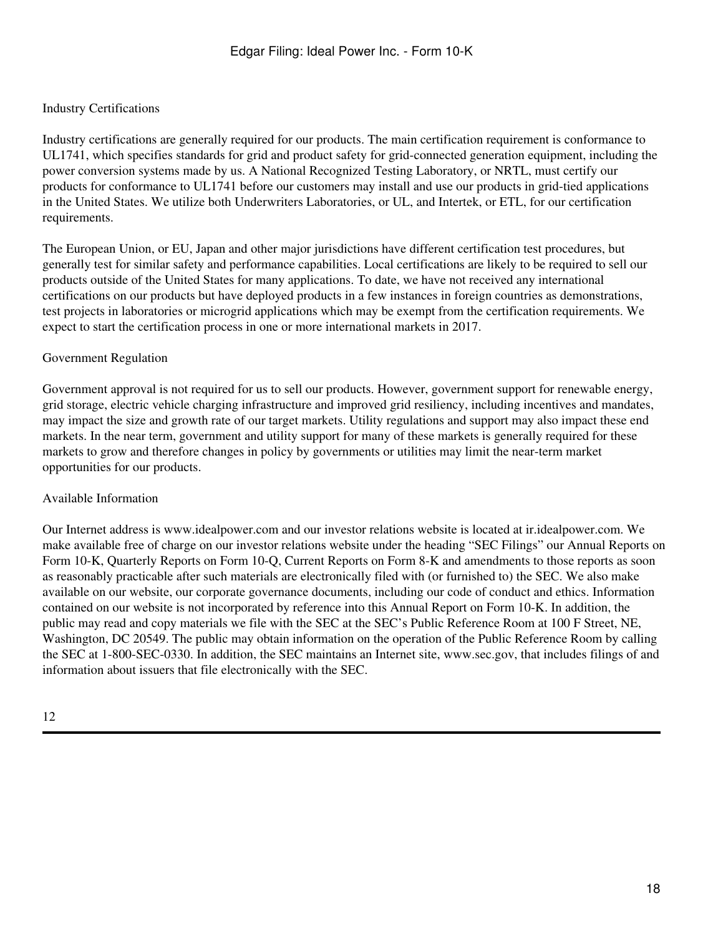# Industry Certifications

Industry certifications are generally required for our products. The main certification requirement is conformance to UL1741, which specifies standards for grid and product safety for grid-connected generation equipment, including the power conversion systems made by us. A National Recognized Testing Laboratory, or NRTL, must certify our products for conformance to UL1741 before our customers may install and use our products in grid-tied applications in the United States. We utilize both Underwriters Laboratories, or UL, and Intertek, or ETL, for our certification requirements.

The European Union, or EU, Japan and other major jurisdictions have different certification test procedures, but generally test for similar safety and performance capabilities. Local certifications are likely to be required to sell our products outside of the United States for many applications. To date, we have not received any international certifications on our products but have deployed products in a few instances in foreign countries as demonstrations, test projects in laboratories or microgrid applications which may be exempt from the certification requirements. We expect to start the certification process in one or more international markets in 2017.

### Government Regulation

Government approval is not required for us to sell our products. However, government support for renewable energy, grid storage, electric vehicle charging infrastructure and improved grid resiliency, including incentives and mandates, may impact the size and growth rate of our target markets. Utility regulations and support may also impact these end markets. In the near term, government and utility support for many of these markets is generally required for these markets to grow and therefore changes in policy by governments or utilities may limit the near-term market opportunities for our products.

### Available Information

Our Internet address is www.idealpower.com and our investor relations website is located at ir.idealpower.com. We make available free of charge on our investor relations website under the heading "SEC Filings" our Annual Reports on Form 10-K, Quarterly Reports on Form 10-Q, Current Reports on Form 8-K and amendments to those reports as soon as reasonably practicable after such materials are electronically filed with (or furnished to) the SEC. We also make available on our website, our corporate governance documents, including our code of conduct and ethics. Information contained on our website is not incorporated by reference into this Annual Report on Form 10-K. In addition, the public may read and copy materials we file with the SEC at the SEC's Public Reference Room at 100 F Street, NE, Washington, DC 20549. The public may obtain information on the operation of the Public Reference Room by calling the SEC at 1-800-SEC-0330. In addition, the SEC maintains an Internet site, www.sec.gov, that includes filings of and information about issuers that file electronically with the SEC.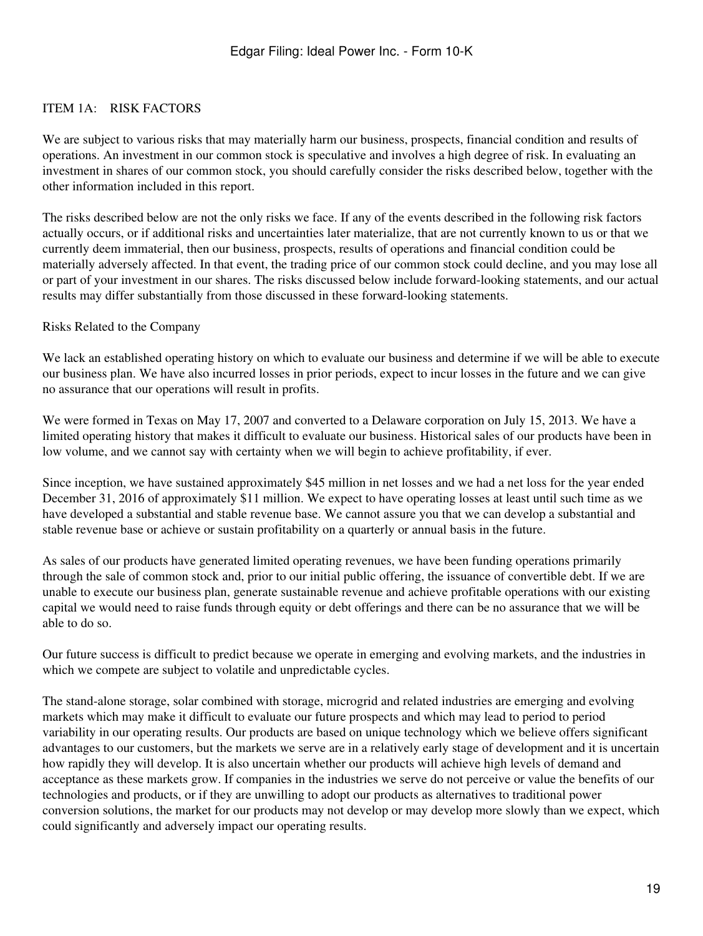## <span id="page-18-0"></span>ITEM 1A: RISK FACTORS

We are subject to various risks that may materially harm our business, prospects, financial condition and results of operations. An investment in our common stock is speculative and involves a high degree of risk. In evaluating an investment in shares of our common stock, you should carefully consider the risks described below, together with the other information included in this report.

The risks described below are not the only risks we face. If any of the events described in the following risk factors actually occurs, or if additional risks and uncertainties later materialize, that are not currently known to us or that we currently deem immaterial, then our business, prospects, results of operations and financial condition could be materially adversely affected. In that event, the trading price of our common stock could decline, and you may lose all or part of your investment in our shares. The risks discussed below include forward-looking statements, and our actual results may differ substantially from those discussed in these forward-looking statements.

#### Risks Related to the Company

We lack an established operating history on which to evaluate our business and determine if we will be able to execute our business plan. We have also incurred losses in prior periods, expect to incur losses in the future and we can give no assurance that our operations will result in profits.

We were formed in Texas on May 17, 2007 and converted to a Delaware corporation on July 15, 2013. We have a limited operating history that makes it difficult to evaluate our business. Historical sales of our products have been in low volume, and we cannot say with certainty when we will begin to achieve profitability, if ever.

Since inception, we have sustained approximately \$45 million in net losses and we had a net loss for the year ended December 31, 2016 of approximately \$11 million. We expect to have operating losses at least until such time as we have developed a substantial and stable revenue base. We cannot assure you that we can develop a substantial and stable revenue base or achieve or sustain profitability on a quarterly or annual basis in the future.

As sales of our products have generated limited operating revenues, we have been funding operations primarily through the sale of common stock and, prior to our initial public offering, the issuance of convertible debt. If we are unable to execute our business plan, generate sustainable revenue and achieve profitable operations with our existing capital we would need to raise funds through equity or debt offerings and there can be no assurance that we will be able to do so.

Our future success is difficult to predict because we operate in emerging and evolving markets, and the industries in which we compete are subject to volatile and unpredictable cycles.

The stand-alone storage, solar combined with storage, microgrid and related industries are emerging and evolving markets which may make it difficult to evaluate our future prospects and which may lead to period to period variability in our operating results. Our products are based on unique technology which we believe offers significant advantages to our customers, but the markets we serve are in a relatively early stage of development and it is uncertain how rapidly they will develop. It is also uncertain whether our products will achieve high levels of demand and acceptance as these markets grow. If companies in the industries we serve do not perceive or value the benefits of our technologies and products, or if they are unwilling to adopt our products as alternatives to traditional power conversion solutions, the market for our products may not develop or may develop more slowly than we expect, which could significantly and adversely impact our operating results.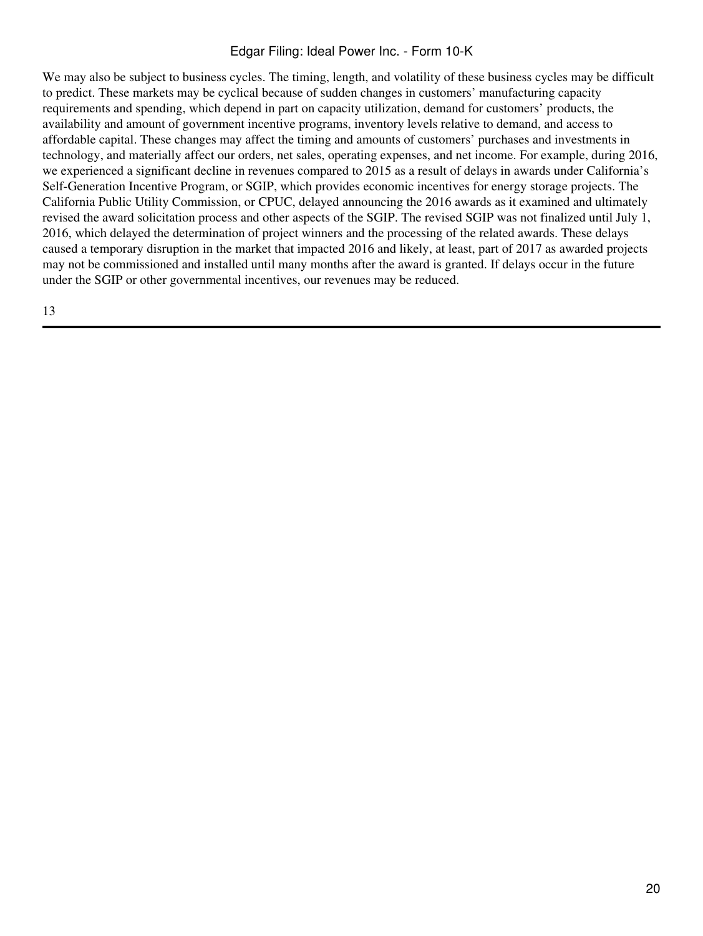We may also be subject to business cycles. The timing, length, and volatility of these business cycles may be difficult to predict. These markets may be cyclical because of sudden changes in customers' manufacturing capacity requirements and spending, which depend in part on capacity utilization, demand for customers' products, the availability and amount of government incentive programs, inventory levels relative to demand, and access to affordable capital. These changes may affect the timing and amounts of customers' purchases and investments in technology, and materially affect our orders, net sales, operating expenses, and net income. For example, during 2016, we experienced a significant decline in revenues compared to 2015 as a result of delays in awards under California's Self-Generation Incentive Program, or SGIP, which provides economic incentives for energy storage projects. The California Public Utility Commission, or CPUC, delayed announcing the 2016 awards as it examined and ultimately revised the award solicitation process and other aspects of the SGIP. The revised SGIP was not finalized until July 1, 2016, which delayed the determination of project winners and the processing of the related awards. These delays caused a temporary disruption in the market that impacted 2016 and likely, at least, part of 2017 as awarded projects may not be commissioned and installed until many months after the award is granted. If delays occur in the future under the SGIP or other governmental incentives, our revenues may be reduced.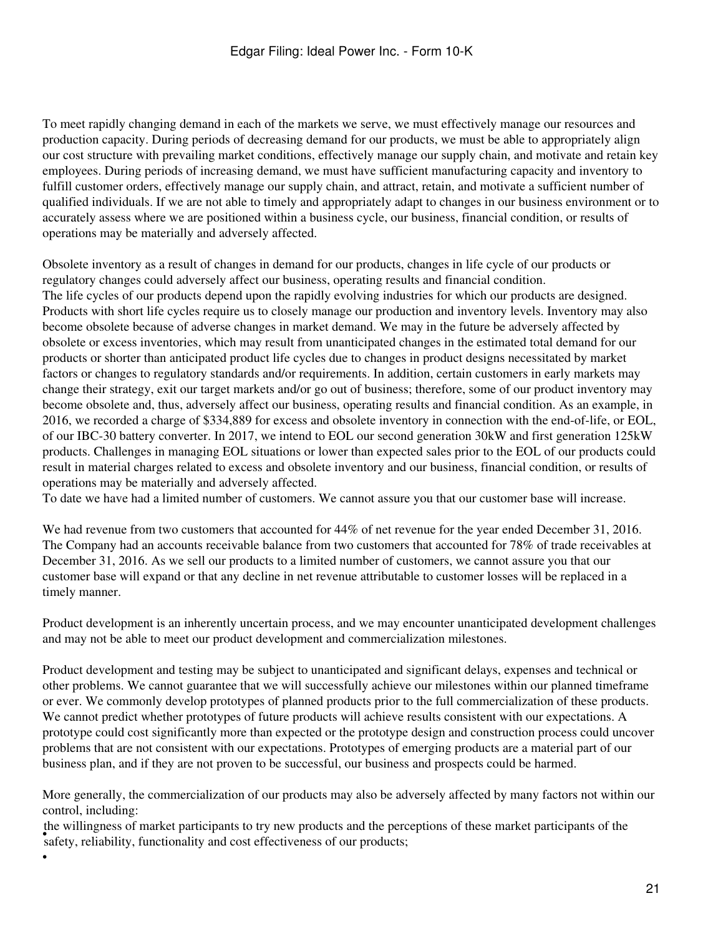To meet rapidly changing demand in each of the markets we serve, we must effectively manage our resources and production capacity. During periods of decreasing demand for our products, we must be able to appropriately align our cost structure with prevailing market conditions, effectively manage our supply chain, and motivate and retain key employees. During periods of increasing demand, we must have sufficient manufacturing capacity and inventory to fulfill customer orders, effectively manage our supply chain, and attract, retain, and motivate a sufficient number of qualified individuals. If we are not able to timely and appropriately adapt to changes in our business environment or to accurately assess where we are positioned within a business cycle, our business, financial condition, or results of operations may be materially and adversely affected.

Obsolete inventory as a result of changes in demand for our products, changes in life cycle of our products or regulatory changes could adversely affect our business, operating results and financial condition. The life cycles of our products depend upon the rapidly evolving industries for which our products are designed. Products with short life cycles require us to closely manage our production and inventory levels. Inventory may also become obsolete because of adverse changes in market demand. We may in the future be adversely affected by obsolete or excess inventories, which may result from unanticipated changes in the estimated total demand for our products or shorter than anticipated product life cycles due to changes in product designs necessitated by market factors or changes to regulatory standards and/or requirements. In addition, certain customers in early markets may change their strategy, exit our target markets and/or go out of business; therefore, some of our product inventory may become obsolete and, thus, adversely affect our business, operating results and financial condition. As an example, in 2016, we recorded a charge of \$334,889 for excess and obsolete inventory in connection with the end-of-life, or EOL, of our IBC-30 battery converter. In 2017, we intend to EOL our second generation 30kW and first generation 125kW products. Challenges in managing EOL situations or lower than expected sales prior to the EOL of our products could result in material charges related to excess and obsolete inventory and our business, financial condition, or results of operations may be materially and adversely affected.

To date we have had a limited number of customers. We cannot assure you that our customer base will increase.

We had revenue from two customers that accounted for 44% of net revenue for the year ended December 31, 2016. The Company had an accounts receivable balance from two customers that accounted for 78% of trade receivables at December 31, 2016. As we sell our products to a limited number of customers, we cannot assure you that our customer base will expand or that any decline in net revenue attributable to customer losses will be replaced in a timely manner.

Product development is an inherently uncertain process, and we may encounter unanticipated development challenges and may not be able to meet our product development and commercialization milestones.

Product development and testing may be subject to unanticipated and significant delays, expenses and technical or other problems. We cannot guarantee that we will successfully achieve our milestones within our planned timeframe or ever. We commonly develop prototypes of planned products prior to the full commercialization of these products. We cannot predict whether prototypes of future products will achieve results consistent with our expectations. A prototype could cost significantly more than expected or the prototype design and construction process could uncover problems that are not consistent with our expectations. Prototypes of emerging products are a material part of our business plan, and if they are not proven to be successful, our business and prospects could be harmed.

More generally, the commercialization of our products may also be adversely affected by many factors not within our control, including:

are winnightess of market participants to try new products and the percent safety, reliability, functionality and cost effectiveness of our products; the willingness of market participants to try new products and the perceptions of these market participants of the

•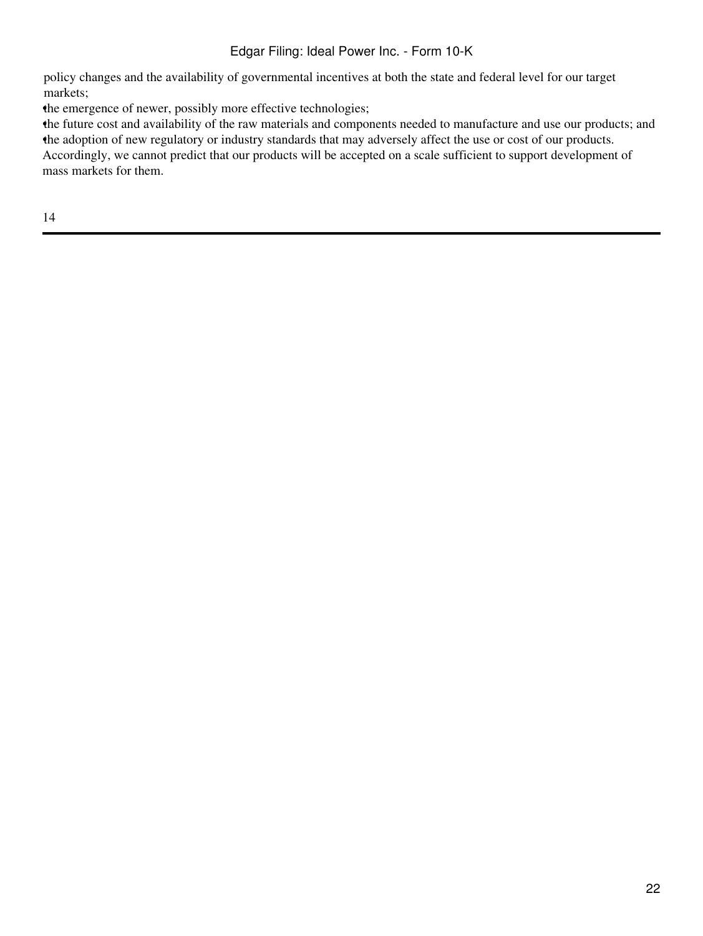policy changes and the availability of governmental incentives at both the state and federal level for our target markets;

the emergence of newer, possibly more effective technologies;

•the future cost and availability of the raw materials and components needed to manufacture and use our products; and •the adoption of new regulatory or industry standards that may adversely affect the use or cost of our products. Accordingly, we cannot predict that our products will be accepted on a scale sufficient to support development of mass markets for them.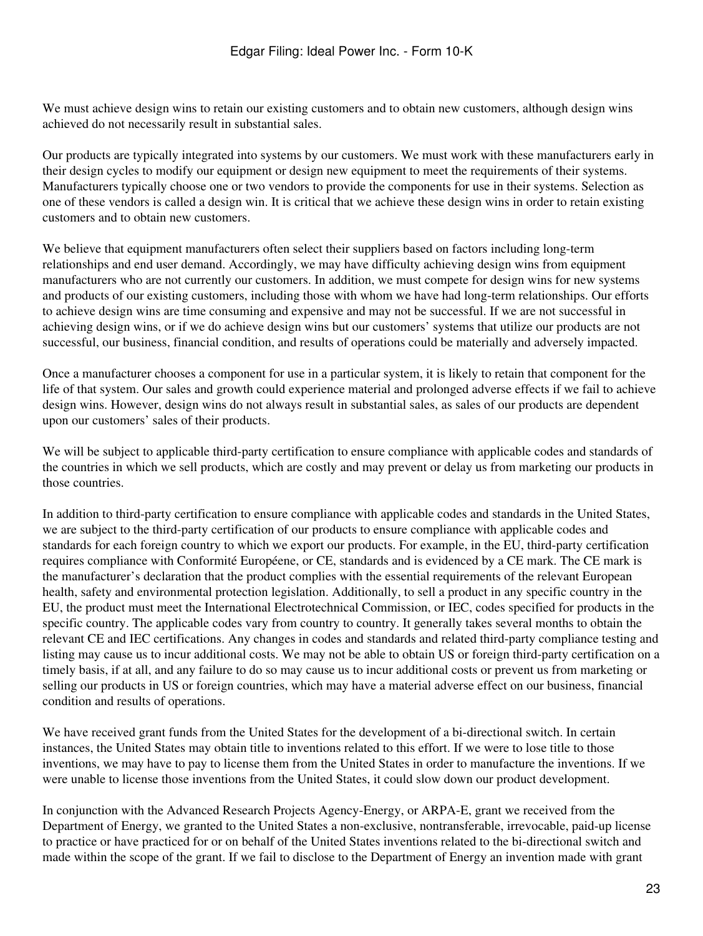We must achieve design wins to retain our existing customers and to obtain new customers, although design wins achieved do not necessarily result in substantial sales.

Our products are typically integrated into systems by our customers. We must work with these manufacturers early in their design cycles to modify our equipment or design new equipment to meet the requirements of their systems. Manufacturers typically choose one or two vendors to provide the components for use in their systems. Selection as one of these vendors is called a design win. It is critical that we achieve these design wins in order to retain existing customers and to obtain new customers.

We believe that equipment manufacturers often select their suppliers based on factors including long-term relationships and end user demand. Accordingly, we may have difficulty achieving design wins from equipment manufacturers who are not currently our customers. In addition, we must compete for design wins for new systems and products of our existing customers, including those with whom we have had long-term relationships. Our efforts to achieve design wins are time consuming and expensive and may not be successful. If we are not successful in achieving design wins, or if we do achieve design wins but our customers' systems that utilize our products are not successful, our business, financial condition, and results of operations could be materially and adversely impacted.

Once a manufacturer chooses a component for use in a particular system, it is likely to retain that component for the life of that system. Our sales and growth could experience material and prolonged adverse effects if we fail to achieve design wins. However, design wins do not always result in substantial sales, as sales of our products are dependent upon our customers' sales of their products.

We will be subject to applicable third-party certification to ensure compliance with applicable codes and standards of the countries in which we sell products, which are costly and may prevent or delay us from marketing our products in those countries.

In addition to third-party certification to ensure compliance with applicable codes and standards in the United States, we are subject to the third-party certification of our products to ensure compliance with applicable codes and standards for each foreign country to which we export our products. For example, in the EU, third-party certification requires compliance with Conformité Européene, or CE, standards and is evidenced by a CE mark. The CE mark is the manufacturer's declaration that the product complies with the essential requirements of the relevant European health, safety and environmental protection legislation. Additionally, to sell a product in any specific country in the EU, the product must meet the International Electrotechnical Commission, or IEC, codes specified for products in the specific country. The applicable codes vary from country to country. It generally takes several months to obtain the relevant CE and IEC certifications. Any changes in codes and standards and related third-party compliance testing and listing may cause us to incur additional costs. We may not be able to obtain US or foreign third-party certification on a timely basis, if at all, and any failure to do so may cause us to incur additional costs or prevent us from marketing or selling our products in US or foreign countries, which may have a material adverse effect on our business, financial condition and results of operations.

We have received grant funds from the United States for the development of a bi-directional switch. In certain instances, the United States may obtain title to inventions related to this effort. If we were to lose title to those inventions, we may have to pay to license them from the United States in order to manufacture the inventions. If we were unable to license those inventions from the United States, it could slow down our product development.

In conjunction with the Advanced Research Projects Agency-Energy, or ARPA-E, grant we received from the Department of Energy, we granted to the United States a non-exclusive, nontransferable, irrevocable, paid-up license to practice or have practiced for or on behalf of the United States inventions related to the bi-directional switch and made within the scope of the grant. If we fail to disclose to the Department of Energy an invention made with grant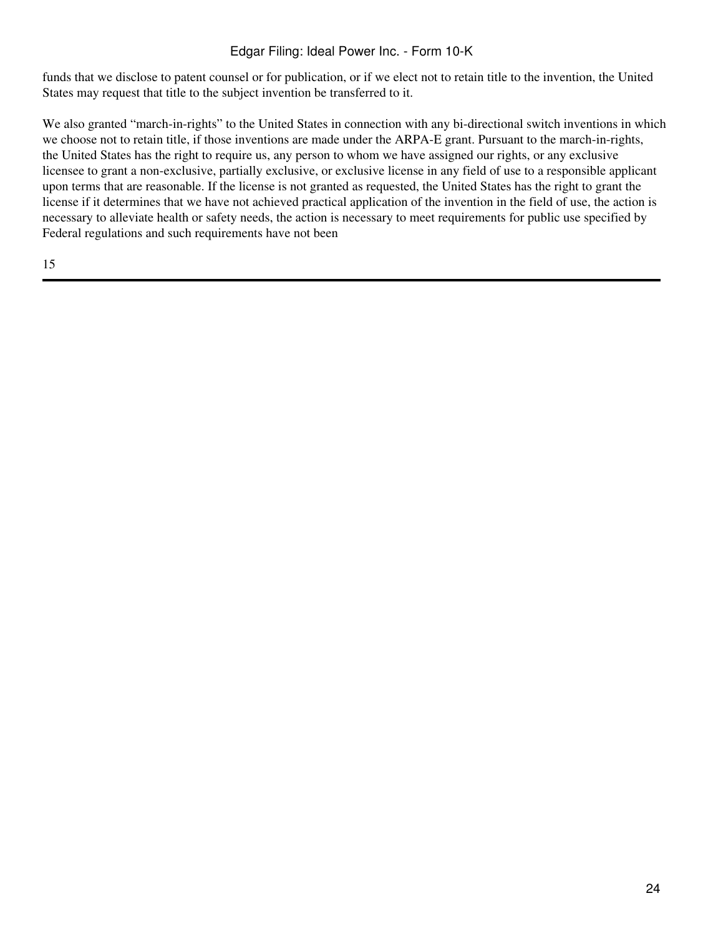funds that we disclose to patent counsel or for publication, or if we elect not to retain title to the invention, the United States may request that title to the subject invention be transferred to it.

We also granted "march-in-rights" to the United States in connection with any bi-directional switch inventions in which we choose not to retain title, if those inventions are made under the ARPA-E grant. Pursuant to the march-in-rights, the United States has the right to require us, any person to whom we have assigned our rights, or any exclusive licensee to grant a non-exclusive, partially exclusive, or exclusive license in any field of use to a responsible applicant upon terms that are reasonable. If the license is not granted as requested, the United States has the right to grant the license if it determines that we have not achieved practical application of the invention in the field of use, the action is necessary to alleviate health or safety needs, the action is necessary to meet requirements for public use specified by Federal regulations and such requirements have not been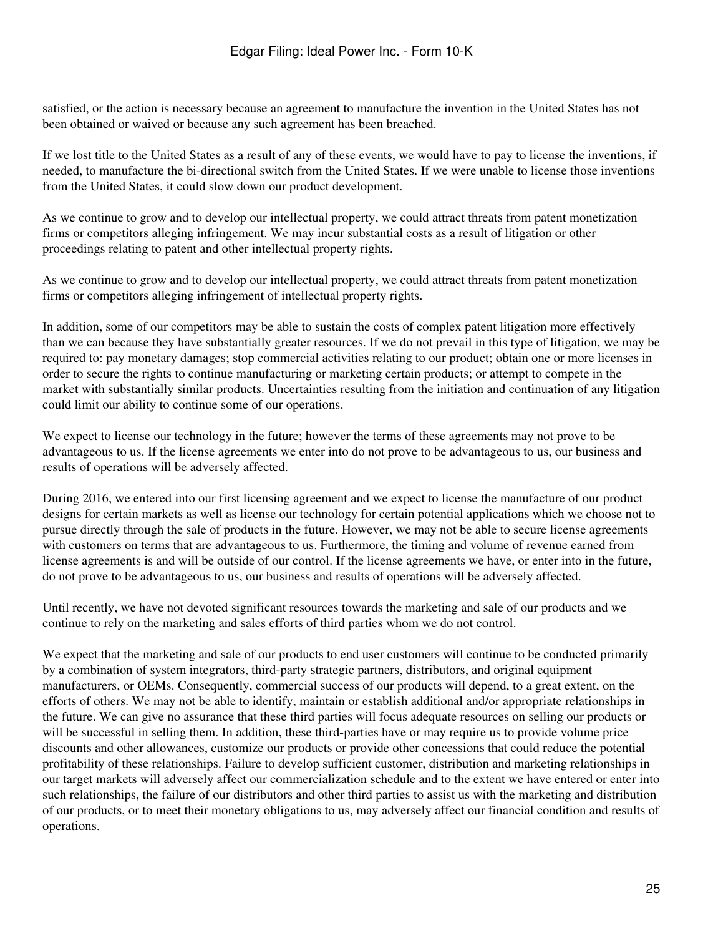satisfied, or the action is necessary because an agreement to manufacture the invention in the United States has not been obtained or waived or because any such agreement has been breached.

If we lost title to the United States as a result of any of these events, we would have to pay to license the inventions, if needed, to manufacture the bi-directional switch from the United States. If we were unable to license those inventions from the United States, it could slow down our product development.

As we continue to grow and to develop our intellectual property, we could attract threats from patent monetization firms or competitors alleging infringement. We may incur substantial costs as a result of litigation or other proceedings relating to patent and other intellectual property rights.

As we continue to grow and to develop our intellectual property, we could attract threats from patent monetization firms or competitors alleging infringement of intellectual property rights.

In addition, some of our competitors may be able to sustain the costs of complex patent litigation more effectively than we can because they have substantially greater resources. If we do not prevail in this type of litigation, we may be required to: pay monetary damages; stop commercial activities relating to our product; obtain one or more licenses in order to secure the rights to continue manufacturing or marketing certain products; or attempt to compete in the market with substantially similar products. Uncertainties resulting from the initiation and continuation of any litigation could limit our ability to continue some of our operations.

We expect to license our technology in the future; however the terms of these agreements may not prove to be advantageous to us. If the license agreements we enter into do not prove to be advantageous to us, our business and results of operations will be adversely affected.

During 2016, we entered into our first licensing agreement and we expect to license the manufacture of our product designs for certain markets as well as license our technology for certain potential applications which we choose not to pursue directly through the sale of products in the future. However, we may not be able to secure license agreements with customers on terms that are advantageous to us. Furthermore, the timing and volume of revenue earned from license agreements is and will be outside of our control. If the license agreements we have, or enter into in the future, do not prove to be advantageous to us, our business and results of operations will be adversely affected.

Until recently, we have not devoted significant resources towards the marketing and sale of our products and we continue to rely on the marketing and sales efforts of third parties whom we do not control.

We expect that the marketing and sale of our products to end user customers will continue to be conducted primarily by a combination of system integrators, third-party strategic partners, distributors, and original equipment manufacturers, or OEMs. Consequently, commercial success of our products will depend, to a great extent, on the efforts of others. We may not be able to identify, maintain or establish additional and/or appropriate relationships in the future. We can give no assurance that these third parties will focus adequate resources on selling our products or will be successful in selling them. In addition, these third-parties have or may require us to provide volume price discounts and other allowances, customize our products or provide other concessions that could reduce the potential profitability of these relationships. Failure to develop sufficient customer, distribution and marketing relationships in our target markets will adversely affect our commercialization schedule and to the extent we have entered or enter into such relationships, the failure of our distributors and other third parties to assist us with the marketing and distribution of our products, or to meet their monetary obligations to us, may adversely affect our financial condition and results of operations.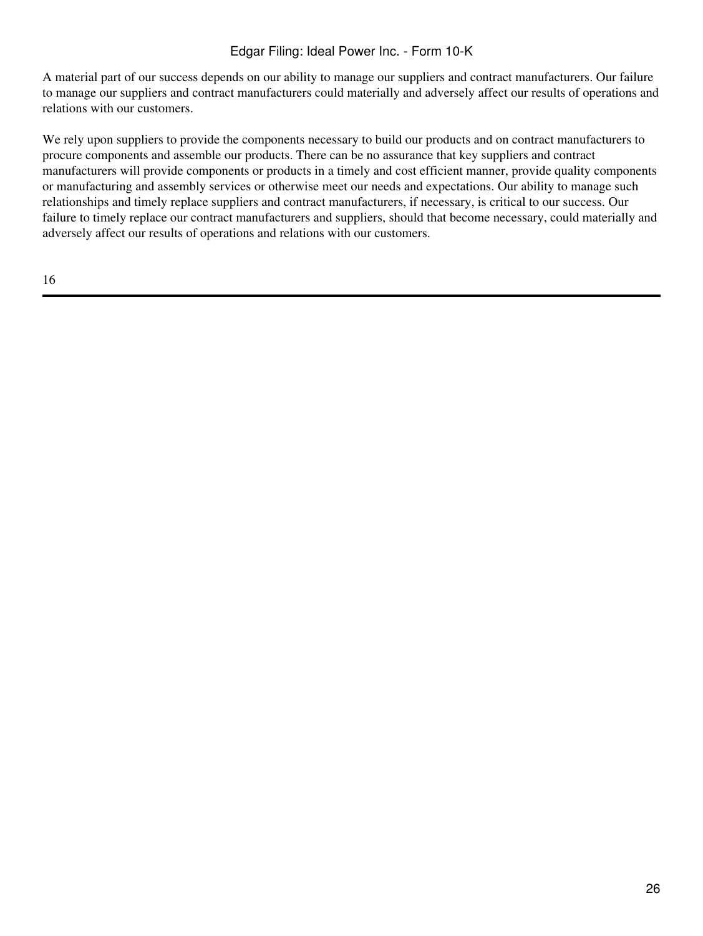A material part of our success depends on our ability to manage our suppliers and contract manufacturers. Our failure to manage our suppliers and contract manufacturers could materially and adversely affect our results of operations and relations with our customers.

We rely upon suppliers to provide the components necessary to build our products and on contract manufacturers to procure components and assemble our products. There can be no assurance that key suppliers and contract manufacturers will provide components or products in a timely and cost efficient manner, provide quality components or manufacturing and assembly services or otherwise meet our needs and expectations. Our ability to manage such relationships and timely replace suppliers and contract manufacturers, if necessary, is critical to our success. Our failure to timely replace our contract manufacturers and suppliers, should that become necessary, could materially and adversely affect our results of operations and relations with our customers.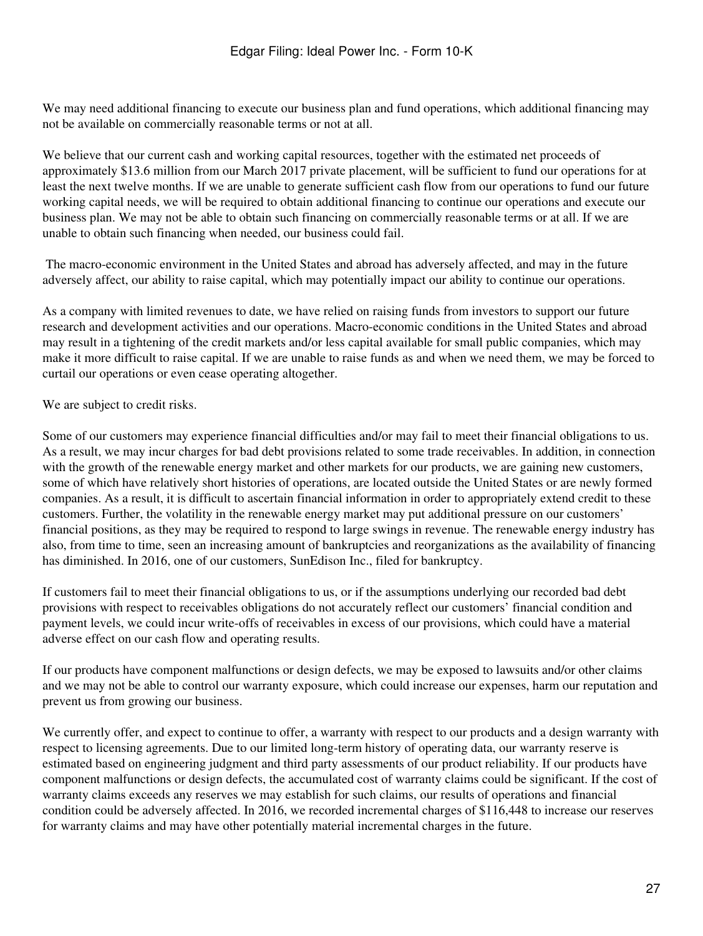We may need additional financing to execute our business plan and fund operations, which additional financing may not be available on commercially reasonable terms or not at all.

We believe that our current cash and working capital resources, together with the estimated net proceeds of approximately \$13.6 million from our March 2017 private placement, will be sufficient to fund our operations for at least the next twelve months. If we are unable to generate sufficient cash flow from our operations to fund our future working capital needs, we will be required to obtain additional financing to continue our operations and execute our business plan. We may not be able to obtain such financing on commercially reasonable terms or at all. If we are unable to obtain such financing when needed, our business could fail.

 The macro-economic environment in the United States and abroad has adversely affected, and may in the future adversely affect, our ability to raise capital, which may potentially impact our ability to continue our operations.

As a company with limited revenues to date, we have relied on raising funds from investors to support our future research and development activities and our operations. Macro-economic conditions in the United States and abroad may result in a tightening of the credit markets and/or less capital available for small public companies, which may make it more difficult to raise capital. If we are unable to raise funds as and when we need them, we may be forced to curtail our operations or even cease operating altogether.

We are subject to credit risks.

Some of our customers may experience financial difficulties and/or may fail to meet their financial obligations to us. As a result, we may incur charges for bad debt provisions related to some trade receivables. In addition, in connection with the growth of the renewable energy market and other markets for our products, we are gaining new customers, some of which have relatively short histories of operations, are located outside the United States or are newly formed companies. As a result, it is difficult to ascertain financial information in order to appropriately extend credit to these customers. Further, the volatility in the renewable energy market may put additional pressure on our customers' financial positions, as they may be required to respond to large swings in revenue. The renewable energy industry has also, from time to time, seen an increasing amount of bankruptcies and reorganizations as the availability of financing has diminished. In 2016, one of our customers, SunEdison Inc., filed for bankruptcy.

If customers fail to meet their financial obligations to us, or if the assumptions underlying our recorded bad debt provisions with respect to receivables obligations do not accurately reflect our customers' financial condition and payment levels, we could incur write-offs of receivables in excess of our provisions, which could have a material adverse effect on our cash flow and operating results.

If our products have component malfunctions or design defects, we may be exposed to lawsuits and/or other claims and we may not be able to control our warranty exposure, which could increase our expenses, harm our reputation and prevent us from growing our business.

We currently offer, and expect to continue to offer, a warranty with respect to our products and a design warranty with respect to licensing agreements. Due to our limited long-term history of operating data, our warranty reserve is estimated based on engineering judgment and third party assessments of our product reliability. If our products have component malfunctions or design defects, the accumulated cost of warranty claims could be significant. If the cost of warranty claims exceeds any reserves we may establish for such claims, our results of operations and financial condition could be adversely affected. In 2016, we recorded incremental charges of \$116,448 to increase our reserves for warranty claims and may have other potentially material incremental charges in the future.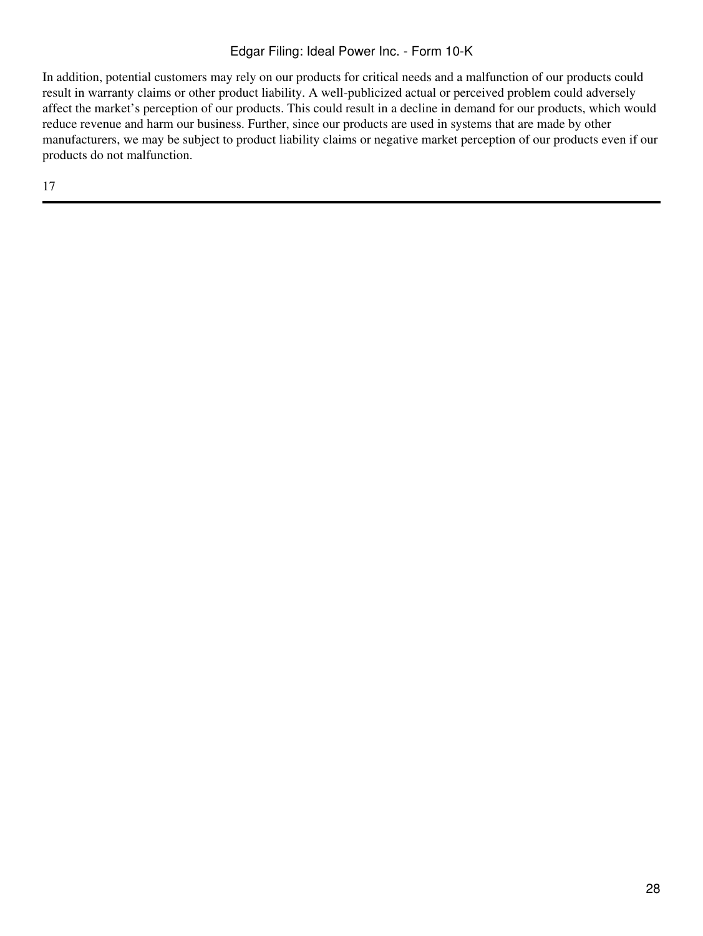In addition, potential customers may rely on our products for critical needs and a malfunction of our products could result in warranty claims or other product liability. A well-publicized actual or perceived problem could adversely affect the market's perception of our products. This could result in a decline in demand for our products, which would reduce revenue and harm our business. Further, since our products are used in systems that are made by other manufacturers, we may be subject to product liability claims or negative market perception of our products even if our products do not malfunction.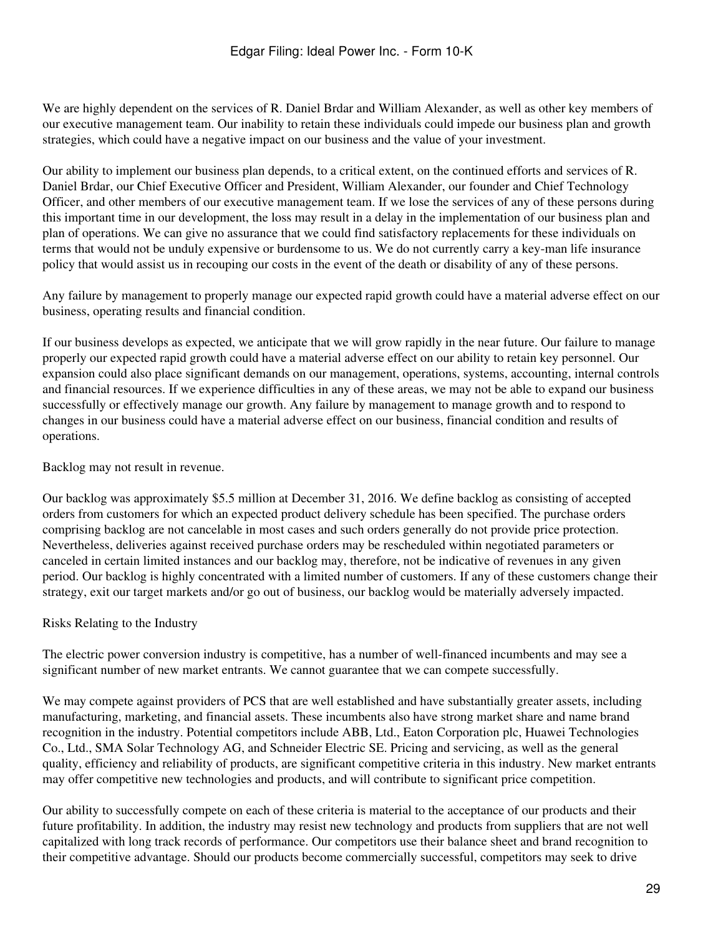We are highly dependent on the services of R. Daniel Brdar and William Alexander, as well as other key members of our executive management team. Our inability to retain these individuals could impede our business plan and growth strategies, which could have a negative impact on our business and the value of your investment.

Our ability to implement our business plan depends, to a critical extent, on the continued efforts and services of R. Daniel Brdar, our Chief Executive Officer and President, William Alexander, our founder and Chief Technology Officer, and other members of our executive management team. If we lose the services of any of these persons during this important time in our development, the loss may result in a delay in the implementation of our business plan and plan of operations. We can give no assurance that we could find satisfactory replacements for these individuals on terms that would not be unduly expensive or burdensome to us. We do not currently carry a key-man life insurance policy that would assist us in recouping our costs in the event of the death or disability of any of these persons.

Any failure by management to properly manage our expected rapid growth could have a material adverse effect on our business, operating results and financial condition.

If our business develops as expected, we anticipate that we will grow rapidly in the near future. Our failure to manage properly our expected rapid growth could have a material adverse effect on our ability to retain key personnel. Our expansion could also place significant demands on our management, operations, systems, accounting, internal controls and financial resources. If we experience difficulties in any of these areas, we may not be able to expand our business successfully or effectively manage our growth. Any failure by management to manage growth and to respond to changes in our business could have a material adverse effect on our business, financial condition and results of operations.

Backlog may not result in revenue.

Our backlog was approximately \$5.5 million at December 31, 2016. We define backlog as consisting of accepted orders from customers for which an expected product delivery schedule has been specified. The purchase orders comprising backlog are not cancelable in most cases and such orders generally do not provide price protection. Nevertheless, deliveries against received purchase orders may be rescheduled within negotiated parameters or canceled in certain limited instances and our backlog may, therefore, not be indicative of revenues in any given period. Our backlog is highly concentrated with a limited number of customers. If any of these customers change their strategy, exit our target markets and/or go out of business, our backlog would be materially adversely impacted.

### Risks Relating to the Industry

The electric power conversion industry is competitive, has a number of well-financed incumbents and may see a significant number of new market entrants. We cannot guarantee that we can compete successfully.

We may compete against providers of PCS that are well established and have substantially greater assets, including manufacturing, marketing, and financial assets. These incumbents also have strong market share and name brand recognition in the industry. Potential competitors include ABB, Ltd., Eaton Corporation plc, Huawei Technologies Co., Ltd., SMA Solar Technology AG, and Schneider Electric SE. Pricing and servicing, as well as the general quality, efficiency and reliability of products, are significant competitive criteria in this industry. New market entrants may offer competitive new technologies and products, and will contribute to significant price competition.

Our ability to successfully compete on each of these criteria is material to the acceptance of our products and their future profitability. In addition, the industry may resist new technology and products from suppliers that are not well capitalized with long track records of performance. Our competitors use their balance sheet and brand recognition to their competitive advantage. Should our products become commercially successful, competitors may seek to drive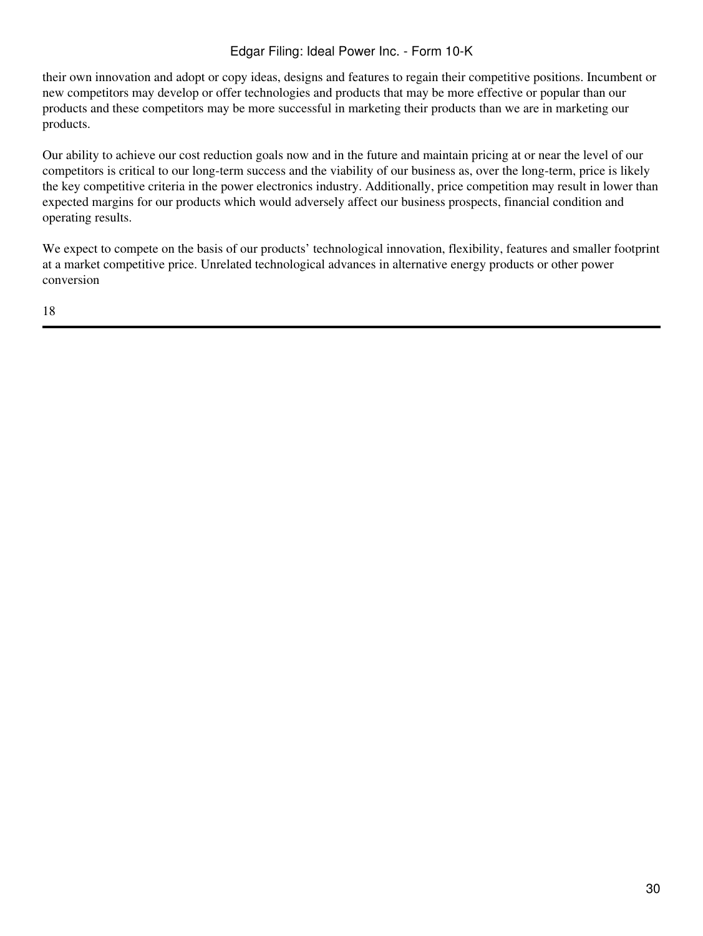their own innovation and adopt or copy ideas, designs and features to regain their competitive positions. Incumbent or new competitors may develop or offer technologies and products that may be more effective or popular than our products and these competitors may be more successful in marketing their products than we are in marketing our products.

Our ability to achieve our cost reduction goals now and in the future and maintain pricing at or near the level of our competitors is critical to our long-term success and the viability of our business as, over the long-term, price is likely the key competitive criteria in the power electronics industry. Additionally, price competition may result in lower than expected margins for our products which would adversely affect our business prospects, financial condition and operating results.

We expect to compete on the basis of our products' technological innovation, flexibility, features and smaller footprint at a market competitive price. Unrelated technological advances in alternative energy products or other power conversion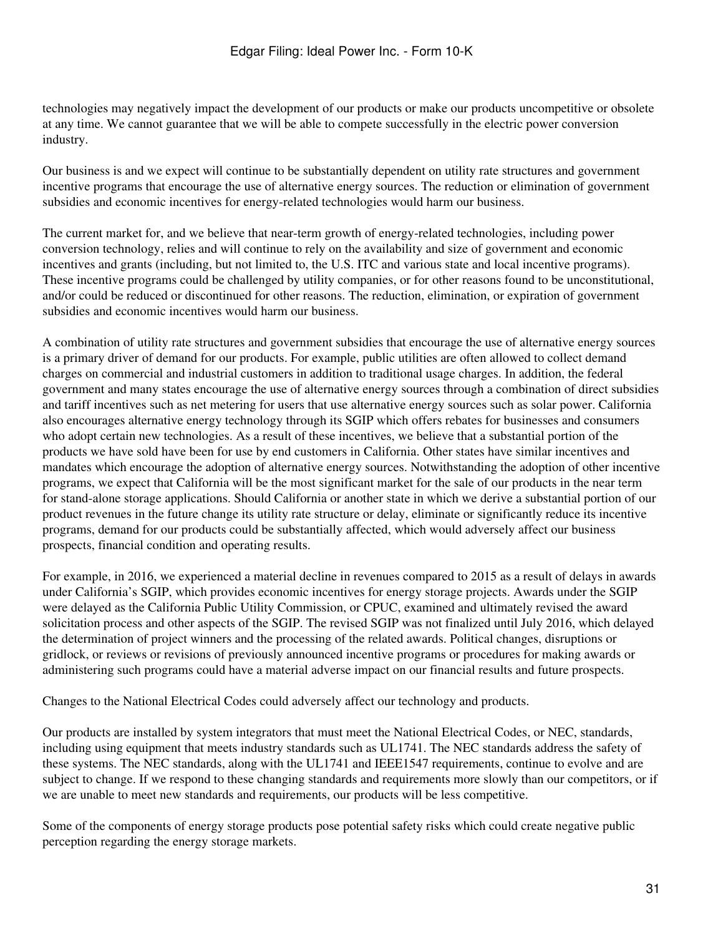technologies may negatively impact the development of our products or make our products uncompetitive or obsolete at any time. We cannot guarantee that we will be able to compete successfully in the electric power conversion industry.

Our business is and we expect will continue to be substantially dependent on utility rate structures and government incentive programs that encourage the use of alternative energy sources. The reduction or elimination of government subsidies and economic incentives for energy-related technologies would harm our business.

The current market for, and we believe that near-term growth of energy-related technologies, including power conversion technology, relies and will continue to rely on the availability and size of government and economic incentives and grants (including, but not limited to, the U.S. ITC and various state and local incentive programs). These incentive programs could be challenged by utility companies, or for other reasons found to be unconstitutional, and/or could be reduced or discontinued for other reasons. The reduction, elimination, or expiration of government subsidies and economic incentives would harm our business.

A combination of utility rate structures and government subsidies that encourage the use of alternative energy sources is a primary driver of demand for our products. For example, public utilities are often allowed to collect demand charges on commercial and industrial customers in addition to traditional usage charges. In addition, the federal government and many states encourage the use of alternative energy sources through a combination of direct subsidies and tariff incentives such as net metering for users that use alternative energy sources such as solar power. California also encourages alternative energy technology through its SGIP which offers rebates for businesses and consumers who adopt certain new technologies. As a result of these incentives, we believe that a substantial portion of the products we have sold have been for use by end customers in California. Other states have similar incentives and mandates which encourage the adoption of alternative energy sources. Notwithstanding the adoption of other incentive programs, we expect that California will be the most significant market for the sale of our products in the near term for stand-alone storage applications. Should California or another state in which we derive a substantial portion of our product revenues in the future change its utility rate structure or delay, eliminate or significantly reduce its incentive programs, demand for our products could be substantially affected, which would adversely affect our business prospects, financial condition and operating results.

For example, in 2016, we experienced a material decline in revenues compared to 2015 as a result of delays in awards under California's SGIP, which provides economic incentives for energy storage projects. Awards under the SGIP were delayed as the California Public Utility Commission, or CPUC, examined and ultimately revised the award solicitation process and other aspects of the SGIP. The revised SGIP was not finalized until July 2016, which delayed the determination of project winners and the processing of the related awards. Political changes, disruptions or gridlock, or reviews or revisions of previously announced incentive programs or procedures for making awards or administering such programs could have a material adverse impact on our financial results and future prospects.

Changes to the National Electrical Codes could adversely affect our technology and products.

Our products are installed by system integrators that must meet the National Electrical Codes, or NEC, standards, including using equipment that meets industry standards such as UL1741. The NEC standards address the safety of these systems. The NEC standards, along with the UL1741 and IEEE1547 requirements, continue to evolve and are subject to change. If we respond to these changing standards and requirements more slowly than our competitors, or if we are unable to meet new standards and requirements, our products will be less competitive.

Some of the components of energy storage products pose potential safety risks which could create negative public perception regarding the energy storage markets.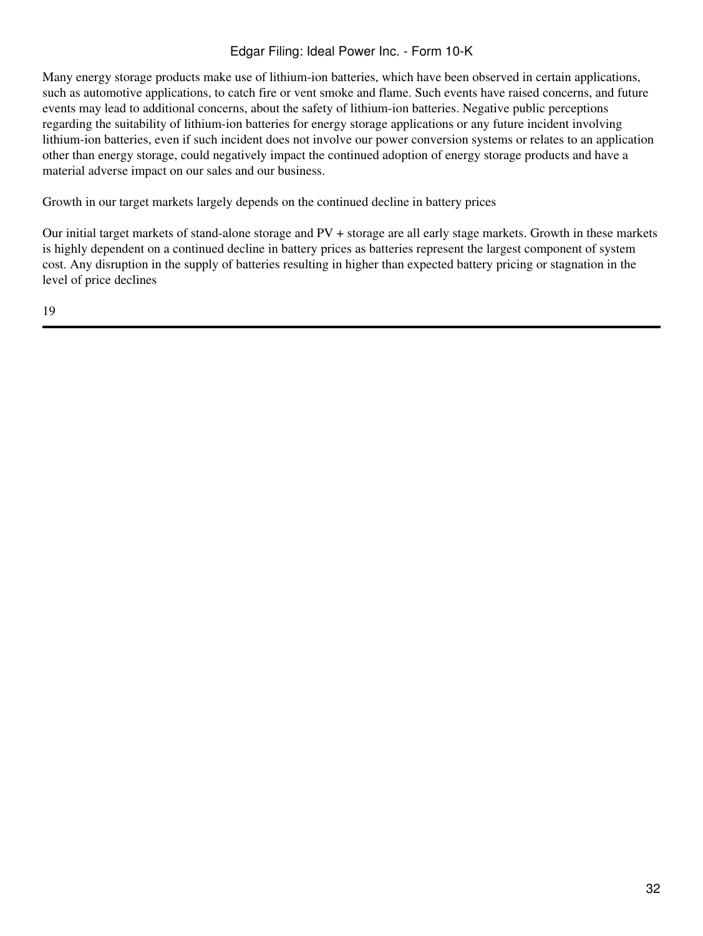Many energy storage products make use of lithium-ion batteries, which have been observed in certain applications, such as automotive applications, to catch fire or vent smoke and flame. Such events have raised concerns, and future events may lead to additional concerns, about the safety of lithium-ion batteries. Negative public perceptions regarding the suitability of lithium-ion batteries for energy storage applications or any future incident involving lithium-ion batteries, even if such incident does not involve our power conversion systems or relates to an application other than energy storage, could negatively impact the continued adoption of energy storage products and have a material adverse impact on our sales and our business.

Growth in our target markets largely depends on the continued decline in battery prices

Our initial target markets of stand-alone storage and PV + storage are all early stage markets. Growth in these markets is highly dependent on a continued decline in battery prices as batteries represent the largest component of system cost. Any disruption in the supply of batteries resulting in higher than expected battery pricing or stagnation in the level of price declines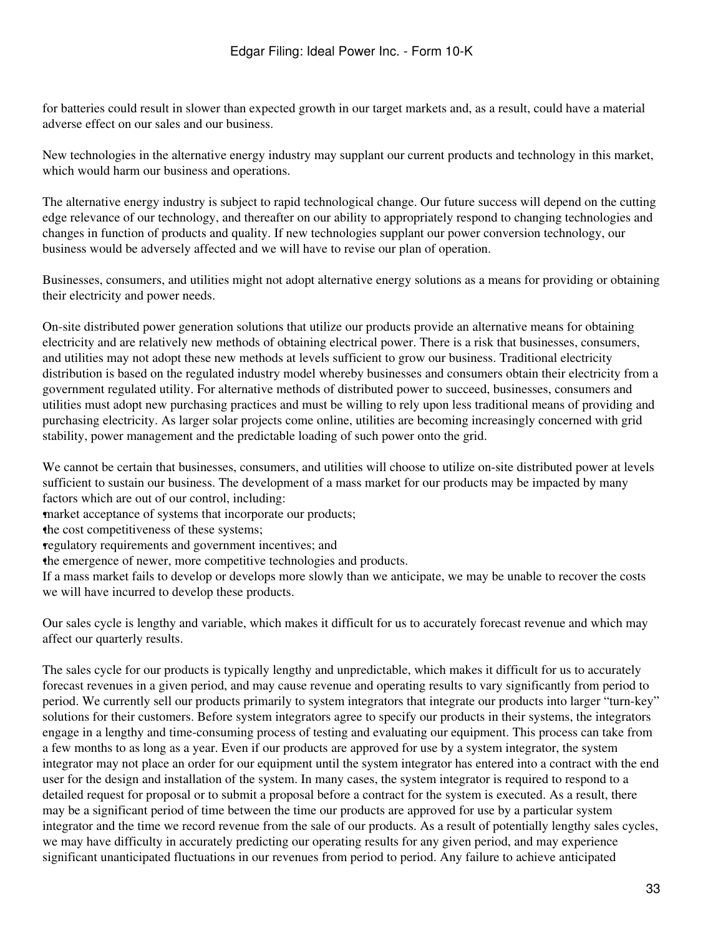for batteries could result in slower than expected growth in our target markets and, as a result, could have a material adverse effect on our sales and our business.

New technologies in the alternative energy industry may supplant our current products and technology in this market, which would harm our business and operations.

The alternative energy industry is subject to rapid technological change. Our future success will depend on the cutting edge relevance of our technology, and thereafter on our ability to appropriately respond to changing technologies and changes in function of products and quality. If new technologies supplant our power conversion technology, our business would be adversely affected and we will have to revise our plan of operation.

Businesses, consumers, and utilities might not adopt alternative energy solutions as a means for providing or obtaining their electricity and power needs.

On-site distributed power generation solutions that utilize our products provide an alternative means for obtaining electricity and are relatively new methods of obtaining electrical power. There is a risk that businesses, consumers, and utilities may not adopt these new methods at levels sufficient to grow our business. Traditional electricity distribution is based on the regulated industry model whereby businesses and consumers obtain their electricity from a government regulated utility. For alternative methods of distributed power to succeed, businesses, consumers and utilities must adopt new purchasing practices and must be willing to rely upon less traditional means of providing and purchasing electricity. As larger solar projects come online, utilities are becoming increasingly concerned with grid stability, power management and the predictable loading of such power onto the grid.

We cannot be certain that businesses, consumers, and utilities will choose to utilize on-site distributed power at levels sufficient to sustain our business. The development of a mass market for our products may be impacted by many factors which are out of our control, including:

market acceptance of systems that incorporate our products;

•the cost competitiveness of these systems;

•regulatory requirements and government incentives; and

•the emergence of newer, more competitive technologies and products.

If a mass market fails to develop or develops more slowly than we anticipate, we may be unable to recover the costs we will have incurred to develop these products.

Our sales cycle is lengthy and variable, which makes it difficult for us to accurately forecast revenue and which may affect our quarterly results.

The sales cycle for our products is typically lengthy and unpredictable, which makes it difficult for us to accurately forecast revenues in a given period, and may cause revenue and operating results to vary significantly from period to period. We currently sell our products primarily to system integrators that integrate our products into larger "turn-key" solutions for their customers. Before system integrators agree to specify our products in their systems, the integrators engage in a lengthy and time-consuming process of testing and evaluating our equipment. This process can take from a few months to as long as a year. Even if our products are approved for use by a system integrator, the system integrator may not place an order for our equipment until the system integrator has entered into a contract with the end user for the design and installation of the system. In many cases, the system integrator is required to respond to a detailed request for proposal or to submit a proposal before a contract for the system is executed. As a result, there may be a significant period of time between the time our products are approved for use by a particular system integrator and the time we record revenue from the sale of our products. As a result of potentially lengthy sales cycles, we may have difficulty in accurately predicting our operating results for any given period, and may experience significant unanticipated fluctuations in our revenues from period to period. Any failure to achieve anticipated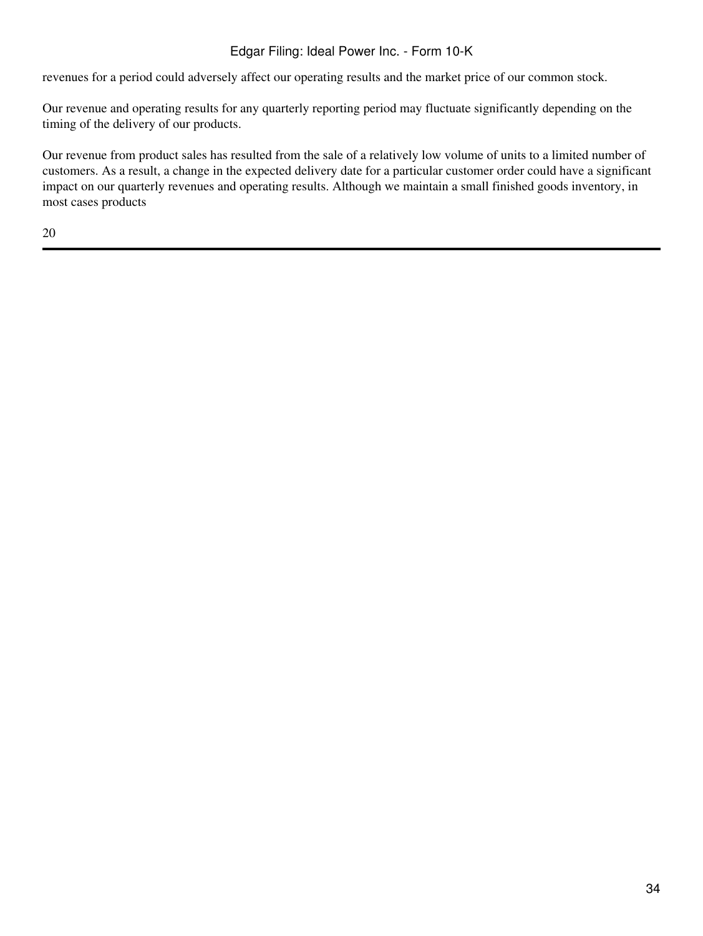revenues for a period could adversely affect our operating results and the market price of our common stock.

Our revenue and operating results for any quarterly reporting period may fluctuate significantly depending on the timing of the delivery of our products.

Our revenue from product sales has resulted from the sale of a relatively low volume of units to a limited number of customers. As a result, a change in the expected delivery date for a particular customer order could have a significant impact on our quarterly revenues and operating results. Although we maintain a small finished goods inventory, in most cases products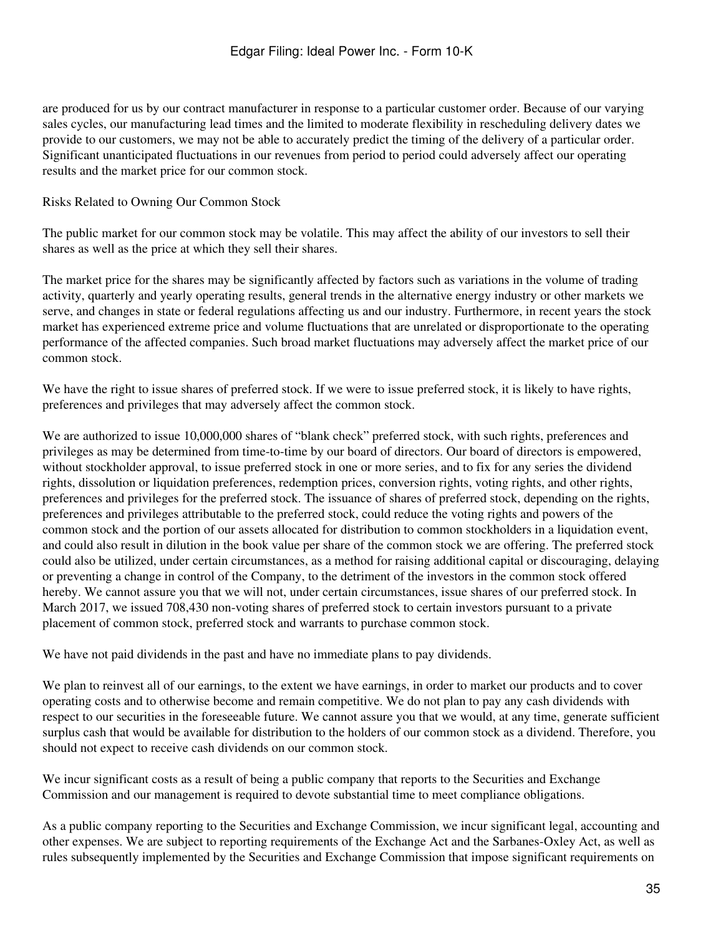are produced for us by our contract manufacturer in response to a particular customer order. Because of our varying sales cycles, our manufacturing lead times and the limited to moderate flexibility in rescheduling delivery dates we provide to our customers, we may not be able to accurately predict the timing of the delivery of a particular order. Significant unanticipated fluctuations in our revenues from period to period could adversely affect our operating results and the market price for our common stock.

### Risks Related to Owning Our Common Stock

The public market for our common stock may be volatile. This may affect the ability of our investors to sell their shares as well as the price at which they sell their shares.

The market price for the shares may be significantly affected by factors such as variations in the volume of trading activity, quarterly and yearly operating results, general trends in the alternative energy industry or other markets we serve, and changes in state or federal regulations affecting us and our industry. Furthermore, in recent years the stock market has experienced extreme price and volume fluctuations that are unrelated or disproportionate to the operating performance of the affected companies. Such broad market fluctuations may adversely affect the market price of our common stock.

We have the right to issue shares of preferred stock. If we were to issue preferred stock, it is likely to have rights, preferences and privileges that may adversely affect the common stock.

We are authorized to issue 10,000,000 shares of "blank check" preferred stock, with such rights, preferences and privileges as may be determined from time-to-time by our board of directors. Our board of directors is empowered, without stockholder approval, to issue preferred stock in one or more series, and to fix for any series the dividend rights, dissolution or liquidation preferences, redemption prices, conversion rights, voting rights, and other rights, preferences and privileges for the preferred stock. The issuance of shares of preferred stock, depending on the rights, preferences and privileges attributable to the preferred stock, could reduce the voting rights and powers of the common stock and the portion of our assets allocated for distribution to common stockholders in a liquidation event, and could also result in dilution in the book value per share of the common stock we are offering. The preferred stock could also be utilized, under certain circumstances, as a method for raising additional capital or discouraging, delaying or preventing a change in control of the Company, to the detriment of the investors in the common stock offered hereby. We cannot assure you that we will not, under certain circumstances, issue shares of our preferred stock. In March 2017, we issued 708,430 non-voting shares of preferred stock to certain investors pursuant to a private placement of common stock, preferred stock and warrants to purchase common stock.

We have not paid dividends in the past and have no immediate plans to pay dividends.

We plan to reinvest all of our earnings, to the extent we have earnings, in order to market our products and to cover operating costs and to otherwise become and remain competitive. We do not plan to pay any cash dividends with respect to our securities in the foreseeable future. We cannot assure you that we would, at any time, generate sufficient surplus cash that would be available for distribution to the holders of our common stock as a dividend. Therefore, you should not expect to receive cash dividends on our common stock.

We incur significant costs as a result of being a public company that reports to the Securities and Exchange Commission and our management is required to devote substantial time to meet compliance obligations.

As a public company reporting to the Securities and Exchange Commission, we incur significant legal, accounting and other expenses. We are subject to reporting requirements of the Exchange Act and the Sarbanes-Oxley Act, as well as rules subsequently implemented by the Securities and Exchange Commission that impose significant requirements on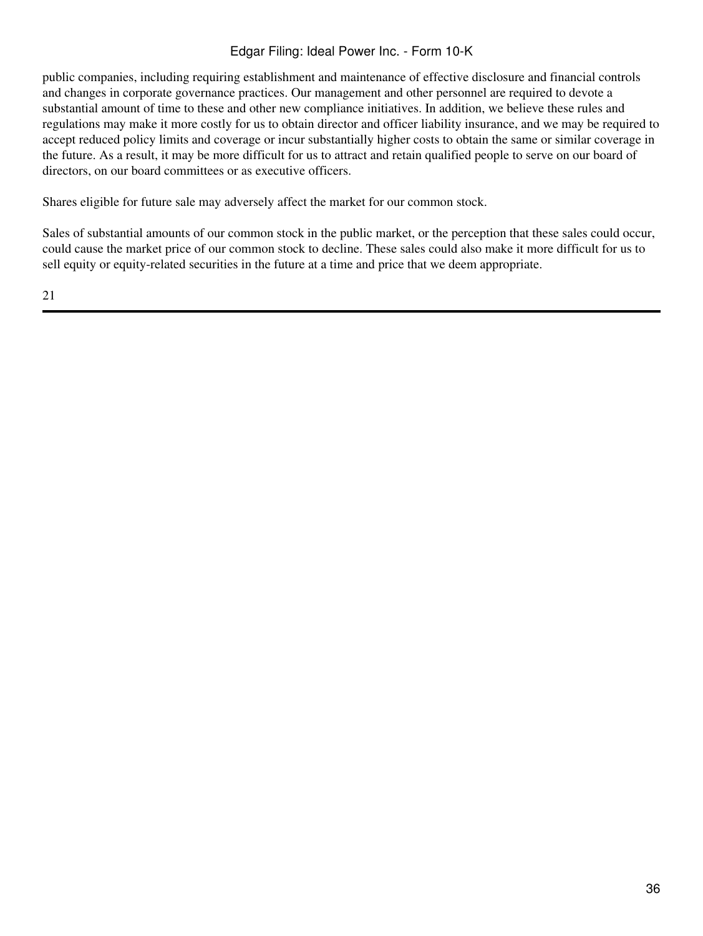public companies, including requiring establishment and maintenance of effective disclosure and financial controls and changes in corporate governance practices. Our management and other personnel are required to devote a substantial amount of time to these and other new compliance initiatives. In addition, we believe these rules and regulations may make it more costly for us to obtain director and officer liability insurance, and we may be required to accept reduced policy limits and coverage or incur substantially higher costs to obtain the same or similar coverage in the future. As a result, it may be more difficult for us to attract and retain qualified people to serve on our board of directors, on our board committees or as executive officers.

Shares eligible for future sale may adversely affect the market for our common stock.

Sales of substantial amounts of our common stock in the public market, or the perception that these sales could occur, could cause the market price of our common stock to decline. These sales could also make it more difficult for us to sell equity or equity-related securities in the future at a time and price that we deem appropriate.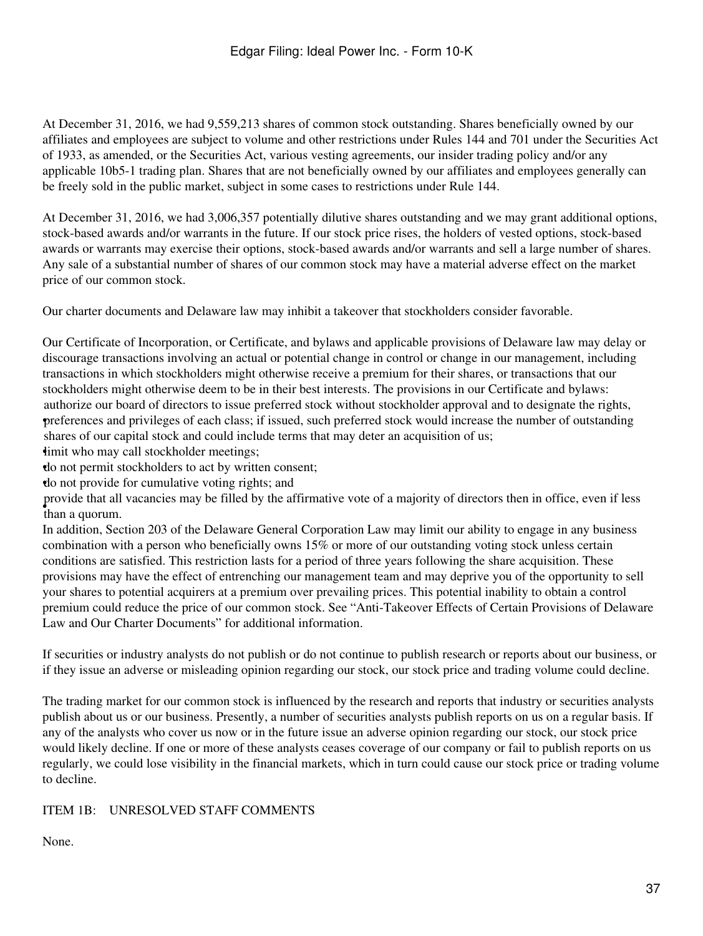At December 31, 2016, we had 9,559,213 shares of common stock outstanding. Shares beneficially owned by our affiliates and employees are subject to volume and other restrictions under Rules 144 and 701 under the Securities Act of 1933, as amended, or the Securities Act, various vesting agreements, our insider trading policy and/or any applicable 10b5-1 trading plan. Shares that are not beneficially owned by our affiliates and employees generally can be freely sold in the public market, subject in some cases to restrictions under Rule 144.

At December 31, 2016, we had 3,006,357 potentially dilutive shares outstanding and we may grant additional options, stock-based awards and/or warrants in the future. If our stock price rises, the holders of vested options, stock-based awards or warrants may exercise their options, stock-based awards and/or warrants and sell a large number of shares. Any sale of a substantial number of shares of our common stock may have a material adverse effect on the market price of our common stock.

Our charter documents and Delaware law may inhibit a takeover that stockholders consider favorable.

Our Certificate of Incorporation, or Certificate, and bylaws and applicable provisions of Delaware law may delay or discourage transactions involving an actual or potential change in control or change in our management, including transactions in which stockholders might otherwise receive a premium for their shares, or transactions that our stockholders might otherwise deem to be in their best interests. The provisions in our Certificate and bylaws: • preferences and privileges of each class; if issued, such preferred stock would increase the number of outstanding authorize our board of directors to issue preferred stock without stockholder approval and to designate the rights, shares of our capital stock and could include terms that may deter an acquisition of us;

**i** imit who may call stockholder meetings;

•do not permit stockholders to act by written consent;

•do not provide for cumulative voting rights; and

• than a quorum. provide that all vacancies may be filled by the affirmative vote of a majority of directors then in office, even if less

In addition, Section 203 of the Delaware General Corporation Law may limit our ability to engage in any business combination with a person who beneficially owns 15% or more of our outstanding voting stock unless certain conditions are satisfied. This restriction lasts for a period of three years following the share acquisition. These provisions may have the effect of entrenching our management team and may deprive you of the opportunity to sell your shares to potential acquirers at a premium over prevailing prices. This potential inability to obtain a control premium could reduce the price of our common stock. See "Anti-Takeover Effects of Certain Provisions of Delaware Law and Our Charter Documents" for additional information.

If securities or industry analysts do not publish or do not continue to publish research or reports about our business, or if they issue an adverse or misleading opinion regarding our stock, our stock price and trading volume could decline.

The trading market for our common stock is influenced by the research and reports that industry or securities analysts publish about us or our business. Presently, a number of securities analysts publish reports on us on a regular basis. If any of the analysts who cover us now or in the future issue an adverse opinion regarding our stock, our stock price would likely decline. If one or more of these analysts ceases coverage of our company or fail to publish reports on us regularly, we could lose visibility in the financial markets, which in turn could cause our stock price or trading volume to decline.

### ITEM 1B: UNRESOLVED STAFF COMMENTS

None.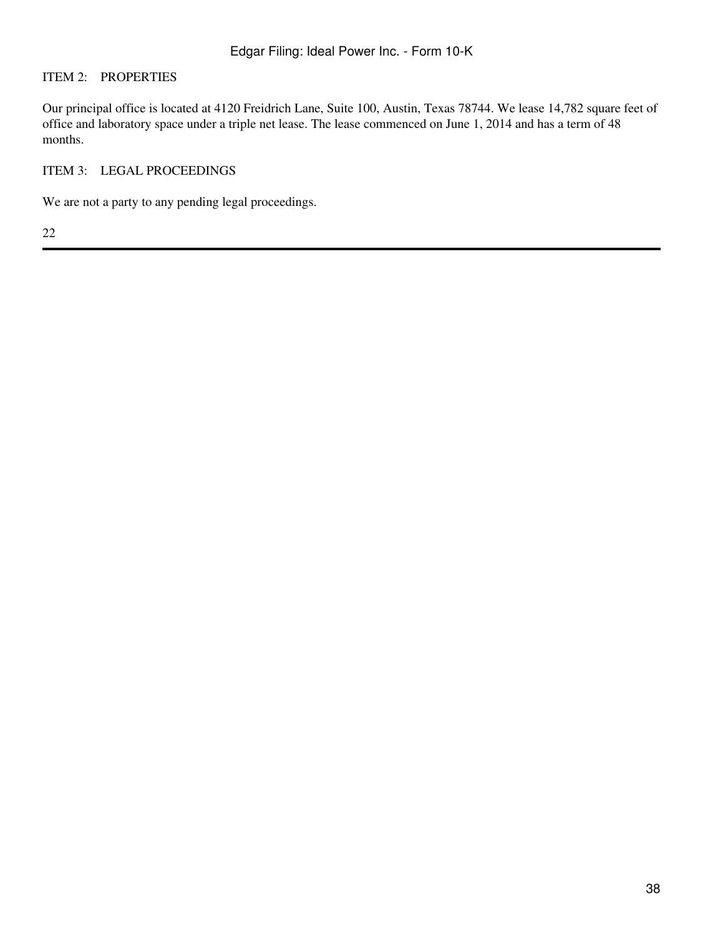### ITEM 2: PROPERTIES

Our principal office is located at 4120 Freidrich Lane, Suite 100, Austin, Texas 78744. We lease 14,782 square feet of office and laboratory space under a triple net lease. The lease commenced on June 1, 2014 and has a term of 48 months.

### ITEM 3: LEGAL PROCEEDINGS

We are not a party to any pending legal proceedings.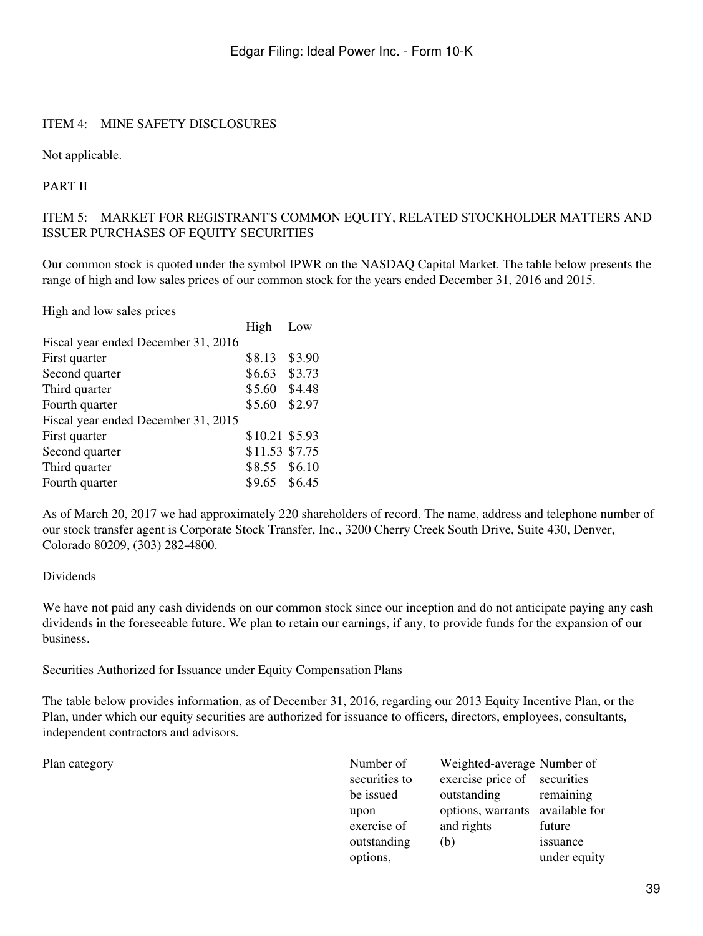### ITEM 4: MINE SAFETY DISCLOSURES

Not applicable.

PART II

### ITEM 5: MARKET FOR REGISTRANT'S COMMON EQUITY, RELATED STOCKHOLDER MATTERS AND ISSUER PURCHASES OF EQUITY SECURITIES

Our common stock is quoted under the symbol IPWR on the NASDAQ Capital Market. The table below presents the range of high and low sales prices of our common stock for the years ended December 31, 2016 and 2015.

High and low sales prices

|                                     | High           | Low    |
|-------------------------------------|----------------|--------|
| Fiscal year ended December 31, 2016 |                |        |
| First quarter                       | \$8.13         | \$3.90 |
| Second quarter                      | \$6.63         | \$3.73 |
| Third quarter                       | \$5.60         | \$4.48 |
| Fourth quarter                      | \$5.60         | \$2.97 |
| Fiscal year ended December 31, 2015 |                |        |
| First quarter                       | \$10.21 \$5.93 |        |
| Second quarter                      | \$11.53 \$7.75 |        |
| Third quarter                       | \$8.55 \$6.10  |        |
| Fourth quarter                      | \$9.65 \$6.45  |        |
|                                     |                |        |

As of March 20, 2017 we had approximately 220 shareholders of record. The name, address and telephone number of our stock transfer agent is Corporate Stock Transfer, Inc., 3200 Cherry Creek South Drive, Suite 430, Denver, Colorado 80209, (303) 282-4800.

### Dividends

We have not paid any cash dividends on our common stock since our inception and do not anticipate paying any cash dividends in the foreseeable future. We plan to retain our earnings, if any, to provide funds for the expansion of our business.

Securities Authorized for Issuance under Equity Compensation Plans

The table below provides information, as of December 31, 2016, regarding our 2013 Equity Incentive Plan, or the Plan, under which our equity securities are authorized for issuance to officers, directors, employees, consultants, independent contractors and advisors.

Plan category

| Number of     | Weighted-average Number of      |              |
|---------------|---------------------------------|--------------|
| securities to | exercise price of securities    |              |
| be issued     | outstanding                     | remaining    |
| upon          | options, warrants available for |              |
| exercise of   | and rights                      | future       |
| outstanding   | (b)                             | issuance     |
| options,      |                                 | under equity |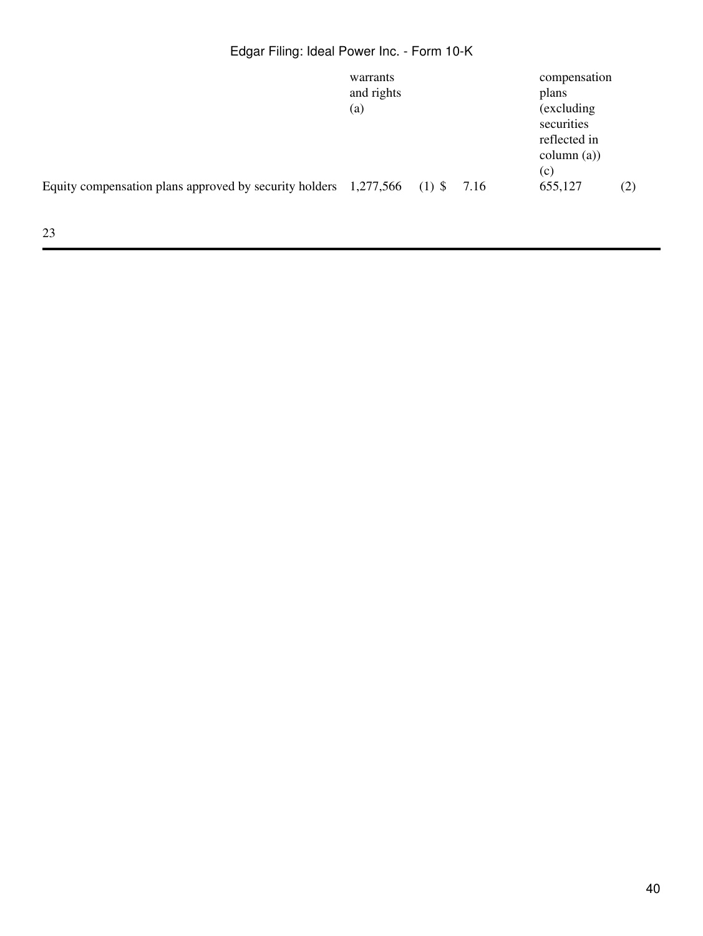# Edgar Filing: Ideal Power Inc. - Form 10-K

|                                                                               | warrants<br>and rights<br>(a) |  | compensation<br>plans<br>(excluding)<br>securities<br>reflected in<br>column (a)) |     |
|-------------------------------------------------------------------------------|-------------------------------|--|-----------------------------------------------------------------------------------|-----|
| Equity compensation plans approved by security holders $1,277,566$ (1) \$7.16 |                               |  | (c)<br>655,127                                                                    | (2) |
|                                                                               |                               |  |                                                                                   |     |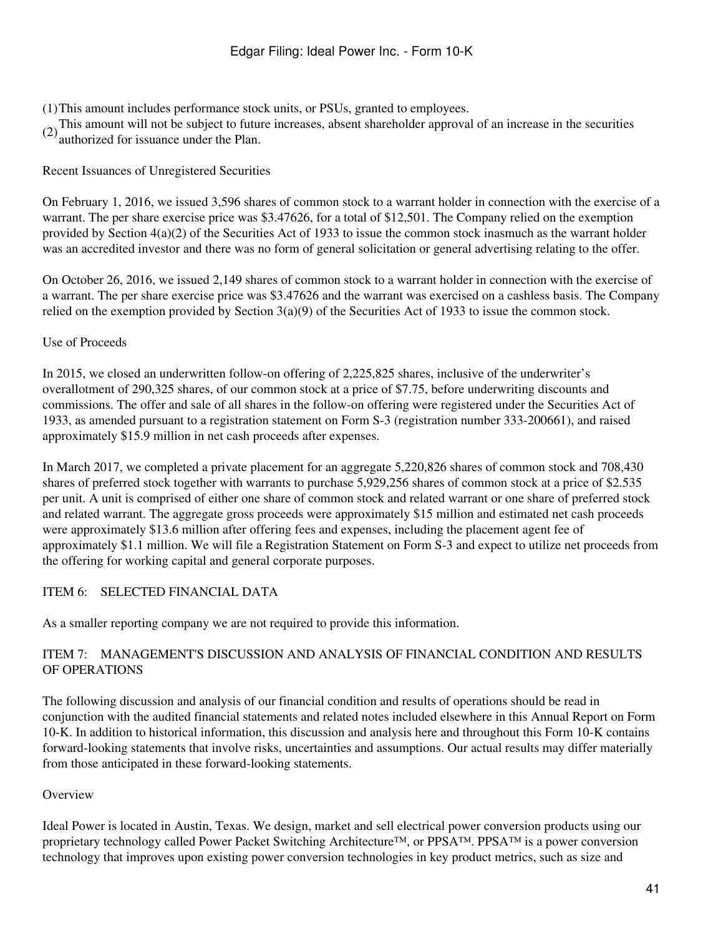- (1)This amount includes performance stock units, or PSUs, granted to employees.
- (2)This amount will not be subject to future increases, absent shareholder approval of an increase in the securities authorized for issuance under the Plan.
- 

### Recent Issuances of Unregistered Securities

On February 1, 2016, we issued 3,596 shares of common stock to a warrant holder in connection with the exercise of a warrant. The per share exercise price was \$3.47626, for a total of \$12,501. The Company relied on the exemption provided by Section 4(a)(2) of the Securities Act of 1933 to issue the common stock inasmuch as the warrant holder was an accredited investor and there was no form of general solicitation or general advertising relating to the offer.

On October 26, 2016, we issued 2,149 shares of common stock to a warrant holder in connection with the exercise of a warrant. The per share exercise price was \$3.47626 and the warrant was exercised on a cashless basis. The Company relied on the exemption provided by Section 3(a)(9) of the Securities Act of 1933 to issue the common stock.

### Use of Proceeds

In 2015, we closed an underwritten follow-on offering of 2,225,825 shares, inclusive of the underwriter's overallotment of 290,325 shares, of our common stock at a price of \$7.75, before underwriting discounts and commissions. The offer and sale of all shares in the follow-on offering were registered under the Securities Act of 1933, as amended pursuant to a registration statement on Form S-3 (registration number 333-200661), and raised approximately \$15.9 million in net cash proceeds after expenses.

In March 2017, we completed a private placement for an aggregate 5,220,826 shares of common stock and 708,430 shares of preferred stock together with warrants to purchase 5,929,256 shares of common stock at a price of \$2.535 per unit. A unit is comprised of either one share of common stock and related warrant or one share of preferred stock and related warrant. The aggregate gross proceeds were approximately \$15 million and estimated net cash proceeds were approximately \$13.6 million after offering fees and expenses, including the placement agent fee of approximately \$1.1 million. We will file a Registration Statement on Form S-3 and expect to utilize net proceeds from the offering for working capital and general corporate purposes.

### ITEM 6: SELECTED FINANCIAL DATA

As a smaller reporting company we are not required to provide this information.

## ITEM 7: MANAGEMENT'S DISCUSSION AND ANALYSIS OF FINANCIAL CONDITION AND RESULTS OF OPERATIONS

The following discussion and analysis of our financial condition and results of operations should be read in conjunction with the audited financial statements and related notes included elsewhere in this Annual Report on Form 10-K. In addition to historical information, this discussion and analysis here and throughout this Form 10-K contains forward-looking statements that involve risks, uncertainties and assumptions. Our actual results may differ materially from those anticipated in these forward-looking statements.

### **Overview**

Ideal Power is located in Austin, Texas. We design, market and sell electrical power conversion products using our proprietary technology called Power Packet Switching Architecture™, or PPSA™. PPSA™ is a power conversion technology that improves upon existing power conversion technologies in key product metrics, such as size and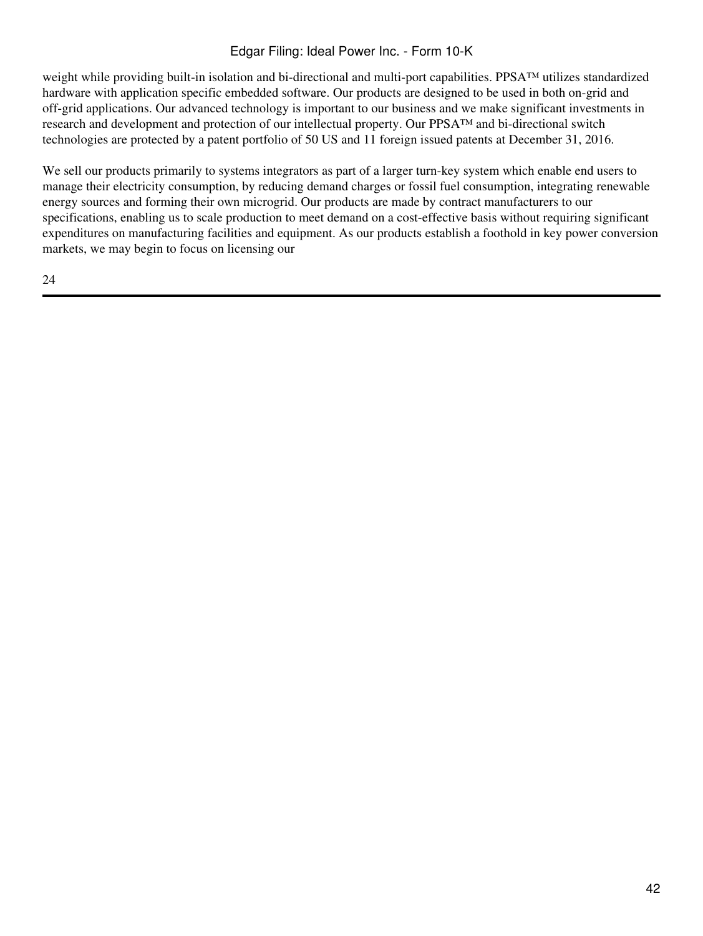## Edgar Filing: Ideal Power Inc. - Form 10-K

weight while providing built-in isolation and bi-directional and multi-port capabilities. PPSA™ utilizes standardized hardware with application specific embedded software. Our products are designed to be used in both on-grid and off-grid applications. Our advanced technology is important to our business and we make significant investments in research and development and protection of our intellectual property. Our PPSA™ and bi-directional switch technologies are protected by a patent portfolio of 50 US and 11 foreign issued patents at December 31, 2016.

We sell our products primarily to systems integrators as part of a larger turn-key system which enable end users to manage their electricity consumption, by reducing demand charges or fossil fuel consumption, integrating renewable energy sources and forming their own microgrid. Our products are made by contract manufacturers to our specifications, enabling us to scale production to meet demand on a cost-effective basis without requiring significant expenditures on manufacturing facilities and equipment. As our products establish a foothold in key power conversion markets, we may begin to focus on licensing our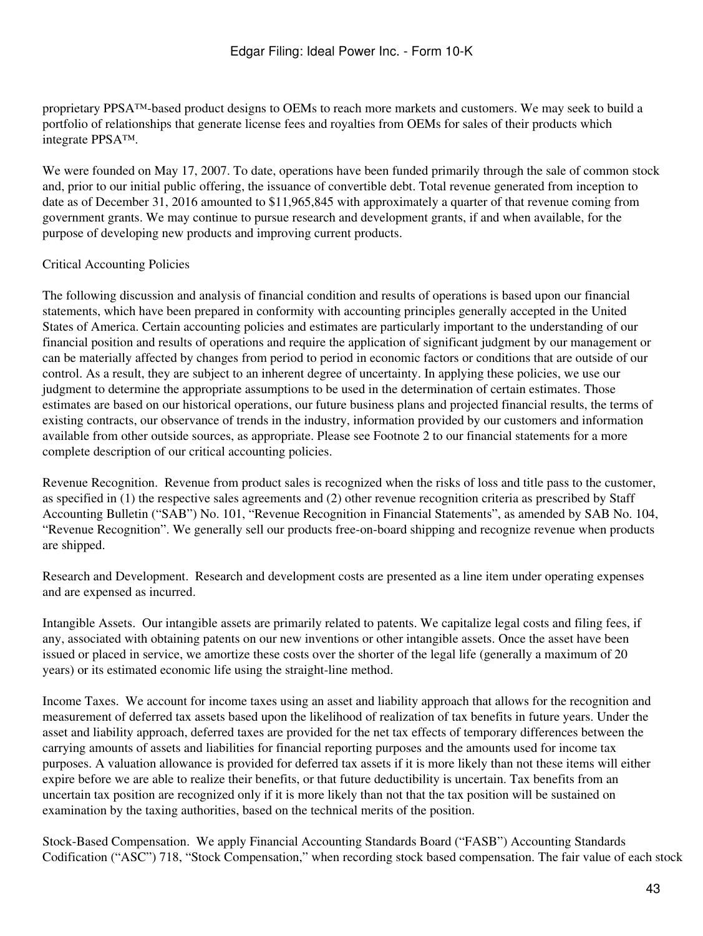proprietary PPSA™-based product designs to OEMs to reach more markets and customers. We may seek to build a portfolio of relationships that generate license fees and royalties from OEMs for sales of their products which integrate PPSA™.

We were founded on May 17, 2007. To date, operations have been funded primarily through the sale of common stock and, prior to our initial public offering, the issuance of convertible debt. Total revenue generated from inception to date as of December 31, 2016 amounted to \$11,965,845 with approximately a quarter of that revenue coming from government grants. We may continue to pursue research and development grants, if and when available, for the purpose of developing new products and improving current products.

### Critical Accounting Policies

The following discussion and analysis of financial condition and results of operations is based upon our financial statements, which have been prepared in conformity with accounting principles generally accepted in the United States of America. Certain accounting policies and estimates are particularly important to the understanding of our financial position and results of operations and require the application of significant judgment by our management or can be materially affected by changes from period to period in economic factors or conditions that are outside of our control. As a result, they are subject to an inherent degree of uncertainty. In applying these policies, we use our judgment to determine the appropriate assumptions to be used in the determination of certain estimates. Those estimates are based on our historical operations, our future business plans and projected financial results, the terms of existing contracts, our observance of trends in the industry, information provided by our customers and information available from other outside sources, as appropriate. Please see Footnote 2 to our financial statements for a more complete description of our critical accounting policies.

Revenue Recognition. Revenue from product sales is recognized when the risks of loss and title pass to the customer, as specified in (1) the respective sales agreements and (2) other revenue recognition criteria as prescribed by Staff Accounting Bulletin ("SAB") No. 101, "Revenue Recognition in Financial Statements", as amended by SAB No. 104, "Revenue Recognition". We generally sell our products free-on-board shipping and recognize revenue when products are shipped.

Research and Development. Research and development costs are presented as a line item under operating expenses and are expensed as incurred.

Intangible Assets. Our intangible assets are primarily related to patents. We capitalize legal costs and filing fees, if any, associated with obtaining patents on our new inventions or other intangible assets. Once the asset have been issued or placed in service, we amortize these costs over the shorter of the legal life (generally a maximum of 20 years) or its estimated economic life using the straight-line method.

Income Taxes. We account for income taxes using an asset and liability approach that allows for the recognition and measurement of deferred tax assets based upon the likelihood of realization of tax benefits in future years. Under the asset and liability approach, deferred taxes are provided for the net tax effects of temporary differences between the carrying amounts of assets and liabilities for financial reporting purposes and the amounts used for income tax purposes. A valuation allowance is provided for deferred tax assets if it is more likely than not these items will either expire before we are able to realize their benefits, or that future deductibility is uncertain. Tax benefits from an uncertain tax position are recognized only if it is more likely than not that the tax position will be sustained on examination by the taxing authorities, based on the technical merits of the position.

Stock-Based Compensation. We apply Financial Accounting Standards Board ("FASB") Accounting Standards Codification ("ASC") 718, "Stock Compensation," when recording stock based compensation. The fair value of each stock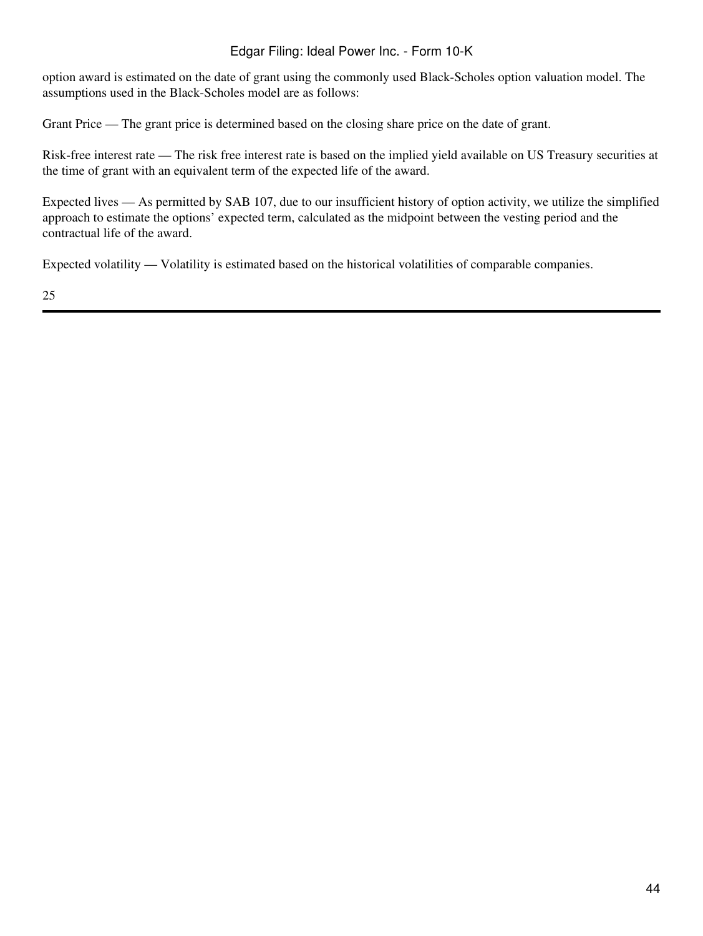## Edgar Filing: Ideal Power Inc. - Form 10-K

option award is estimated on the date of grant using the commonly used Black-Scholes option valuation model. The assumptions used in the Black-Scholes model are as follows:

Grant Price — The grant price is determined based on the closing share price on the date of grant.

Risk-free interest rate — The risk free interest rate is based on the implied yield available on US Treasury securities at the time of grant with an equivalent term of the expected life of the award.

Expected lives — As permitted by SAB 107, due to our insufficient history of option activity, we utilize the simplified approach to estimate the options' expected term, calculated as the midpoint between the vesting period and the contractual life of the award.

Expected volatility — Volatility is estimated based on the historical volatilities of comparable companies.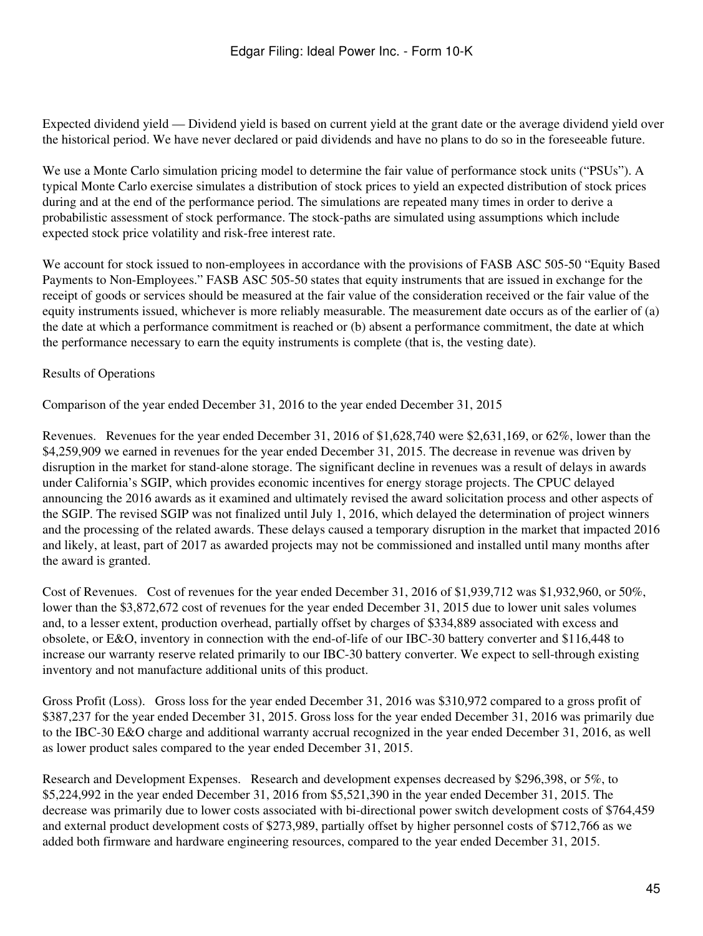Expected dividend yield — Dividend yield is based on current yield at the grant date or the average dividend yield over the historical period. We have never declared or paid dividends and have no plans to do so in the foreseeable future.

We use a Monte Carlo simulation pricing model to determine the fair value of performance stock units ("PSUs"). A typical Monte Carlo exercise simulates a distribution of stock prices to yield an expected distribution of stock prices during and at the end of the performance period. The simulations are repeated many times in order to derive a probabilistic assessment of stock performance. The stock-paths are simulated using assumptions which include expected stock price volatility and risk-free interest rate.

We account for stock issued to non-employees in accordance with the provisions of FASB ASC 505-50 "Equity Based" Payments to Non-Employees." FASB ASC 505-50 states that equity instruments that are issued in exchange for the receipt of goods or services should be measured at the fair value of the consideration received or the fair value of the equity instruments issued, whichever is more reliably measurable. The measurement date occurs as of the earlier of (a) the date at which a performance commitment is reached or (b) absent a performance commitment, the date at which the performance necessary to earn the equity instruments is complete (that is, the vesting date).

## Results of Operations

Comparison of the year ended December 31, 2016 to the year ended December 31, 2015

Revenues. Revenues for the year ended December 31, 2016 of \$1,628,740 were \$2,631,169, or 62%, lower than the \$4,259,909 we earned in revenues for the year ended December 31, 2015. The decrease in revenue was driven by disruption in the market for stand-alone storage. The significant decline in revenues was a result of delays in awards under California's SGIP, which provides economic incentives for energy storage projects. The CPUC delayed announcing the 2016 awards as it examined and ultimately revised the award solicitation process and other aspects of the SGIP. The revised SGIP was not finalized until July 1, 2016, which delayed the determination of project winners and the processing of the related awards. These delays caused a temporary disruption in the market that impacted 2016 and likely, at least, part of 2017 as awarded projects may not be commissioned and installed until many months after the award is granted.

Cost of Revenues. Cost of revenues for the year ended December 31, 2016 of \$1,939,712 was \$1,932,960, or 50%, lower than the \$3,872,672 cost of revenues for the year ended December 31, 2015 due to lower unit sales volumes and, to a lesser extent, production overhead, partially offset by charges of \$334,889 associated with excess and obsolete, or E&O, inventory in connection with the end-of-life of our IBC-30 battery converter and \$116,448 to increase our warranty reserve related primarily to our IBC-30 battery converter. We expect to sell-through existing inventory and not manufacture additional units of this product.

Gross Profit (Loss). Gross loss for the year ended December 31, 2016 was \$310,972 compared to a gross profit of \$387,237 for the year ended December 31, 2015. Gross loss for the year ended December 31, 2016 was primarily due to the IBC-30 E&O charge and additional warranty accrual recognized in the year ended December 31, 2016, as well as lower product sales compared to the year ended December 31, 2015.

Research and Development Expenses. Research and development expenses decreased by \$296,398, or 5%, to \$5,224,992 in the year ended December 31, 2016 from \$5,521,390 in the year ended December 31, 2015. The decrease was primarily due to lower costs associated with bi-directional power switch development costs of \$764,459 and external product development costs of \$273,989, partially offset by higher personnel costs of \$712,766 as we added both firmware and hardware engineering resources, compared to the year ended December 31, 2015.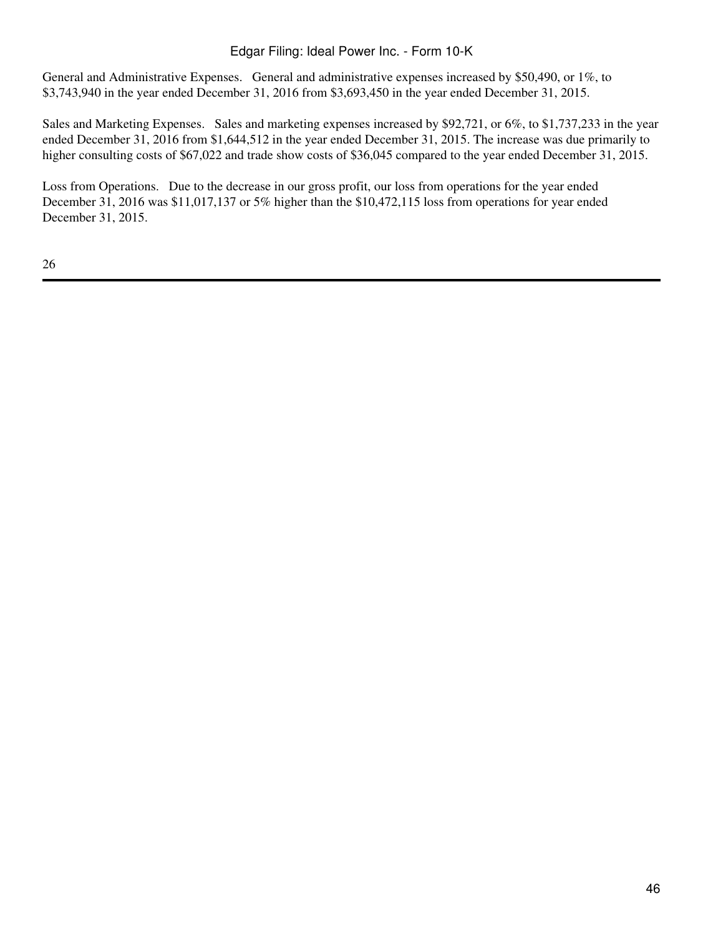## Edgar Filing: Ideal Power Inc. - Form 10-K

General and Administrative Expenses. General and administrative expenses increased by \$50,490, or 1%, to \$3,743,940 in the year ended December 31, 2016 from \$3,693,450 in the year ended December 31, 2015.

Sales and Marketing Expenses. Sales and marketing expenses increased by \$92,721, or 6%, to \$1,737,233 in the year ended December 31, 2016 from \$1,644,512 in the year ended December 31, 2015. The increase was due primarily to higher consulting costs of \$67,022 and trade show costs of \$36,045 compared to the year ended December 31, 2015.

Loss from Operations. Due to the decrease in our gross profit, our loss from operations for the year ended December 31, 2016 was \$11,017,137 or 5% higher than the \$10,472,115 loss from operations for year ended December 31, 2015.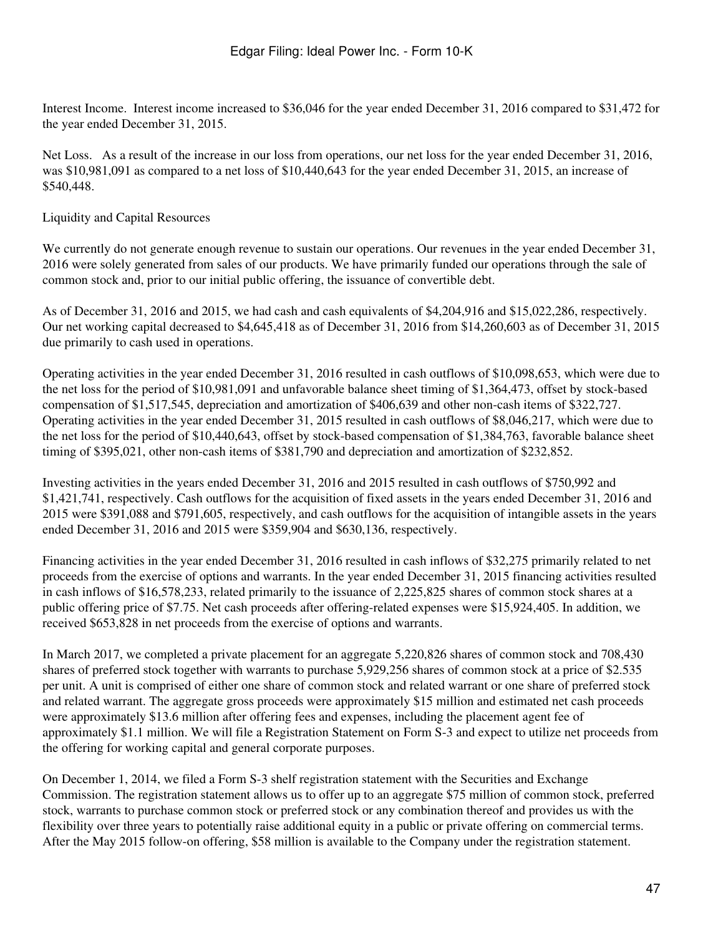Interest Income. Interest income increased to \$36,046 for the year ended December 31, 2016 compared to \$31,472 for the year ended December 31, 2015.

Net Loss. As a result of the increase in our loss from operations, our net loss for the year ended December 31, 2016, was \$10,981,091 as compared to a net loss of \$10,440,643 for the year ended December 31, 2015, an increase of \$540,448.

## Liquidity and Capital Resources

We currently do not generate enough revenue to sustain our operations. Our revenues in the year ended December 31, 2016 were solely generated from sales of our products. We have primarily funded our operations through the sale of common stock and, prior to our initial public offering, the issuance of convertible debt.

As of December 31, 2016 and 2015, we had cash and cash equivalents of \$4,204,916 and \$15,022,286, respectively. Our net working capital decreased to \$4,645,418 as of December 31, 2016 from \$14,260,603 as of December 31, 2015 due primarily to cash used in operations.

Operating activities in the year ended December 31, 2016 resulted in cash outflows of \$10,098,653, which were due to the net loss for the period of \$10,981,091 and unfavorable balance sheet timing of \$1,364,473, offset by stock-based compensation of \$1,517,545, depreciation and amortization of \$406,639 and other non-cash items of \$322,727. Operating activities in the year ended December 31, 2015 resulted in cash outflows of \$8,046,217, which were due to the net loss for the period of \$10,440,643, offset by stock-based compensation of \$1,384,763, favorable balance sheet timing of \$395,021, other non-cash items of \$381,790 and depreciation and amortization of \$232,852.

Investing activities in the years ended December 31, 2016 and 2015 resulted in cash outflows of \$750,992 and \$1,421,741, respectively. Cash outflows for the acquisition of fixed assets in the years ended December 31, 2016 and 2015 were \$391,088 and \$791,605, respectively, and cash outflows for the acquisition of intangible assets in the years ended December 31, 2016 and 2015 were \$359,904 and \$630,136, respectively.

Financing activities in the year ended December 31, 2016 resulted in cash inflows of \$32,275 primarily related to net proceeds from the exercise of options and warrants. In the year ended December 31, 2015 financing activities resulted in cash inflows of \$16,578,233, related primarily to the issuance of 2,225,825 shares of common stock shares at a public offering price of \$7.75. Net cash proceeds after offering-related expenses were \$15,924,405. In addition, we received \$653,828 in net proceeds from the exercise of options and warrants.

In March 2017, we completed a private placement for an aggregate 5,220,826 shares of common stock and 708,430 shares of preferred stock together with warrants to purchase 5,929,256 shares of common stock at a price of \$2.535 per unit. A unit is comprised of either one share of common stock and related warrant or one share of preferred stock and related warrant. The aggregate gross proceeds were approximately \$15 million and estimated net cash proceeds were approximately \$13.6 million after offering fees and expenses, including the placement agent fee of approximately \$1.1 million. We will file a Registration Statement on Form S-3 and expect to utilize net proceeds from the offering for working capital and general corporate purposes.

On December 1, 2014, we filed a Form S-3 shelf registration statement with the Securities and Exchange Commission. The registration statement allows us to offer up to an aggregate \$75 million of common stock, preferred stock, warrants to purchase common stock or preferred stock or any combination thereof and provides us with the flexibility over three years to potentially raise additional equity in a public or private offering on commercial terms. After the May 2015 follow-on offering, \$58 million is available to the Company under the registration statement.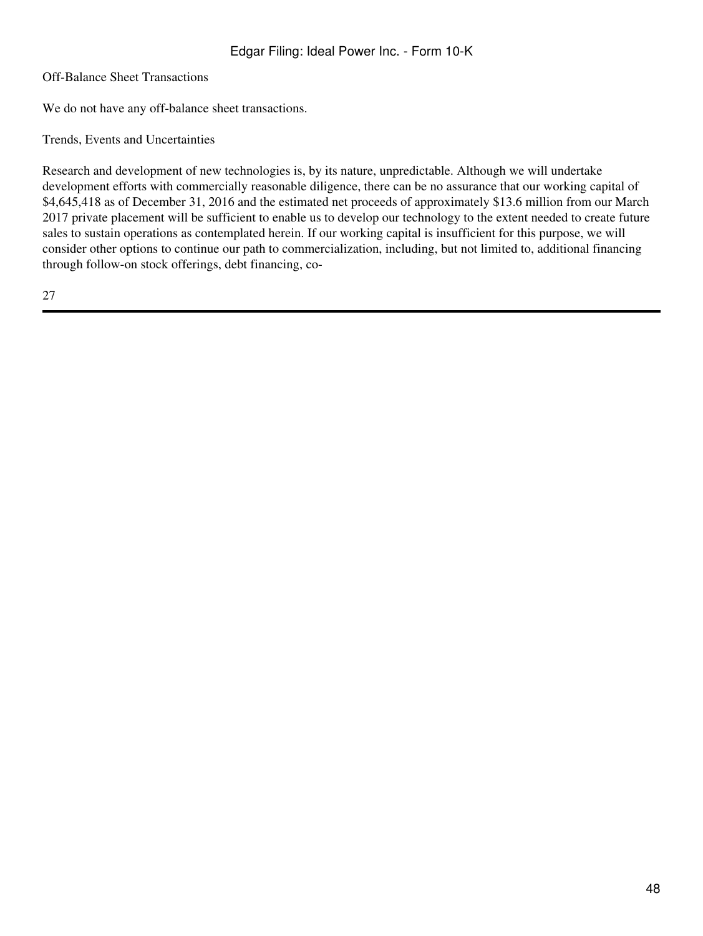Off-Balance Sheet Transactions

We do not have any off-balance sheet transactions.

Trends, Events and Uncertainties

Research and development of new technologies is, by its nature, unpredictable. Although we will undertake development efforts with commercially reasonable diligence, there can be no assurance that our working capital of \$4,645,418 as of December 31, 2016 and the estimated net proceeds of approximately \$13.6 million from our March 2017 private placement will be sufficient to enable us to develop our technology to the extent needed to create future sales to sustain operations as contemplated herein. If our working capital is insufficient for this purpose, we will consider other options to continue our path to commercialization, including, but not limited to, additional financing through follow-on stock offerings, debt financing, co-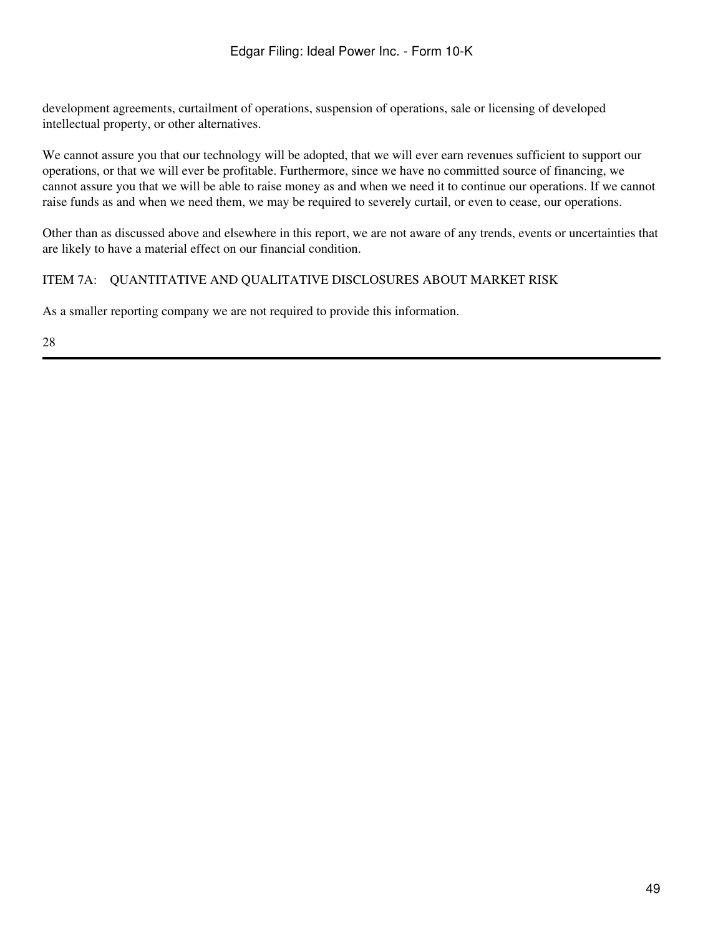development agreements, curtailment of operations, suspension of operations, sale or licensing of developed intellectual property, or other alternatives.

We cannot assure you that our technology will be adopted, that we will ever earn revenues sufficient to support our operations, or that we will ever be profitable. Furthermore, since we have no committed source of financing, we cannot assure you that we will be able to raise money as and when we need it to continue our operations. If we cannot raise funds as and when we need them, we may be required to severely curtail, or even to cease, our operations.

Other than as discussed above and elsewhere in this report, we are not aware of any trends, events or uncertainties that are likely to have a material effect on our financial condition.

### ITEM 7A: QUANTITATIVE AND QUALITATIVE DISCLOSURES ABOUT MARKET RISK

As a smaller reporting company we are not required to provide this information.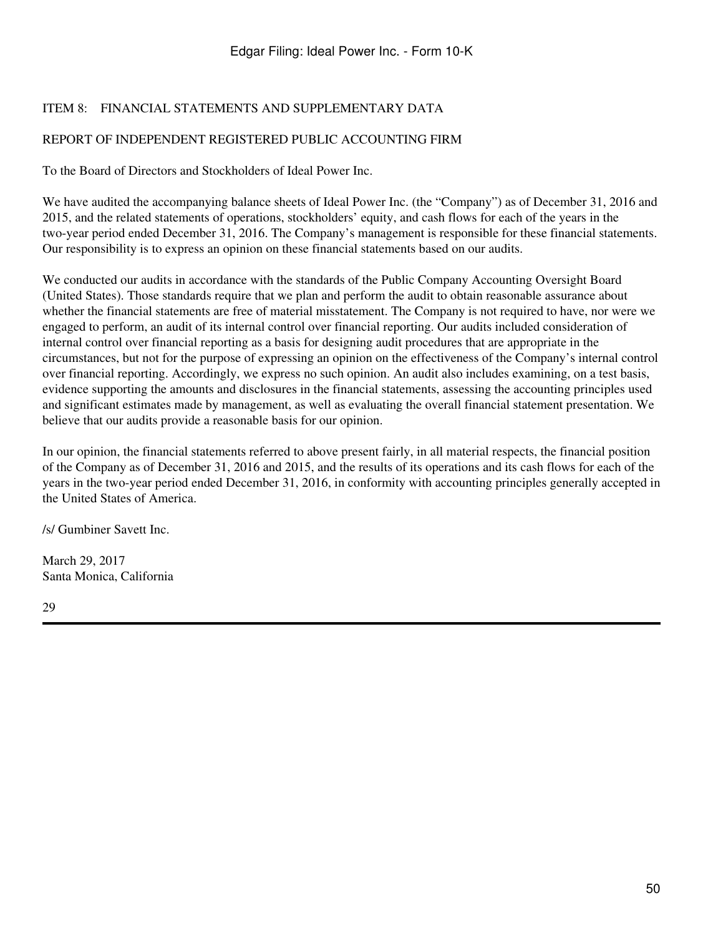## ITEM 8: FINANCIAL STATEMENTS AND SUPPLEMENTARY DATA

## REPORT OF INDEPENDENT REGISTERED PUBLIC ACCOUNTING FIRM

To the Board of Directors and Stockholders of Ideal Power Inc.

We have audited the accompanying balance sheets of Ideal Power Inc. (the "Company") as of December 31, 2016 and 2015, and the related statements of operations, stockholders' equity, and cash flows for each of the years in the two-year period ended December 31, 2016. The Company's management is responsible for these financial statements. Our responsibility is to express an opinion on these financial statements based on our audits.

We conducted our audits in accordance with the standards of the Public Company Accounting Oversight Board (United States). Those standards require that we plan and perform the audit to obtain reasonable assurance about whether the financial statements are free of material misstatement. The Company is not required to have, nor were we engaged to perform, an audit of its internal control over financial reporting. Our audits included consideration of internal control over financial reporting as a basis for designing audit procedures that are appropriate in the circumstances, but not for the purpose of expressing an opinion on the effectiveness of the Company's internal control over financial reporting. Accordingly, we express no such opinion. An audit also includes examining, on a test basis, evidence supporting the amounts and disclosures in the financial statements, assessing the accounting principles used and significant estimates made by management, as well as evaluating the overall financial statement presentation. We believe that our audits provide a reasonable basis for our opinion.

In our opinion, the financial statements referred to above present fairly, in all material respects, the financial position of the Company as of December 31, 2016 and 2015, and the results of its operations and its cash flows for each of the years in the two-year period ended December 31, 2016, in conformity with accounting principles generally accepted in the United States of America.

/s/ Gumbiner Savett Inc.

March 29, 2017 Santa Monica, California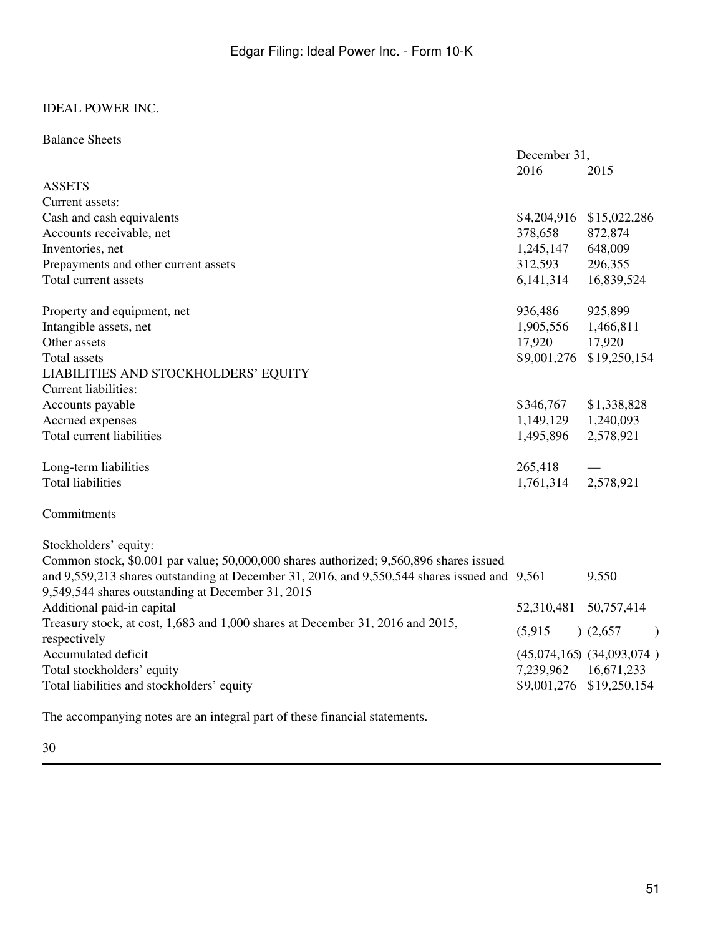### Balance Sheets

|                                                                                                                                                                                                                                             | December 31, |                               |
|---------------------------------------------------------------------------------------------------------------------------------------------------------------------------------------------------------------------------------------------|--------------|-------------------------------|
|                                                                                                                                                                                                                                             | 2016         | 2015                          |
| <b>ASSETS</b>                                                                                                                                                                                                                               |              |                               |
| Current assets:                                                                                                                                                                                                                             |              |                               |
| Cash and cash equivalents                                                                                                                                                                                                                   | \$4,204,916  | \$15,022,286                  |
| Accounts receivable, net                                                                                                                                                                                                                    | 378,658      | 872,874                       |
| Inventories, net                                                                                                                                                                                                                            | 1,245,147    | 648,009                       |
| Prepayments and other current assets                                                                                                                                                                                                        | 312,593      | 296,355                       |
| Total current assets                                                                                                                                                                                                                        | 6,141,314    | 16,839,524                    |
| Property and equipment, net                                                                                                                                                                                                                 | 936,486      | 925,899                       |
| Intangible assets, net                                                                                                                                                                                                                      | 1,905,556    | 1,466,811                     |
| Other assets                                                                                                                                                                                                                                | 17,920       | 17,920                        |
| Total assets                                                                                                                                                                                                                                | \$9,001,276  | \$19,250,154                  |
| LIABILITIES AND STOCKHOLDERS' EQUITY                                                                                                                                                                                                        |              |                               |
| Current liabilities:                                                                                                                                                                                                                        |              |                               |
| Accounts payable                                                                                                                                                                                                                            | \$346,767    | \$1,338,828                   |
| Accrued expenses                                                                                                                                                                                                                            | 1,149,129    | 1,240,093                     |
| Total current liabilities                                                                                                                                                                                                                   | 1,495,896    | 2,578,921                     |
| Long-term liabilities                                                                                                                                                                                                                       | 265,418      |                               |
| <b>Total liabilities</b>                                                                                                                                                                                                                    | 1,761,314    | 2,578,921                     |
| Commitments                                                                                                                                                                                                                                 |              |                               |
| Stockholders' equity:                                                                                                                                                                                                                       |              |                               |
| Common stock, \$0.001 par value; 50,000,000 shares authorized; 9,560,896 shares issued<br>and 9,559,213 shares outstanding at December 31, 2016, and 9,550,544 shares issued and 9,561<br>9,549,544 shares outstanding at December 31, 2015 |              | 9,550                         |
| Additional paid-in capital                                                                                                                                                                                                                  | 52,310,481   | 50,757,414                    |
| Treasury stock, at cost, 1,683 and 1,000 shares at December 31, 2016 and 2015,<br>respectively                                                                                                                                              | (5,915)      | (2,657)<br>$\lambda$          |
| Accumulated deficit                                                                                                                                                                                                                         |              | $(45,074,165)$ $(34,093,074)$ |
| Total stockholders' equity                                                                                                                                                                                                                  | 7,239,962    | 16,671,233                    |
| Total liabilities and stockholders' equity                                                                                                                                                                                                  | \$9,001,276  | \$19,250,154                  |
|                                                                                                                                                                                                                                             |              |                               |

The accompanying notes are an integral part of these financial statements.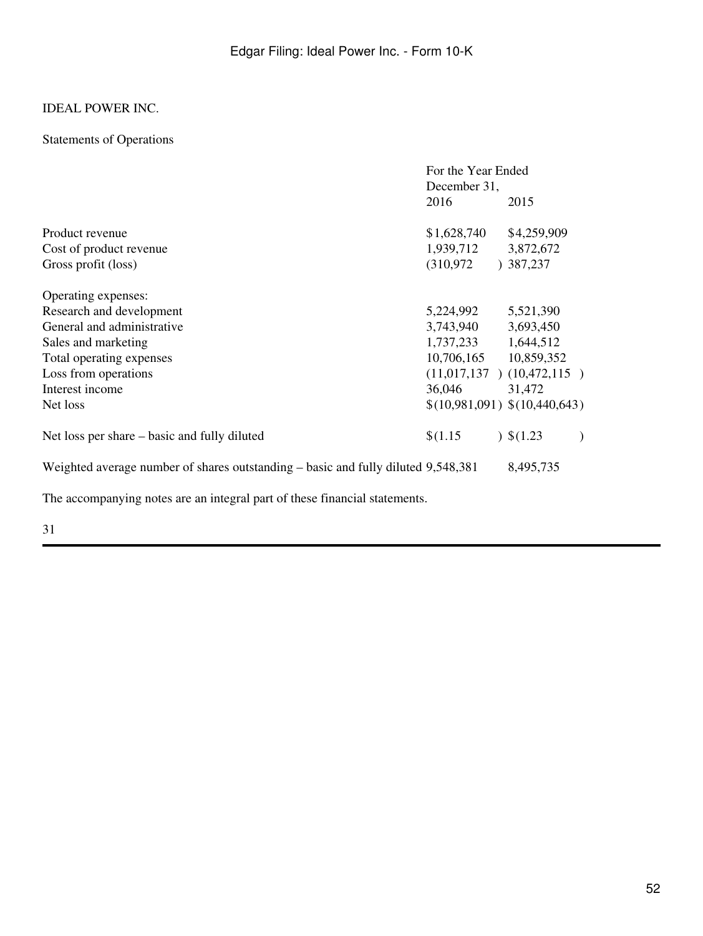## Statements of Operations

|                                                                                   | For the Year Ended    |                               |
|-----------------------------------------------------------------------------------|-----------------------|-------------------------------|
|                                                                                   | December 31,          |                               |
|                                                                                   | 2016                  | 2015                          |
| Product revenue                                                                   | \$1,628,740           | \$4,259,909                   |
| Cost of product revenue                                                           | 1,939,712 3,872,672   |                               |
| Gross profit (loss)                                                               | (310, 972)            | )387,237                      |
| Operating expenses:                                                               |                       |                               |
| Research and development                                                          | 5,224,992             | 5,521,390                     |
| General and administrative                                                        | 3,743,940             | 3,693,450                     |
| Sales and marketing                                                               | 1,737,233 1,644,512   |                               |
| Total operating expenses                                                          | 10,706,165 10,859,352 |                               |
| Loss from operations                                                              |                       | $(11,017,137)$ $(10,472,115)$ |
| Interest income                                                                   | 36,046                | 31,472                        |
| Net loss                                                                          |                       | \$(10,981,091) \$(10,440,643) |
| Net loss per share – basic and fully diluted                                      | \$(1.15)              | $)$ \$(1.23)                  |
| Weighted average number of shares outstanding – basic and fully diluted 9,548,381 |                       | 8,495,735                     |
| The accompanying notes are an integral part of these financial statements.        |                       |                               |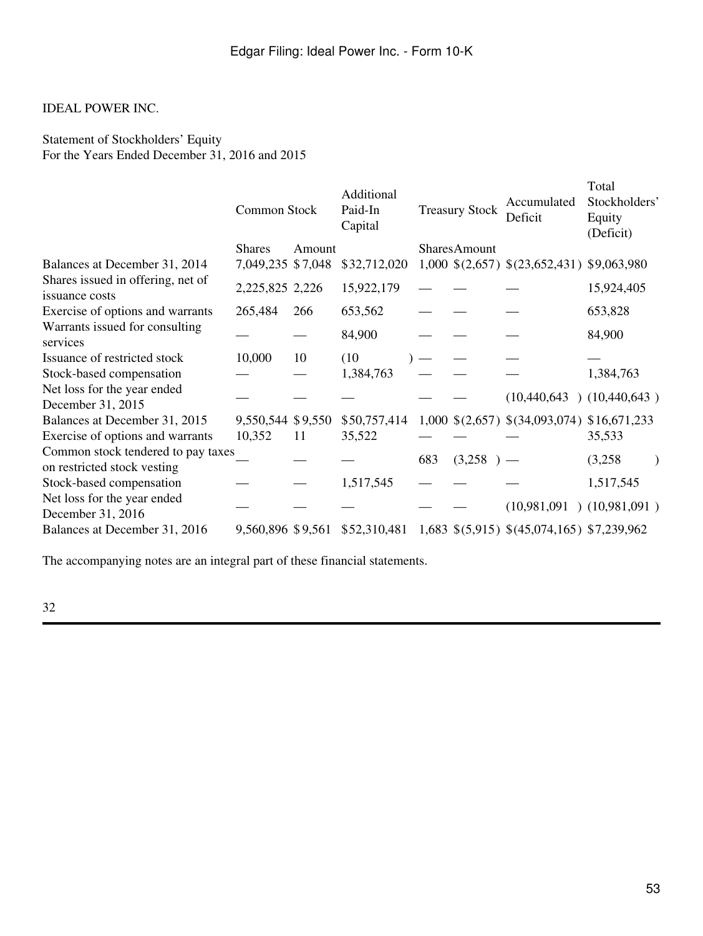Statement of Stockholders' Equity For the Years Ended December 31, 2016 and 2015

|                                                                   | Common Stock      |        | Additional<br>Paid-In<br>Capital |     | <b>Treasury Stock</b> | Accumulated<br>Deficit                                      | Total<br>Stockholders'<br>Equity<br>(Deficit) |  |
|-------------------------------------------------------------------|-------------------|--------|----------------------------------|-----|-----------------------|-------------------------------------------------------------|-----------------------------------------------|--|
|                                                                   | <b>Shares</b>     | Amount |                                  |     | <b>SharesAmount</b>   |                                                             |                                               |  |
| Balances at December 31, 2014                                     | 7,049,235 \$7,048 |        | \$32,712,020                     |     |                       | 1,000 \$(2,657) \$(23,652,431) \$9,063,980                  |                                               |  |
| Shares issued in offering, net of<br>issuance costs               | 2,225,825 2,226   |        | 15,922,179                       |     |                       |                                                             | 15,924,405                                    |  |
| Exercise of options and warrants                                  | 265,484           | 266    | 653,562                          |     |                       |                                                             | 653,828                                       |  |
| Warrants issued for consulting<br>services                        |                   |        | 84,900                           |     |                       |                                                             | 84,900                                        |  |
| Issuance of restricted stock                                      | 10,000            | 10     | (10)                             |     |                       |                                                             |                                               |  |
| Stock-based compensation                                          |                   |        | 1,384,763                        |     |                       |                                                             | 1,384,763                                     |  |
| Net loss for the year ended<br>December 31, 2015                  |                   |        |                                  |     |                       | (10, 440, 643)                                              | (10,440,643)                                  |  |
| Balances at December 31, 2015                                     | 9,550,544 \$9,550 |        | \$50,757,414                     |     |                       | 1,000 \$(2,657) \$(34,093,074) \$16,671,233                 |                                               |  |
| Exercise of options and warrants                                  | 10,352            | 11     | 35,522                           |     |                       |                                                             | 35,533                                        |  |
| Common stock tendered to pay taxes<br>on restricted stock vesting |                   |        |                                  | 683 | (3,258)               |                                                             | (3,258)                                       |  |
| Stock-based compensation                                          |                   |        | 1,517,545                        |     |                       |                                                             | 1,517,545                                     |  |
| Net loss for the year ended<br>December 31, 2016                  |                   |        |                                  |     |                       | (10,981,091)                                                | (10,981,091)                                  |  |
| Balances at December 31, 2016                                     | 9,560,896 \$9,561 |        |                                  |     |                       | \$52,310,481  1,683  \$(5,915)  \$(45,074,165)  \$7,239,962 |                                               |  |

The accompanying notes are an integral part of these financial statements.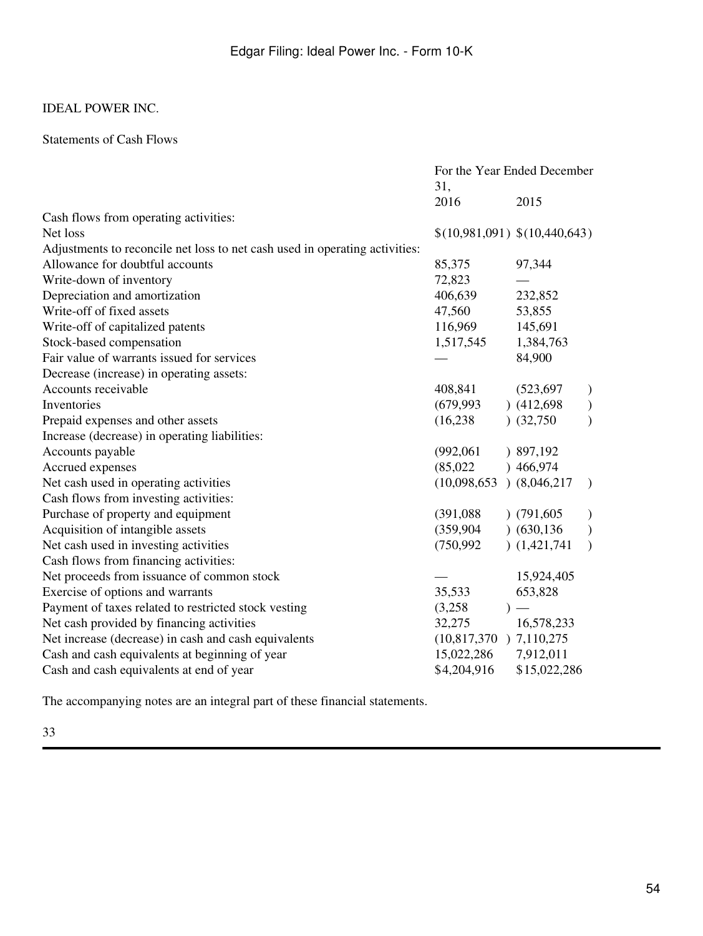## Statements of Cash Flows

|                                                                             | For the Year Ended December |                               |               |
|-----------------------------------------------------------------------------|-----------------------------|-------------------------------|---------------|
|                                                                             | 31,                         |                               |               |
|                                                                             | 2016                        | 2015                          |               |
| Cash flows from operating activities:                                       |                             |                               |               |
| Net loss                                                                    |                             | \$(10,981,091) \$(10,440,643) |               |
| Adjustments to reconcile net loss to net cash used in operating activities: |                             |                               |               |
| Allowance for doubtful accounts                                             | 85,375                      | 97,344                        |               |
| Write-down of inventory                                                     | 72,823                      |                               |               |
| Depreciation and amortization                                               | 406,639                     | 232,852                       |               |
| Write-off of fixed assets                                                   | 47,560                      | 53,855                        |               |
| Write-off of capitalized patents                                            | 116,969                     | 145,691                       |               |
| Stock-based compensation                                                    | 1,517,545                   | 1,384,763                     |               |
| Fair value of warrants issued for services                                  |                             | 84,900                        |               |
| Decrease (increase) in operating assets:                                    |                             |                               |               |
| Accounts receivable                                                         | 408,841                     | (523, 697)                    | $\mathcal{Y}$ |
| Inventories                                                                 | (679, 993)                  | (412,698)                     | $\big)$       |
| Prepaid expenses and other assets                                           | (16, 238)                   | (32,750)                      | $\mathcal{E}$ |
| Increase (decrease) in operating liabilities:                               |                             |                               |               |
| Accounts payable                                                            | (992,061)                   | ) 897,192                     |               |
| Accrued expenses                                                            | (85,022)                    | )466,974                      |               |
| Net cash used in operating activities                                       | (10,098,653)                | (8,046,217)                   | $\lambda$     |
| Cash flows from investing activities:                                       |                             |                               |               |
| Purchase of property and equipment                                          | (391,088)                   | (791,605)                     | $\lambda$     |
| Acquisition of intangible assets                                            | (359, 904)                  | (630, 136)                    | $\mathcal{E}$ |
| Net cash used in investing activities                                       | (750, 992)                  | (1,421,741)                   | $\lambda$     |
| Cash flows from financing activities:                                       |                             |                               |               |
| Net proceeds from issuance of common stock                                  |                             | 15,924,405                    |               |
| Exercise of options and warrants                                            | 35,533                      | 653,828                       |               |
| Payment of taxes related to restricted stock vesting                        | (3,258)                     |                               |               |
| Net cash provided by financing activities                                   | 32,275                      | 16,578,233                    |               |
| Net increase (decrease) in cash and cash equivalents                        | $(10,817,370)$ 7,110,275    |                               |               |
| Cash and cash equivalents at beginning of year                              | 15,022,286                  | 7,912,011                     |               |
| Cash and cash equivalents at end of year                                    | \$4,204,916                 | \$15,022,286                  |               |

The accompanying notes are an integral part of these financial statements.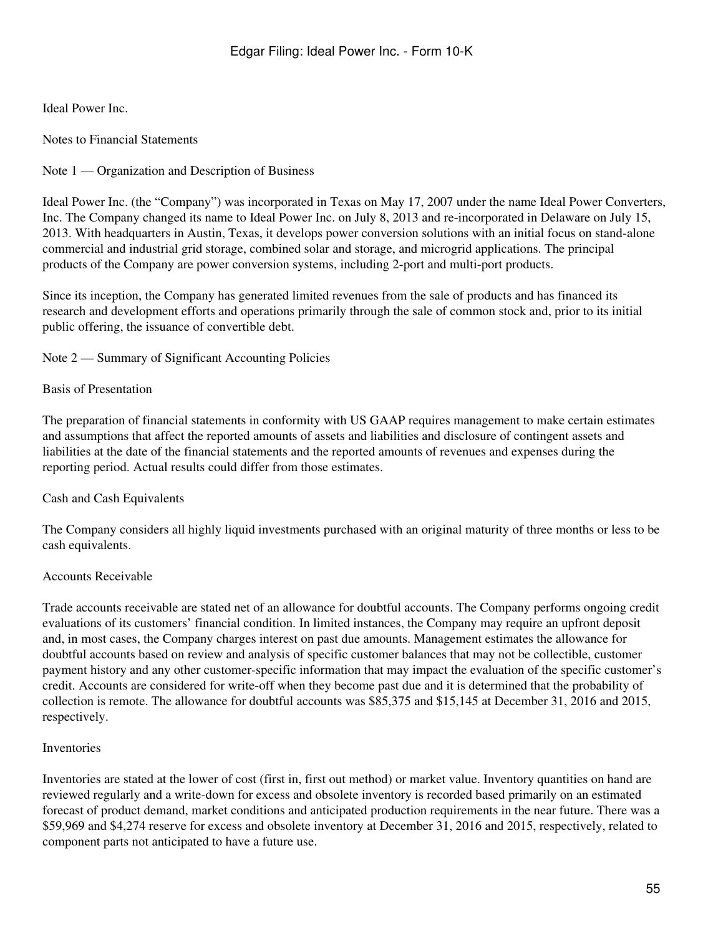Ideal Power Inc.

Notes to Financial Statements

Note 1 — Organization and Description of Business

Ideal Power Inc. (the "Company") was incorporated in Texas on May 17, 2007 under the name Ideal Power Converters, Inc. The Company changed its name to Ideal Power Inc. on July 8, 2013 and re-incorporated in Delaware on July 15, 2013. With headquarters in Austin, Texas, it develops power conversion solutions with an initial focus on stand-alone commercial and industrial grid storage, combined solar and storage, and microgrid applications. The principal products of the Company are power conversion systems, including 2-port and multi-port products.

Since its inception, the Company has generated limited revenues from the sale of products and has financed its research and development efforts and operations primarily through the sale of common stock and, prior to its initial public offering, the issuance of convertible debt.

Note 2 — Summary of Significant Accounting Policies

### Basis of Presentation

The preparation of financial statements in conformity with US GAAP requires management to make certain estimates and assumptions that affect the reported amounts of assets and liabilities and disclosure of contingent assets and liabilities at the date of the financial statements and the reported amounts of revenues and expenses during the reporting period. Actual results could differ from those estimates.

## Cash and Cash Equivalents

The Company considers all highly liquid investments purchased with an original maturity of three months or less to be cash equivalents.

### Accounts Receivable

Trade accounts receivable are stated net of an allowance for doubtful accounts. The Company performs ongoing credit evaluations of its customers' financial condition. In limited instances, the Company may require an upfront deposit and, in most cases, the Company charges interest on past due amounts. Management estimates the allowance for doubtful accounts based on review and analysis of specific customer balances that may not be collectible, customer payment history and any other customer-specific information that may impact the evaluation of the specific customer's credit. Accounts are considered for write-off when they become past due and it is determined that the probability of collection is remote. The allowance for doubtful accounts was \$85,375 and \$15,145 at December 31, 2016 and 2015, respectively.

### Inventories

Inventories are stated at the lower of cost (first in, first out method) or market value. Inventory quantities on hand are reviewed regularly and a write-down for excess and obsolete inventory is recorded based primarily on an estimated forecast of product demand, market conditions and anticipated production requirements in the near future. There was a \$59,969 and \$4,274 reserve for excess and obsolete inventory at December 31, 2016 and 2015, respectively, related to component parts not anticipated to have a future use.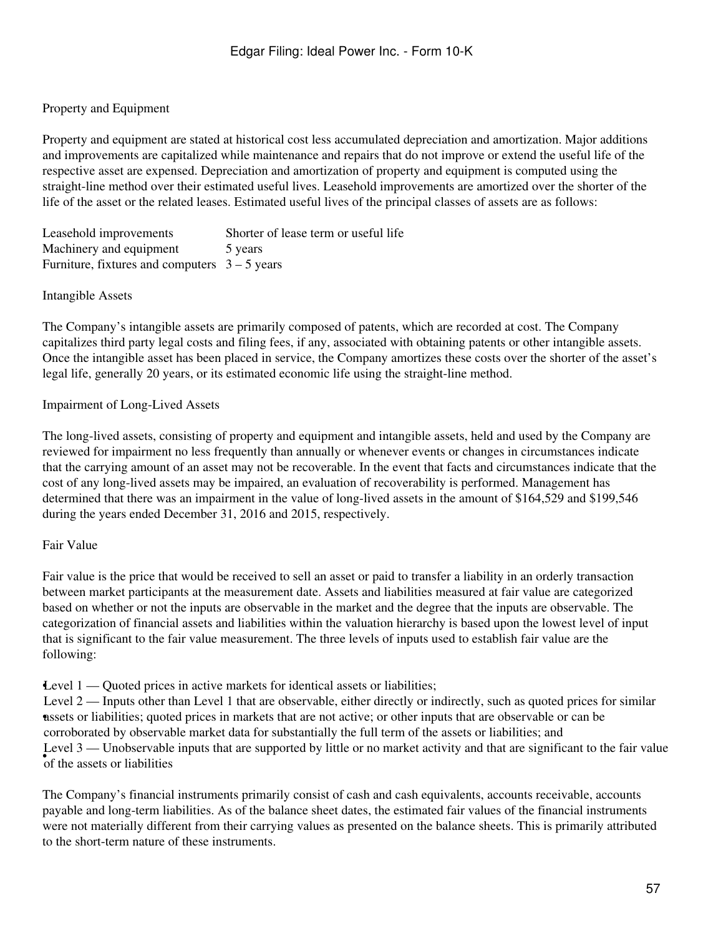## Property and Equipment

Property and equipment are stated at historical cost less accumulated depreciation and amortization. Major additions and improvements are capitalized while maintenance and repairs that do not improve or extend the useful life of the respective asset are expensed. Depreciation and amortization of property and equipment is computed using the straight-line method over their estimated useful lives. Leasehold improvements are amortized over the shorter of the life of the asset or the related leases. Estimated useful lives of the principal classes of assets are as follows:

Leasehold improvements Shorter of lease term or useful life Machinery and equipment 5 years Furniture, fixtures and computers  $3 - 5$  years

### Intangible Assets

The Company's intangible assets are primarily composed of patents, which are recorded at cost. The Company capitalizes third party legal costs and filing fees, if any, associated with obtaining patents or other intangible assets. Once the intangible asset has been placed in service, the Company amortizes these costs over the shorter of the asset's legal life, generally 20 years, or its estimated economic life using the straight-line method.

### Impairment of Long-Lived Assets

The long-lived assets, consisting of property and equipment and intangible assets, held and used by the Company are reviewed for impairment no less frequently than annually or whenever events or changes in circumstances indicate that the carrying amount of an asset may not be recoverable. In the event that facts and circumstances indicate that the cost of any long-lived assets may be impaired, an evaluation of recoverability is performed. Management has determined that there was an impairment in the value of long-lived assets in the amount of \$164,529 and \$199,546 during the years ended December 31, 2016 and 2015, respectively.

### Fair Value

Fair value is the price that would be received to sell an asset or paid to transfer a liability in an orderly transaction between market participants at the measurement date. Assets and liabilities measured at fair value are categorized based on whether or not the inputs are observable in the market and the degree that the inputs are observable. The categorization of financial assets and liabilities within the valuation hierarchy is based upon the lowest level of input that is significant to the fair value measurement. The three levels of inputs used to establish fair value are the following:

•Level 1 — Quoted prices in active markets for identical assets or liabilities;

• assets or liabilities; quoted prices in markets that are not active; or other inputs that are observable or can be Level 2 — Inputs other than Level 1 that are observable, either directly or indirectly, such as quoted prices for similar corroborated by observable market data for substantially the full term of the assets or liabilities; and  $\bullet$  of the assets or liabilities Level 3 — Unobservable inputs that are supported by little or no market activity and that are significant to the fair value

The Company's financial instruments primarily consist of cash and cash equivalents, accounts receivable, accounts payable and long-term liabilities. As of the balance sheet dates, the estimated fair values of the financial instruments were not materially different from their carrying values as presented on the balance sheets. This is primarily attributed to the short-term nature of these instruments.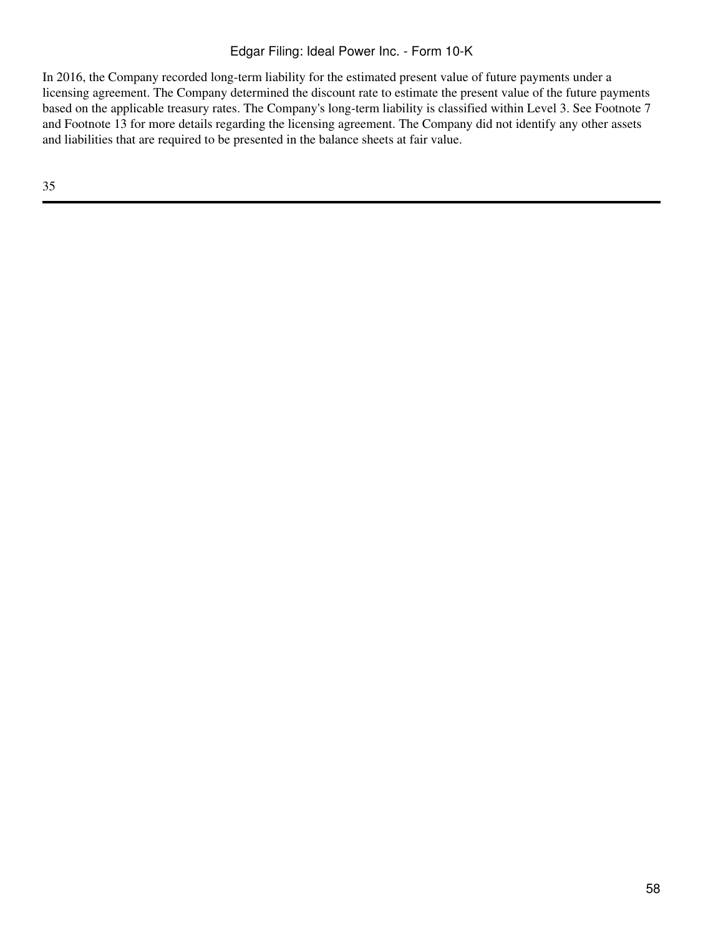## Edgar Filing: Ideal Power Inc. - Form 10-K

In 2016, the Company recorded long-term liability for the estimated present value of future payments under a licensing agreement. The Company determined the discount rate to estimate the present value of the future payments based on the applicable treasury rates. The Company's long-term liability is classified within Level 3. See Footnote 7 and Footnote 13 for more details regarding the licensing agreement. The Company did not identify any other assets and liabilities that are required to be presented in the balance sheets at fair value.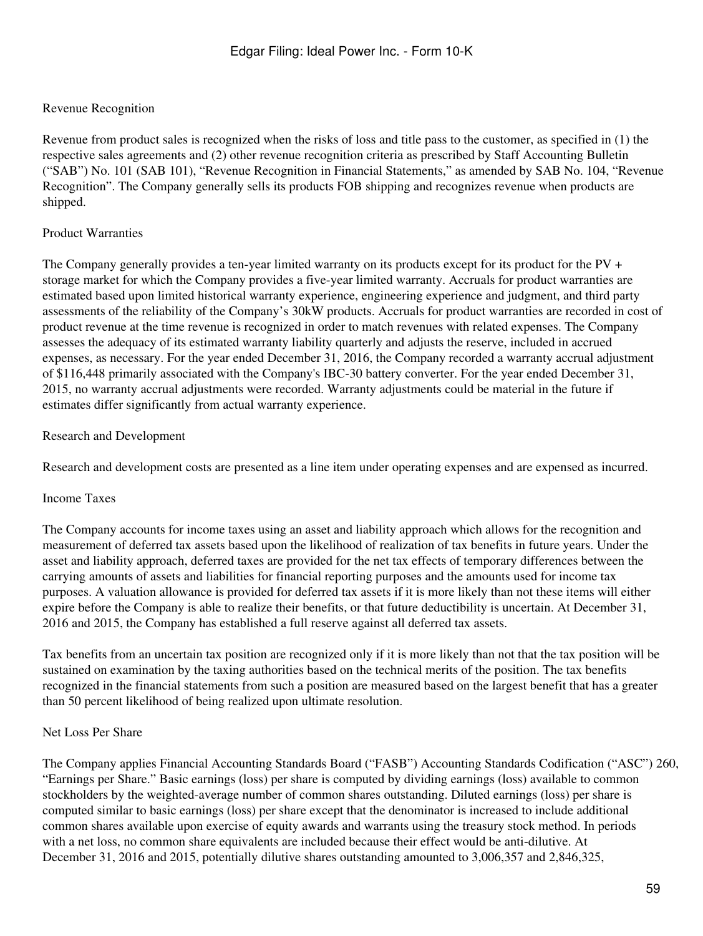## Revenue Recognition

Revenue from product sales is recognized when the risks of loss and title pass to the customer, as specified in (1) the respective sales agreements and (2) other revenue recognition criteria as prescribed by Staff Accounting Bulletin ("SAB") No. 101 (SAB 101), "Revenue Recognition in Financial Statements," as amended by SAB No. 104, "Revenue Recognition". The Company generally sells its products FOB shipping and recognizes revenue when products are shipped.

### Product Warranties

The Company generally provides a ten-year limited warranty on its products except for its product for the  $PV +$ storage market for which the Company provides a five-year limited warranty. Accruals for product warranties are estimated based upon limited historical warranty experience, engineering experience and judgment, and third party assessments of the reliability of the Company's 30kW products. Accruals for product warranties are recorded in cost of product revenue at the time revenue is recognized in order to match revenues with related expenses. The Company assesses the adequacy of its estimated warranty liability quarterly and adjusts the reserve, included in accrued expenses, as necessary. For the year ended December 31, 2016, the Company recorded a warranty accrual adjustment of \$116,448 primarily associated with the Company's IBC-30 battery converter. For the year ended December 31, 2015, no warranty accrual adjustments were recorded. Warranty adjustments could be material in the future if estimates differ significantly from actual warranty experience.

### Research and Development

Research and development costs are presented as a line item under operating expenses and are expensed as incurred.

### Income Taxes

The Company accounts for income taxes using an asset and liability approach which allows for the recognition and measurement of deferred tax assets based upon the likelihood of realization of tax benefits in future years. Under the asset and liability approach, deferred taxes are provided for the net tax effects of temporary differences between the carrying amounts of assets and liabilities for financial reporting purposes and the amounts used for income tax purposes. A valuation allowance is provided for deferred tax assets if it is more likely than not these items will either expire before the Company is able to realize their benefits, or that future deductibility is uncertain. At December 31, 2016 and 2015, the Company has established a full reserve against all deferred tax assets.

Tax benefits from an uncertain tax position are recognized only if it is more likely than not that the tax position will be sustained on examination by the taxing authorities based on the technical merits of the position. The tax benefits recognized in the financial statements from such a position are measured based on the largest benefit that has a greater than 50 percent likelihood of being realized upon ultimate resolution.

### Net Loss Per Share

The Company applies Financial Accounting Standards Board ("FASB") Accounting Standards Codification ("ASC") 260, "Earnings per Share." Basic earnings (loss) per share is computed by dividing earnings (loss) available to common stockholders by the weighted-average number of common shares outstanding. Diluted earnings (loss) per share is computed similar to basic earnings (loss) per share except that the denominator is increased to include additional common shares available upon exercise of equity awards and warrants using the treasury stock method. In periods with a net loss, no common share equivalents are included because their effect would be anti-dilutive. At December 31, 2016 and 2015, potentially dilutive shares outstanding amounted to 3,006,357 and 2,846,325,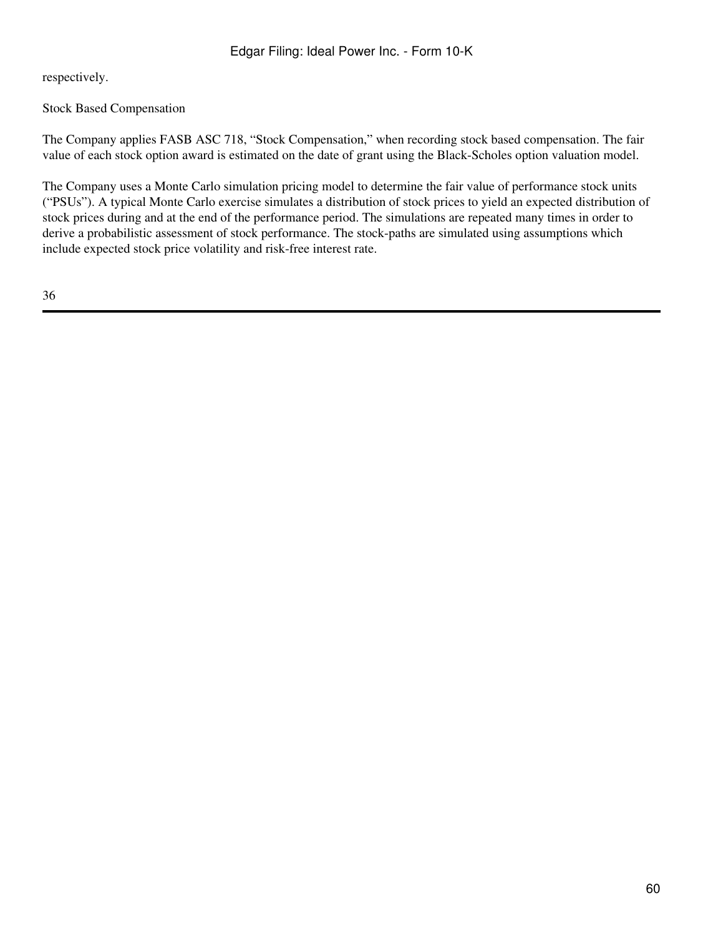respectively.

Stock Based Compensation

The Company applies FASB ASC 718, "Stock Compensation," when recording stock based compensation. The fair value of each stock option award is estimated on the date of grant using the Black-Scholes option valuation model.

The Company uses a Monte Carlo simulation pricing model to determine the fair value of performance stock units ("PSUs"). A typical Monte Carlo exercise simulates a distribution of stock prices to yield an expected distribution of stock prices during and at the end of the performance period. The simulations are repeated many times in order to derive a probabilistic assessment of stock performance. The stock-paths are simulated using assumptions which include expected stock price volatility and risk-free interest rate.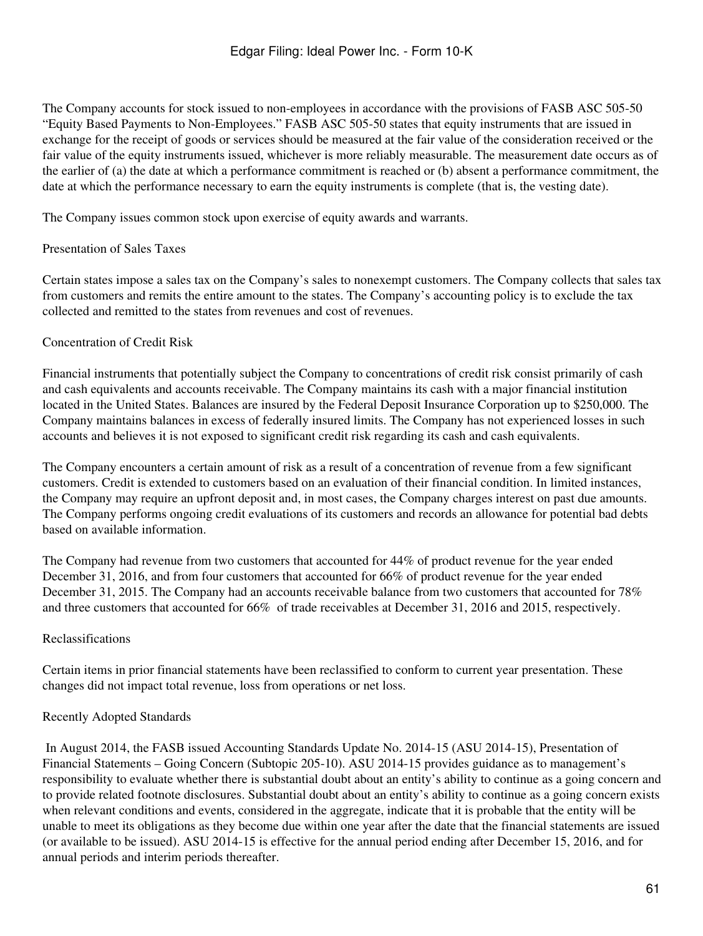The Company accounts for stock issued to non-employees in accordance with the provisions of FASB ASC 505-50 "Equity Based Payments to Non-Employees." FASB ASC 505-50 states that equity instruments that are issued in exchange for the receipt of goods or services should be measured at the fair value of the consideration received or the fair value of the equity instruments issued, whichever is more reliably measurable. The measurement date occurs as of the earlier of (a) the date at which a performance commitment is reached or (b) absent a performance commitment, the date at which the performance necessary to earn the equity instruments is complete (that is, the vesting date).

The Company issues common stock upon exercise of equity awards and warrants.

### Presentation of Sales Taxes

Certain states impose a sales tax on the Company's sales to nonexempt customers. The Company collects that sales tax from customers and remits the entire amount to the states. The Company's accounting policy is to exclude the tax collected and remitted to the states from revenues and cost of revenues.

### Concentration of Credit Risk

Financial instruments that potentially subject the Company to concentrations of credit risk consist primarily of cash and cash equivalents and accounts receivable. The Company maintains its cash with a major financial institution located in the United States. Balances are insured by the Federal Deposit Insurance Corporation up to \$250,000. The Company maintains balances in excess of federally insured limits. The Company has not experienced losses in such accounts and believes it is not exposed to significant credit risk regarding its cash and cash equivalents.

The Company encounters a certain amount of risk as a result of a concentration of revenue from a few significant customers. Credit is extended to customers based on an evaluation of their financial condition. In limited instances, the Company may require an upfront deposit and, in most cases, the Company charges interest on past due amounts. The Company performs ongoing credit evaluations of its customers and records an allowance for potential bad debts based on available information.

The Company had revenue from two customers that accounted for 44% of product revenue for the year ended December 31, 2016, and from four customers that accounted for 66% of product revenue for the year ended December 31, 2015. The Company had an accounts receivable balance from two customers that accounted for 78% and three customers that accounted for 66% of trade receivables at December 31, 2016 and 2015, respectively.

### Reclassifications

Certain items in prior financial statements have been reclassified to conform to current year presentation. These changes did not impact total revenue, loss from operations or net loss.

### Recently Adopted Standards

 In August 2014, the FASB issued Accounting Standards Update No. 2014-15 (ASU 2014-15), Presentation of Financial Statements – Going Concern (Subtopic 205-10). ASU 2014-15 provides guidance as to management's responsibility to evaluate whether there is substantial doubt about an entity's ability to continue as a going concern and to provide related footnote disclosures. Substantial doubt about an entity's ability to continue as a going concern exists when relevant conditions and events, considered in the aggregate, indicate that it is probable that the entity will be unable to meet its obligations as they become due within one year after the date that the financial statements are issued (or available to be issued). ASU 2014-15 is effective for the annual period ending after December 15, 2016, and for annual periods and interim periods thereafter.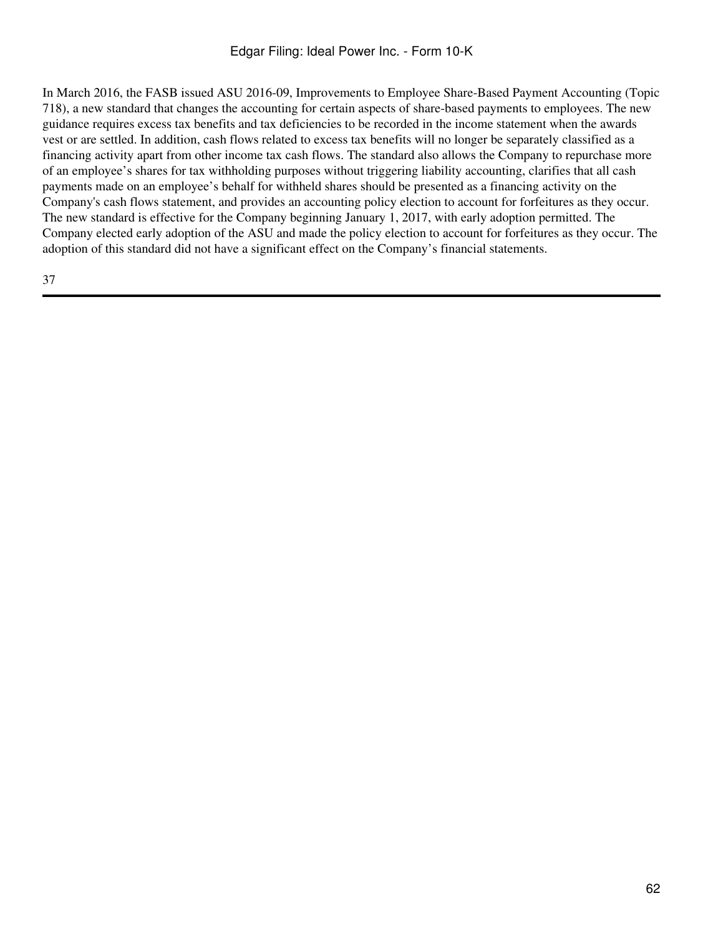In March 2016, the FASB issued ASU 2016-09, Improvements to Employee Share-Based Payment Accounting (Topic 718), a new standard that changes the accounting for certain aspects of share-based payments to employees. The new guidance requires excess tax benefits and tax deficiencies to be recorded in the income statement when the awards vest or are settled. In addition, cash flows related to excess tax benefits will no longer be separately classified as a financing activity apart from other income tax cash flows. The standard also allows the Company to repurchase more of an employee's shares for tax withholding purposes without triggering liability accounting, clarifies that all cash payments made on an employee's behalf for withheld shares should be presented as a financing activity on the Company's cash flows statement, and provides an accounting policy election to account for forfeitures as they occur. The new standard is effective for the Company beginning January 1, 2017, with early adoption permitted. The Company elected early adoption of the ASU and made the policy election to account for forfeitures as they occur. The adoption of this standard did not have a significant effect on the Company's financial statements.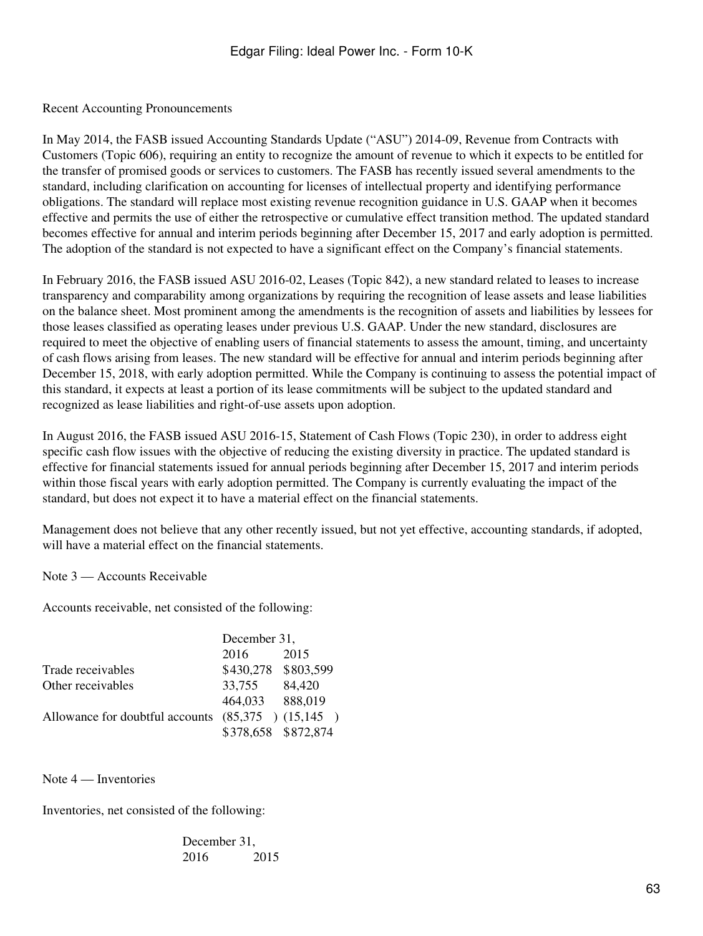Recent Accounting Pronouncements

In May 2014, the FASB issued Accounting Standards Update ("ASU") 2014-09, Revenue from Contracts with Customers (Topic 606), requiring an entity to recognize the amount of revenue to which it expects to be entitled for the transfer of promised goods or services to customers. The FASB has recently issued several amendments to the standard, including clarification on accounting for licenses of intellectual property and identifying performance obligations. The standard will replace most existing revenue recognition guidance in U.S. GAAP when it becomes effective and permits the use of either the retrospective or cumulative effect transition method. The updated standard becomes effective for annual and interim periods beginning after December 15, 2017 and early adoption is permitted. The adoption of the standard is not expected to have a significant effect on the Company's financial statements.

In February 2016, the FASB issued ASU 2016-02, Leases (Topic 842), a new standard related to leases to increase transparency and comparability among organizations by requiring the recognition of lease assets and lease liabilities on the balance sheet. Most prominent among the amendments is the recognition of assets and liabilities by lessees for those leases classified as operating leases under previous U.S. GAAP. Under the new standard, disclosures are required to meet the objective of enabling users of financial statements to assess the amount, timing, and uncertainty of cash flows arising from leases. The new standard will be effective for annual and interim periods beginning after December 15, 2018, with early adoption permitted. While the Company is continuing to assess the potential impact of this standard, it expects at least a portion of its lease commitments will be subject to the updated standard and recognized as lease liabilities and right-of-use assets upon adoption.

In August 2016, the FASB issued ASU 2016-15, Statement of Cash Flows (Topic 230), in order to address eight specific cash flow issues with the objective of reducing the existing diversity in practice. The updated standard is effective for financial statements issued for annual periods beginning after December 15, 2017 and interim periods within those fiscal years with early adoption permitted. The Company is currently evaluating the impact of the standard, but does not expect it to have a material effect on the financial statements.

Management does not believe that any other recently issued, but not yet effective, accounting standards, if adopted, will have a material effect on the financial statements.

Note 3 — Accounts Receivable

Accounts receivable, net consisted of the following:

|                                                       | December 31,        |        |  |
|-------------------------------------------------------|---------------------|--------|--|
|                                                       | 2016                | 2015   |  |
| Trade receivables                                     | \$430,278 \$803,599 |        |  |
| Other receivables                                     | 33,755              | 84,420 |  |
|                                                       | 464,033 888,019     |        |  |
| Allowance for doubtful accounts $(85,375)$ $(15,145)$ |                     |        |  |
|                                                       | \$378,658 \$872,874 |        |  |

Note 4 — Inventories

Inventories, net consisted of the following:

December 31, 2016 2015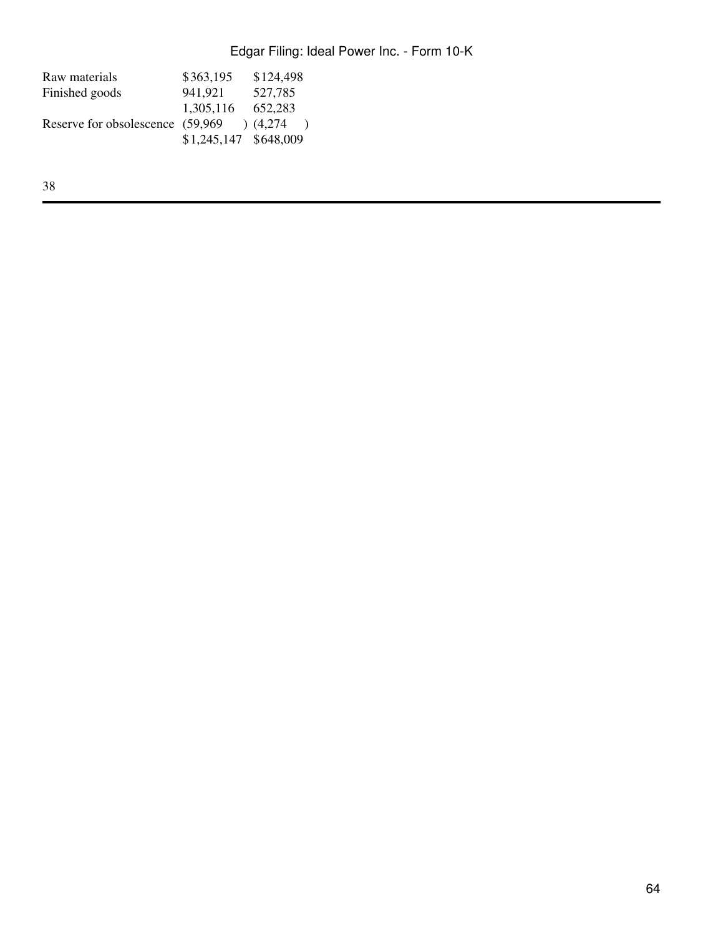| Raw materials                     | \$363,195             | \$124,498 |
|-----------------------------------|-----------------------|-----------|
| Finished goods                    | 941,921               | 527,785   |
|                                   | 1,305,116             | 652,283   |
| Reserve for obsolescence (59,969) |                       | (4,274)   |
|                                   | \$1,245,147 \$648,009 |           |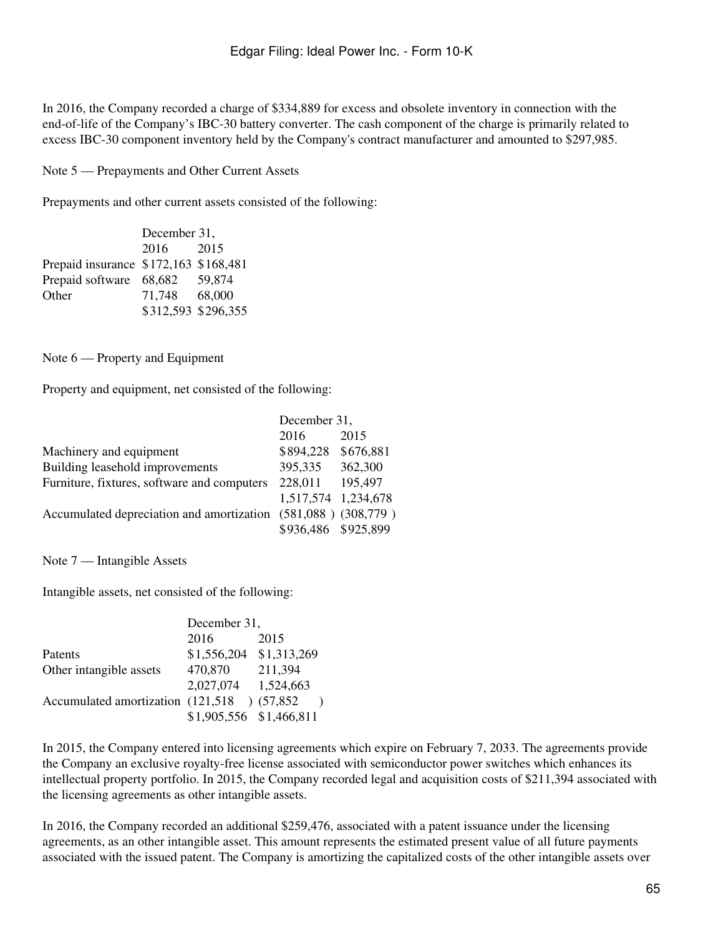In 2016, the Company recorded a charge of \$334,889 for excess and obsolete inventory in connection with the end-of-life of the Company's IBC-30 battery converter. The cash component of the charge is primarily related to excess IBC-30 component inventory held by the Company's contract manufacturer and amounted to \$297,985.

Note 5 — Prepayments and Other Current Assets

Prepayments and other current assets consisted of the following:

| December 31, |                                                                                                          |  |
|--------------|----------------------------------------------------------------------------------------------------------|--|
| 2016         | 2015                                                                                                     |  |
|              |                                                                                                          |  |
|              | 59.874                                                                                                   |  |
|              |                                                                                                          |  |
|              |                                                                                                          |  |
|              | Prepaid insurance \$172,163 \$168,481<br>Prepaid software 68,682<br>71,748 68,000<br>\$312,593 \$296,355 |  |

Note 6 — Property and Equipment

Property and equipment, net consisted of the following:

|                                             | December 31,        |                         |
|---------------------------------------------|---------------------|-------------------------|
|                                             | 2016                | 2015                    |
| Machinery and equipment                     | \$894,228           | \$676,881               |
| Building leasehold improvements             | 395,335             | 362,300                 |
| Furniture, fixtures, software and computers | 228,011             | 195,497                 |
|                                             | 1,517,574 1,234,678 |                         |
| Accumulated depreciation and amortization   |                     | $(581,088)$ $(308,779)$ |
|                                             | \$936,486 \$925,899 |                         |

Note 7 — Intangible Assets

Intangible assets, net consisted of the following:

|                                             | December 31,            |             |  |
|---------------------------------------------|-------------------------|-------------|--|
|                                             | 2016                    | 2015        |  |
| Patents                                     | \$1,556,204             | \$1,313,269 |  |
| Other intangible assets                     | 470,870                 | 211,394     |  |
|                                             | 2,027,074               | 1,524,663   |  |
| Accumulated amortization (121,518) (57,852) |                         |             |  |
|                                             | \$1,905,556 \$1,466,811 |             |  |

In 2015, the Company entered into licensing agreements which expire on February 7, 2033. The agreements provide the Company an exclusive royalty-free license associated with semiconductor power switches which enhances its intellectual property portfolio. In 2015, the Company recorded legal and acquisition costs of \$211,394 associated with the licensing agreements as other intangible assets.

In 2016, the Company recorded an additional \$259,476, associated with a patent issuance under the licensing agreements, as an other intangible asset. This amount represents the estimated present value of all future payments associated with the issued patent. The Company is amortizing the capitalized costs of the other intangible assets over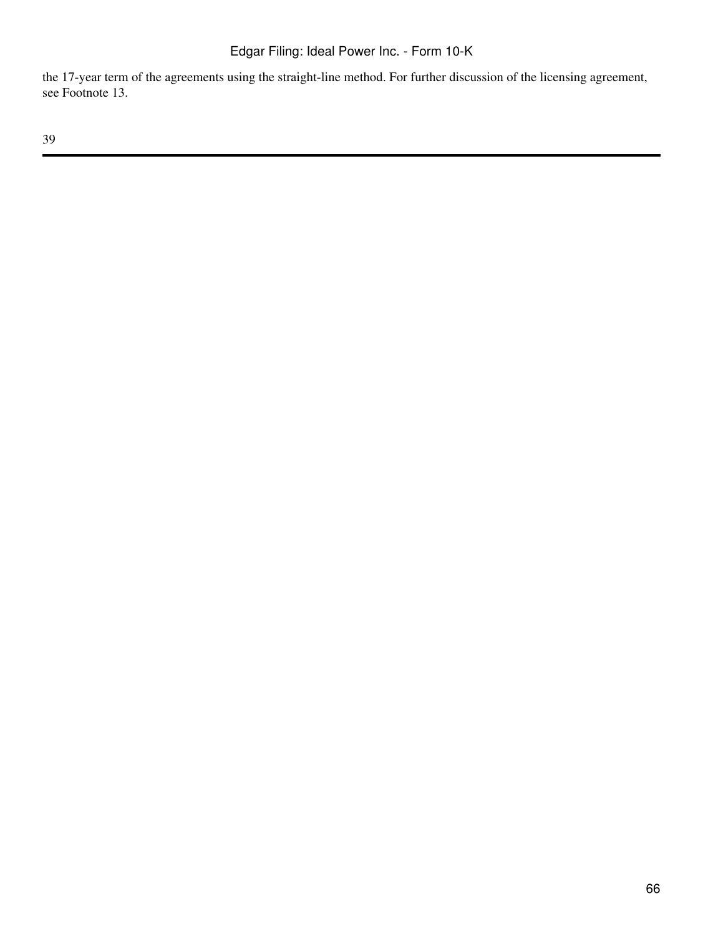the 17-year term of the agreements using the straight-line method. For further discussion of the licensing agreement, see Footnote 13.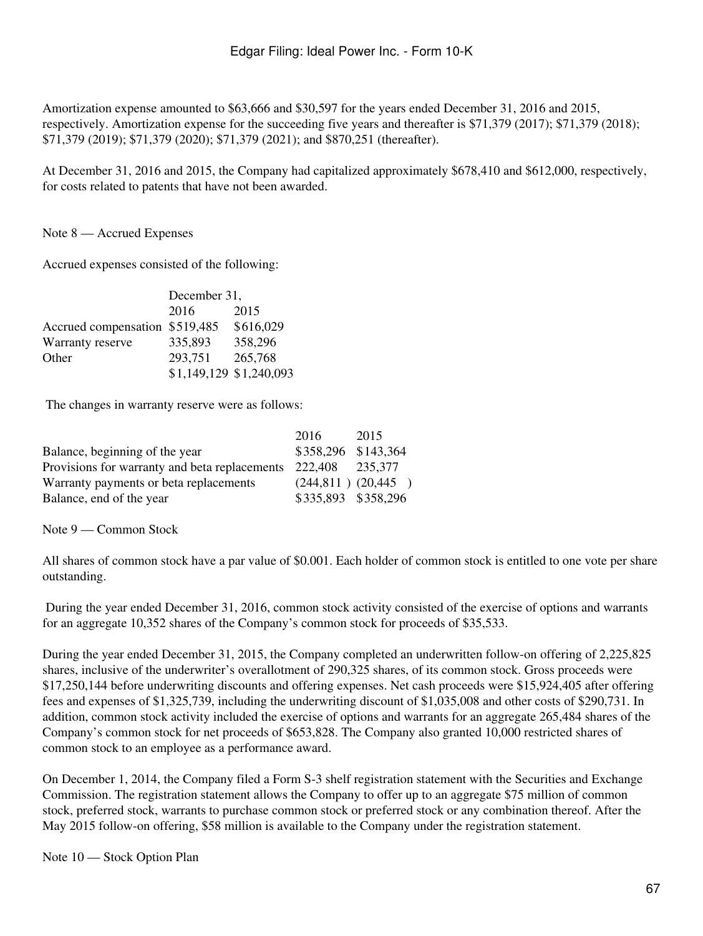Amortization expense amounted to \$63,666 and \$30,597 for the years ended December 31, 2016 and 2015, respectively. Amortization expense for the succeeding five years and thereafter is \$71,379 (2017); \$71,379 (2018); \$71,379 (2019); \$71,379 (2020); \$71,379 (2021); and \$870,251 (thereafter).

At December 31, 2016 and 2015, the Company had capitalized approximately \$678,410 and \$612,000, respectively, for costs related to patents that have not been awarded.

Note 8 — Accrued Expenses

Accrued expenses consisted of the following:

|                                | December 31,            |           |  |
|--------------------------------|-------------------------|-----------|--|
|                                | 2016                    | 2015      |  |
| Accrued compensation \$519,485 |                         | \$616,029 |  |
| Warranty reserve               | 335,893                 | 358,296   |  |
| Other                          | 293,751                 | 265,768   |  |
|                                | \$1,149,129 \$1,240,093 |           |  |

The changes in warranty reserve were as follows:

|                                               | 2016                   | 2015 |
|-----------------------------------------------|------------------------|------|
| Balance, beginning of the year                | \$358,296 \$143,364    |      |
| Provisions for warranty and beta replacements | 222,408 235,377        |      |
| Warranty payments or beta replacements        | $(244,811)$ $(20,445)$ |      |
| Balance, end of the year                      | \$335,893 \$358,296    |      |

Note 9 — Common Stock

All shares of common stock have a par value of \$0.001. Each holder of common stock is entitled to one vote per share outstanding.

 During the year ended December 31, 2016, common stock activity consisted of the exercise of options and warrants for an aggregate 10,352 shares of the Company's common stock for proceeds of \$35,533.

During the year ended December 31, 2015, the Company completed an underwritten follow-on offering of 2,225,825 shares, inclusive of the underwriter's overallotment of 290,325 shares, of its common stock. Gross proceeds were \$17,250,144 before underwriting discounts and offering expenses. Net cash proceeds were \$15,924,405 after offering fees and expenses of \$1,325,739, including the underwriting discount of \$1,035,008 and other costs of \$290,731. In addition, common stock activity included the exercise of options and warrants for an aggregate 265,484 shares of the Company's common stock for net proceeds of \$653,828. The Company also granted 10,000 restricted shares of common stock to an employee as a performance award.

On December 1, 2014, the Company filed a Form S-3 shelf registration statement with the Securities and Exchange Commission. The registration statement allows the Company to offer up to an aggregate \$75 million of common stock, preferred stock, warrants to purchase common stock or preferred stock or any combination thereof. After the May 2015 follow-on offering, \$58 million is available to the Company under the registration statement.

Note 10 — Stock Option Plan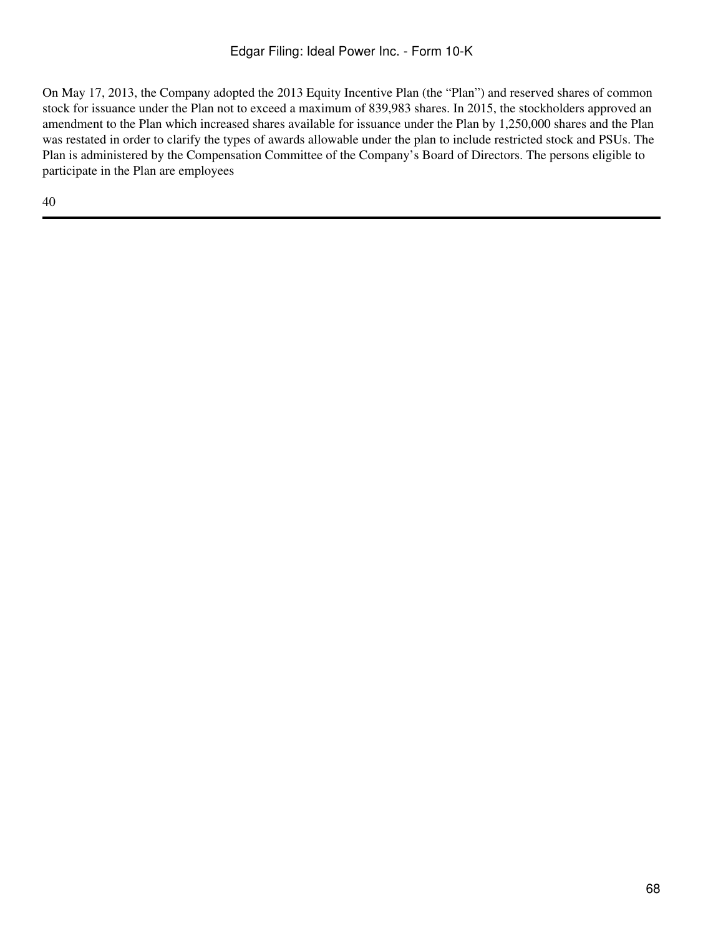On May 17, 2013, the Company adopted the 2013 Equity Incentive Plan (the "Plan") and reserved shares of common stock for issuance under the Plan not to exceed a maximum of 839,983 shares. In 2015, the stockholders approved an amendment to the Plan which increased shares available for issuance under the Plan by 1,250,000 shares and the Plan was restated in order to clarify the types of awards allowable under the plan to include restricted stock and PSUs. The Plan is administered by the Compensation Committee of the Company's Board of Directors. The persons eligible to participate in the Plan are employees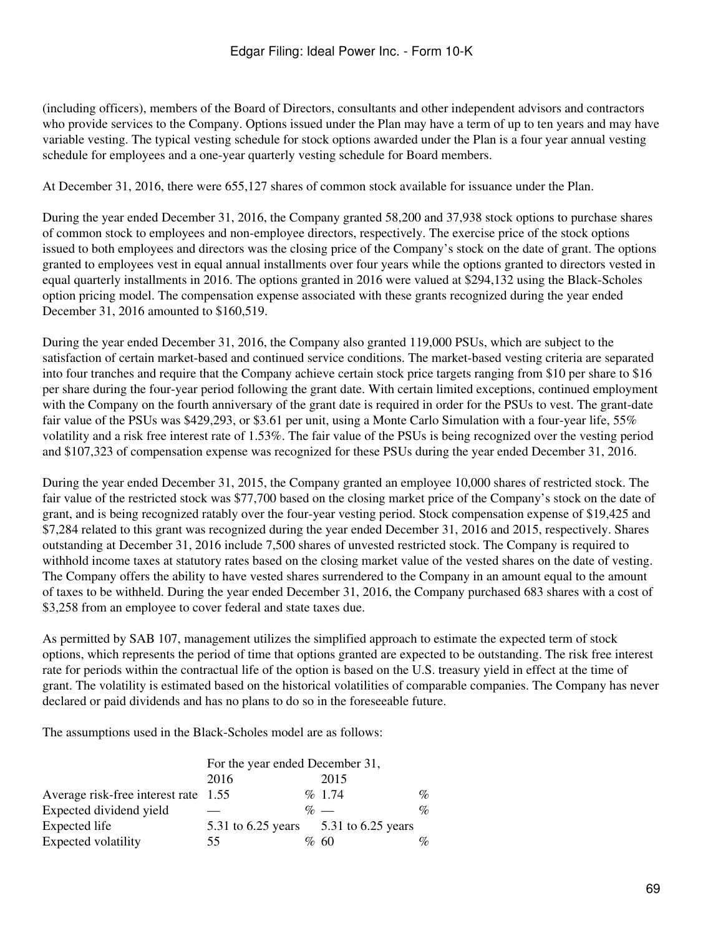(including officers), members of the Board of Directors, consultants and other independent advisors and contractors who provide services to the Company. Options issued under the Plan may have a term of up to ten years and may have variable vesting. The typical vesting schedule for stock options awarded under the Plan is a four year annual vesting schedule for employees and a one-year quarterly vesting schedule for Board members.

At December 31, 2016, there were 655,127 shares of common stock available for issuance under the Plan.

During the year ended December 31, 2016, the Company granted 58,200 and 37,938 stock options to purchase shares of common stock to employees and non-employee directors, respectively. The exercise price of the stock options issued to both employees and directors was the closing price of the Company's stock on the date of grant. The options granted to employees vest in equal annual installments over four years while the options granted to directors vested in equal quarterly installments in 2016. The options granted in 2016 were valued at \$294,132 using the Black-Scholes option pricing model. The compensation expense associated with these grants recognized during the year ended December 31, 2016 amounted to \$160,519.

During the year ended December 31, 2016, the Company also granted 119,000 PSUs, which are subject to the satisfaction of certain market-based and continued service conditions. The market-based vesting criteria are separated into four tranches and require that the Company achieve certain stock price targets ranging from \$10 per share to \$16 per share during the four-year period following the grant date. With certain limited exceptions, continued employment with the Company on the fourth anniversary of the grant date is required in order for the PSUs to vest. The grant-date fair value of the PSUs was \$429,293, or \$3.61 per unit, using a Monte Carlo Simulation with a four-year life, 55% volatility and a risk free interest rate of 1.53%. The fair value of the PSUs is being recognized over the vesting period and \$107,323 of compensation expense was recognized for these PSUs during the year ended December 31, 2016.

During the year ended December 31, 2015, the Company granted an employee 10,000 shares of restricted stock. The fair value of the restricted stock was \$77,700 based on the closing market price of the Company's stock on the date of grant, and is being recognized ratably over the four-year vesting period. Stock compensation expense of \$19,425 and \$7,284 related to this grant was recognized during the year ended December 31, 2016 and 2015, respectively. Shares outstanding at December 31, 2016 include 7,500 shares of unvested restricted stock. The Company is required to withhold income taxes at statutory rates based on the closing market value of the vested shares on the date of vesting. The Company offers the ability to have vested shares surrendered to the Company in an amount equal to the amount of taxes to be withheld. During the year ended December 31, 2016, the Company purchased 683 shares with a cost of \$3,258 from an employee to cover federal and state taxes due.

As permitted by SAB 107, management utilizes the simplified approach to estimate the expected term of stock options, which represents the period of time that options granted are expected to be outstanding. The risk free interest rate for periods within the contractual life of the option is based on the U.S. treasury yield in effect at the time of grant. The volatility is estimated based on the historical volatilities of comparable companies. The Company has never declared or paid dividends and has no plans to do so in the foreseeable future.

The assumptions used in the Black-Scholes model are as follows:

|                                      | For the year ended December 31, |  |                                       |      |
|--------------------------------------|---------------------------------|--|---------------------------------------|------|
|                                      | 2016                            |  | 2015                                  |      |
| Average risk-free interest rate 1.55 |                                 |  | $\%$ 1.74                             | $\%$ |
| Expected dividend yield              |                                 |  | $\%$ —                                | $\%$ |
| Expected life                        |                                 |  | 5.31 to 6.25 years 5.31 to 6.25 years |      |
| Expected volatility                  | 55                              |  | %60                                   | $\%$ |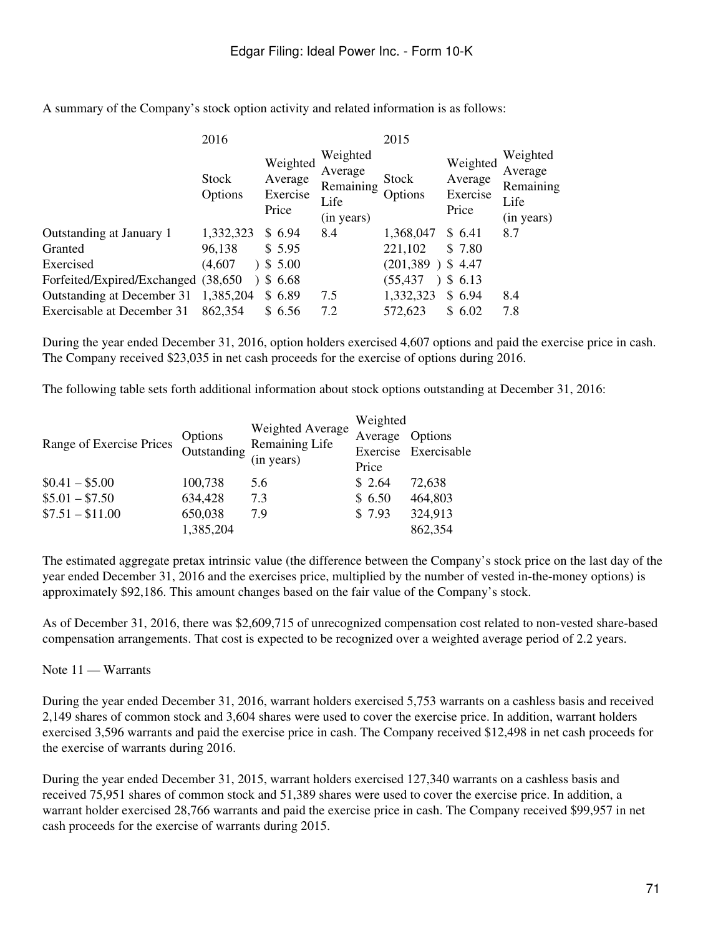|                                      | 2016             |                                          | 2015                                                   |                    |                                          |                                                        |
|--------------------------------------|------------------|------------------------------------------|--------------------------------------------------------|--------------------|------------------------------------------|--------------------------------------------------------|
|                                      | Stock<br>Options | Weighted<br>Average<br>Exercise<br>Price | Weighted<br>Average<br>Remaining<br>Life<br>(in years) | Stock<br>Options   | Weighted<br>Average<br>Exercise<br>Price | Weighted<br>Average<br>Remaining<br>Life<br>(in years) |
| Outstanding at January 1             | 1,332,323        | \$6.94                                   | 8.4                                                    | 1,368,047          | \$ 6.41                                  | 8.7                                                    |
| Granted                              | 96,138           | \$5.95                                   |                                                        | 221,102            | \$7.80                                   |                                                        |
| Exercised                            | (4,607)          | 35.00                                    |                                                        | $(201,389)$ \$4.47 |                                          |                                                        |
| Forfeited/Expired/Exchanged (38,650) |                  | 3, 6.68                                  |                                                        | (55, 437)          | \$6.13                                   |                                                        |
| Outstanding at December 31           | 1,385,204        | \$6.89                                   | 7.5                                                    | 1,332,323          | \$6.94                                   | 8.4                                                    |
| <b>Exercisable at December 31</b>    | 862,354          | \$ 6.56                                  | 7.2                                                    | 572,623            | \$6.02                                   | 7.8                                                    |
|                                      |                  |                                          |                                                        |                    |                                          |                                                        |

A summary of the Company's stock option activity and related information is as follows:

During the year ended December 31, 2016, option holders exercised 4,607 options and paid the exercise price in cash. The Company received \$23,035 in net cash proceeds for the exercise of options during 2016.

The following table sets forth additional information about stock options outstanding at December 31, 2016:

| Range of Exercise Prices | Options<br>Outstanding 1 | Weighted Average<br>Remaining Life<br>(in years) | Weighted |                      |  |
|--------------------------|--------------------------|--------------------------------------------------|----------|----------------------|--|
|                          |                          |                                                  | Average  | Options              |  |
|                          |                          |                                                  |          | Exercise Exercisable |  |
|                          |                          |                                                  | Price    |                      |  |
| $$0.41 - $5.00$          | 100,738                  | 5.6                                              | \$2.64   | 72,638               |  |
| $$5.01 - $7.50$          | 634,428                  | 7.3                                              | \$6.50   | 464,803              |  |
| $$7.51 - $11.00$         | 650,038                  | 7.9                                              | \$7.93   | 324,913              |  |
|                          | 1,385,204                |                                                  |          | 862,354              |  |

The estimated aggregate pretax intrinsic value (the difference between the Company's stock price on the last day of the year ended December 31, 2016 and the exercises price, multiplied by the number of vested in-the-money options) is approximately \$92,186. This amount changes based on the fair value of the Company's stock.

As of December 31, 2016, there was \$2,609,715 of unrecognized compensation cost related to non-vested share-based compensation arrangements. That cost is expected to be recognized over a weighted average period of 2.2 years.

### Note 11 — Warrants

During the year ended December 31, 2016, warrant holders exercised 5,753 warrants on a cashless basis and received 2,149 shares of common stock and 3,604 shares were used to cover the exercise price. In addition, warrant holders exercised 3,596 warrants and paid the exercise price in cash. The Company received \$12,498 in net cash proceeds for the exercise of warrants during 2016.

During the year ended December 31, 2015, warrant holders exercised 127,340 warrants on a cashless basis and received 75,951 shares of common stock and 51,389 shares were used to cover the exercise price. In addition, a warrant holder exercised 28,766 warrants and paid the exercise price in cash. The Company received \$99,957 in net cash proceeds for the exercise of warrants during 2015.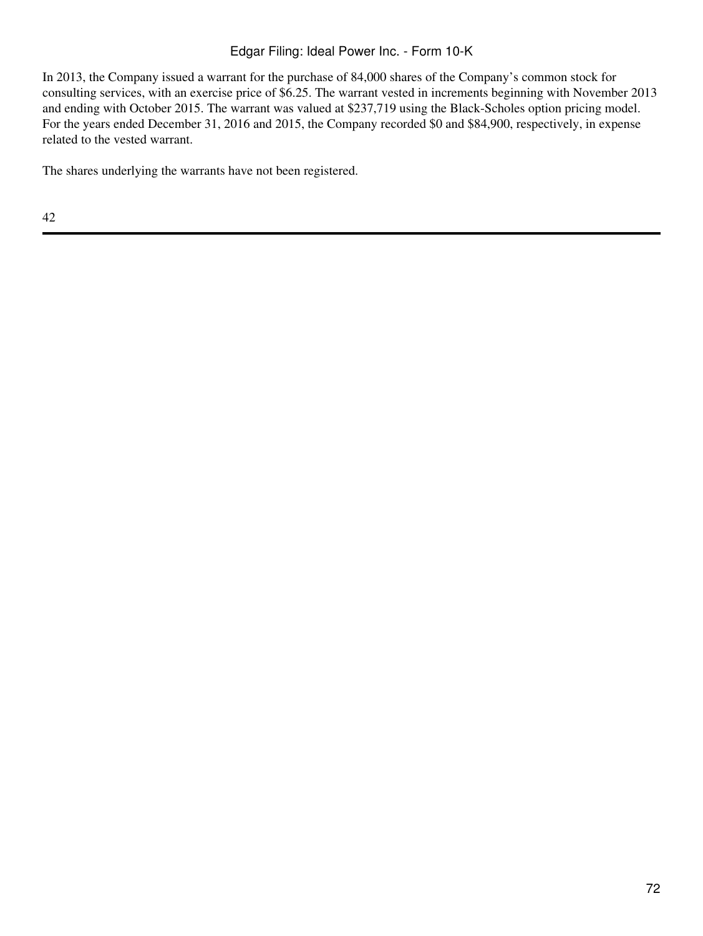## Edgar Filing: Ideal Power Inc. - Form 10-K

In 2013, the Company issued a warrant for the purchase of 84,000 shares of the Company's common stock for consulting services, with an exercise price of \$6.25. The warrant vested in increments beginning with November 2013 and ending with October 2015. The warrant was valued at \$237,719 using the Black-Scholes option pricing model. For the years ended December 31, 2016 and 2015, the Company recorded \$0 and \$84,900, respectively, in expense related to the vested warrant.

The shares underlying the warrants have not been registered.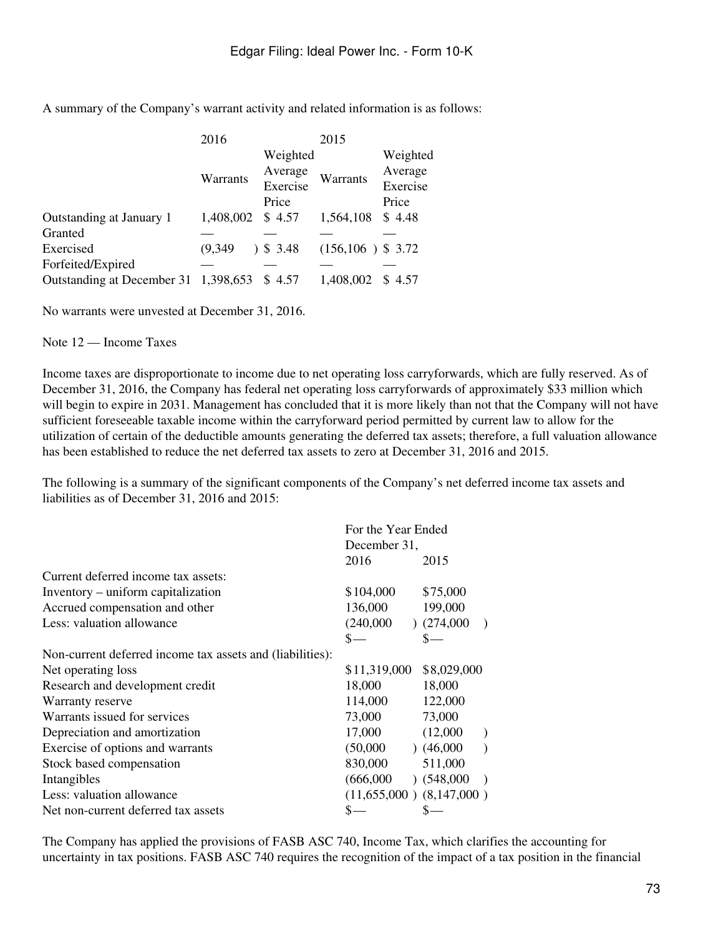A summary of the Company's warrant activity and related information is as follows:

|                                      | 2016      |          | 2015                 |          |
|--------------------------------------|-----------|----------|----------------------|----------|
|                                      |           | Weighted |                      | Weighted |
|                                      | Warrants  | Average  | Warrants             | Average  |
|                                      |           | Exercise |                      | Exercise |
|                                      |           | Price    |                      | Price    |
| Outstanding at January 1             | 1,408,002 | \$4.57   | 1,564,108            | \$4.48   |
| Granted                              |           |          |                      |          |
| Exercised                            | (9,349)   | 3.48     | $(156, 106)$ \$ 3.72 |          |
| Forfeited/Expired                    |           |          |                      |          |
| Outstanding at December 31 1,398,653 |           | \$4.57   | 1,408,002            | \$4.57   |

No warrants were unvested at December 31, 2016.

Note 12 — Income Taxes

Income taxes are disproportionate to income due to net operating loss carryforwards, which are fully reserved. As of December 31, 2016, the Company has federal net operating loss carryforwards of approximately \$33 million which will begin to expire in 2031. Management has concluded that it is more likely than not that the Company will not have sufficient foreseeable taxable income within the carryforward period permitted by current law to allow for the utilization of certain of the deductible amounts generating the deferred tax assets; therefore, a full valuation allowance has been established to reduce the net deferred tax assets to zero at December 31, 2016 and 2015.

The following is a summary of the significant components of the Company's net deferred income tax assets and liabilities as of December 31, 2016 and 2015:

|                                                           | For the Year Ended |                              |  |
|-----------------------------------------------------------|--------------------|------------------------------|--|
|                                                           | December 31,       |                              |  |
|                                                           | 2016               | 2015                         |  |
| Current deferred income tax assets:                       |                    |                              |  |
| Inventory – uniform capitalization                        | \$104,000          | \$75,000                     |  |
| Accrued compensation and other                            | 136,000            | 199,000                      |  |
| Less: valuation allowance                                 | (240,000)          | (274,000)<br>$\rightarrow$   |  |
|                                                           | $S-$               | \$-                          |  |
| Non-current deferred income tax assets and (liabilities): |                    |                              |  |
| Net operating loss                                        | \$11,319,000       | \$8,029,000                  |  |
| Research and development credit                           | 18,000             | 18,000                       |  |
| Warranty reserve                                          | 114,000            | 122,000                      |  |
| Warrants issued for services                              | 73,000             | 73,000                       |  |
| Depreciation and amortization                             | 17,000             | (12,000)<br>$\lambda$        |  |
| Exercise of options and warrants                          | (50,000)           | (46,000)<br>$\lambda$        |  |
| Stock based compensation                                  | 830,000            | 511,000                      |  |
| Intangibles                                               | (666,000)          | (548,000)<br>$\rightarrow$   |  |
| Less: valuation allowance                                 |                    | $(11,655,000)$ $(8,147,000)$ |  |
| Net non-current deferred tax assets                       |                    |                              |  |

The Company has applied the provisions of FASB ASC 740, Income Tax, which clarifies the accounting for uncertainty in tax positions. FASB ASC 740 requires the recognition of the impact of a tax position in the financial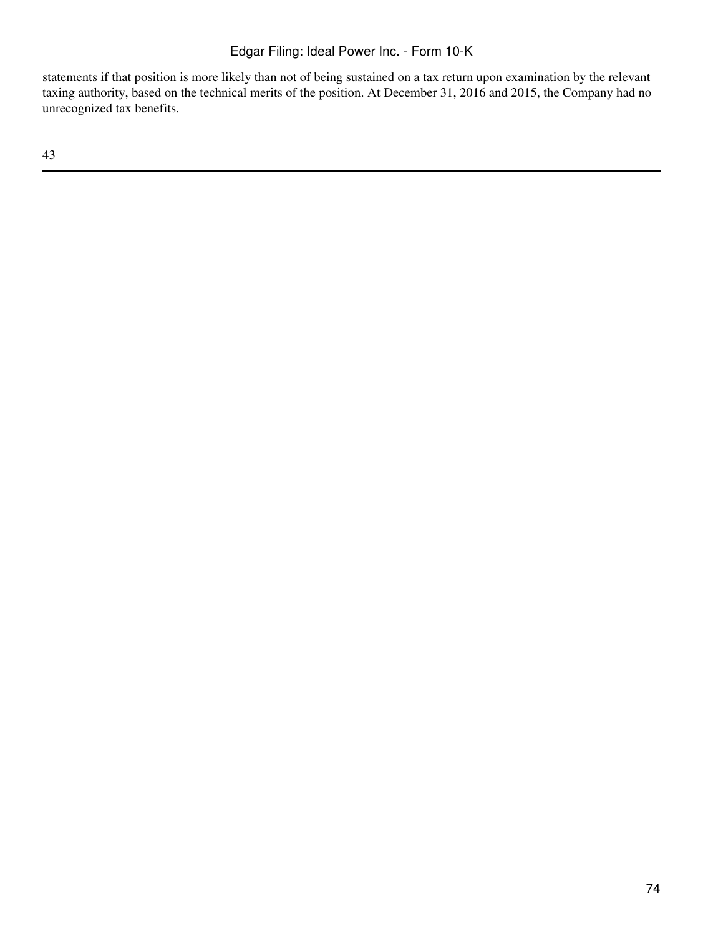statements if that position is more likely than not of being sustained on a tax return upon examination by the relevant taxing authority, based on the technical merits of the position. At December 31, 2016 and 2015, the Company had no unrecognized tax benefits.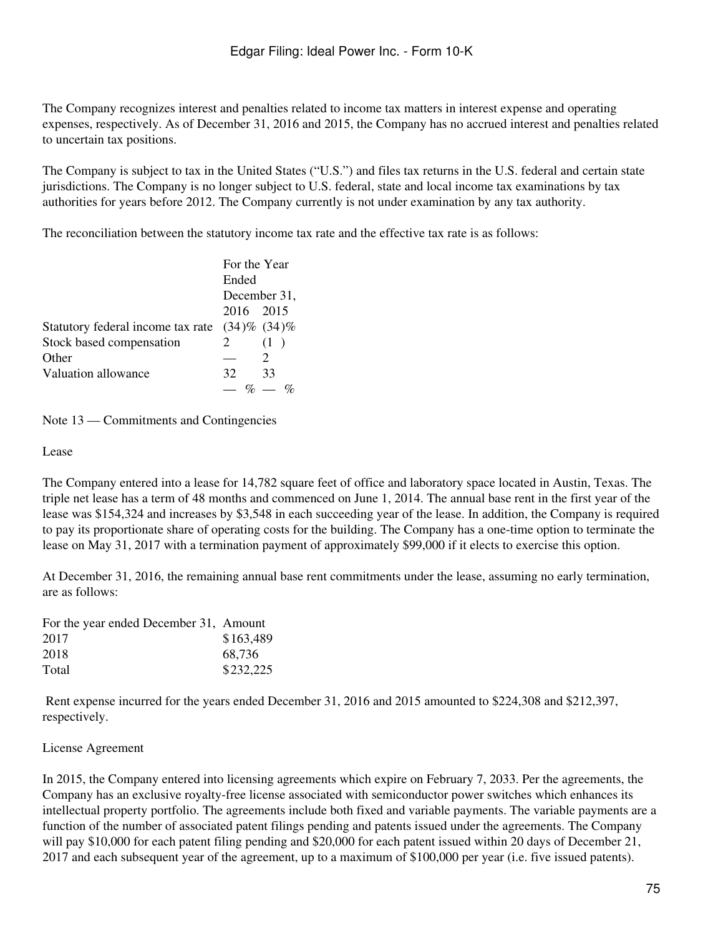The Company recognizes interest and penalties related to income tax matters in interest expense and operating expenses, respectively. As of December 31, 2016 and 2015, the Company has no accrued interest and penalties related to uncertain tax positions.

The Company is subject to tax in the United States ("U.S.") and files tax returns in the U.S. federal and certain state jurisdictions. The Company is no longer subject to U.S. federal, state and local income tax examinations by tax authorities for years before 2012. The Company currently is not under examination by any tax authority.

The reconciliation between the statutory income tax rate and the effective tax rate is as follows:

|                                   | For the Year |                   |
|-----------------------------------|--------------|-------------------|
|                                   | Ended        |                   |
|                                   |              | December 31,      |
|                                   | 2016 2015    |                   |
| Statutory federal income tax rate |              | $(34)\%$ $(34)\%$ |
| Stock based compensation          | 2            | (1)               |
| Other                             |              |                   |
| Valuation allowance               | 32           | 33                |
|                                   |              |                   |

Note 13 — Commitments and Contingencies

Lease

The Company entered into a lease for 14,782 square feet of office and laboratory space located in Austin, Texas. The triple net lease has a term of 48 months and commenced on June 1, 2014. The annual base rent in the first year of the lease was \$154,324 and increases by \$3,548 in each succeeding year of the lease. In addition, the Company is required to pay its proportionate share of operating costs for the building. The Company has a one-time option to terminate the lease on May 31, 2017 with a termination payment of approximately \$99,000 if it elects to exercise this option.

At December 31, 2016, the remaining annual base rent commitments under the lease, assuming no early termination, are as follows:

| For the year ended December 31, Amount |           |
|----------------------------------------|-----------|
| 2017                                   | \$163,489 |
| 2018                                   | 68.736    |
| Total                                  | \$232,225 |

 Rent expense incurred for the years ended December 31, 2016 and 2015 amounted to \$224,308 and \$212,397, respectively.

License Agreement

In 2015, the Company entered into licensing agreements which expire on February 7, 2033. Per the agreements, the Company has an exclusive royalty-free license associated with semiconductor power switches which enhances its intellectual property portfolio. The agreements include both fixed and variable payments. The variable payments are a function of the number of associated patent filings pending and patents issued under the agreements. The Company will pay \$10,000 for each patent filing pending and \$20,000 for each patent issued within 20 days of December 21, 2017 and each subsequent year of the agreement, up to a maximum of \$100,000 per year (i.e. five issued patents).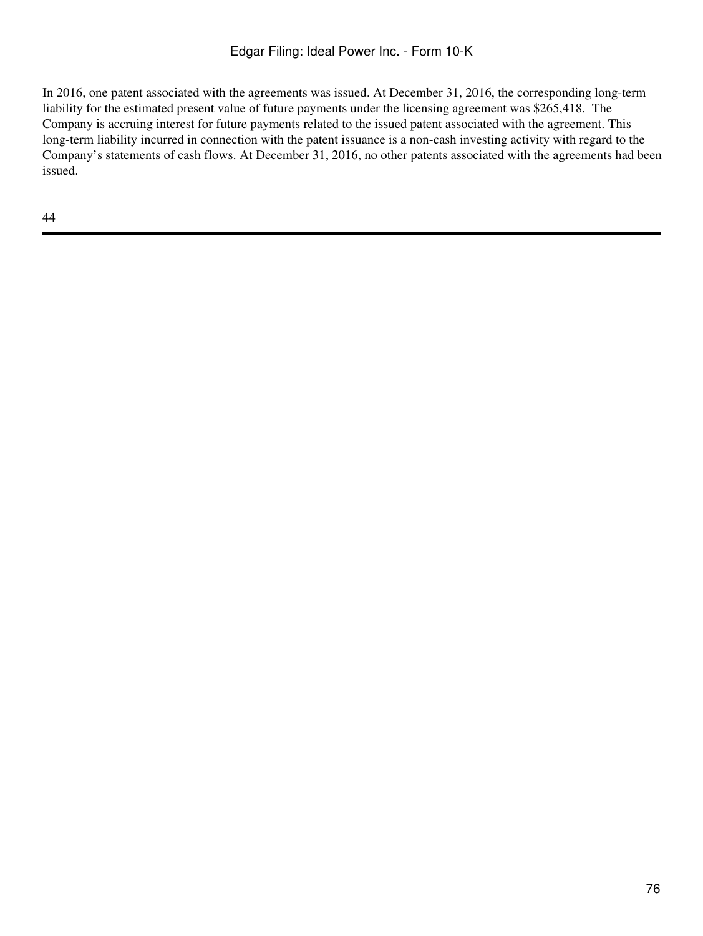In 2016, one patent associated with the agreements was issued. At December 31, 2016, the corresponding long-term liability for the estimated present value of future payments under the licensing agreement was \$265,418. The Company is accruing interest for future payments related to the issued patent associated with the agreement. This long-term liability incurred in connection with the patent issuance is a non-cash investing activity with regard to the Company's statements of cash flows. At December 31, 2016, no other patents associated with the agreements had been issued.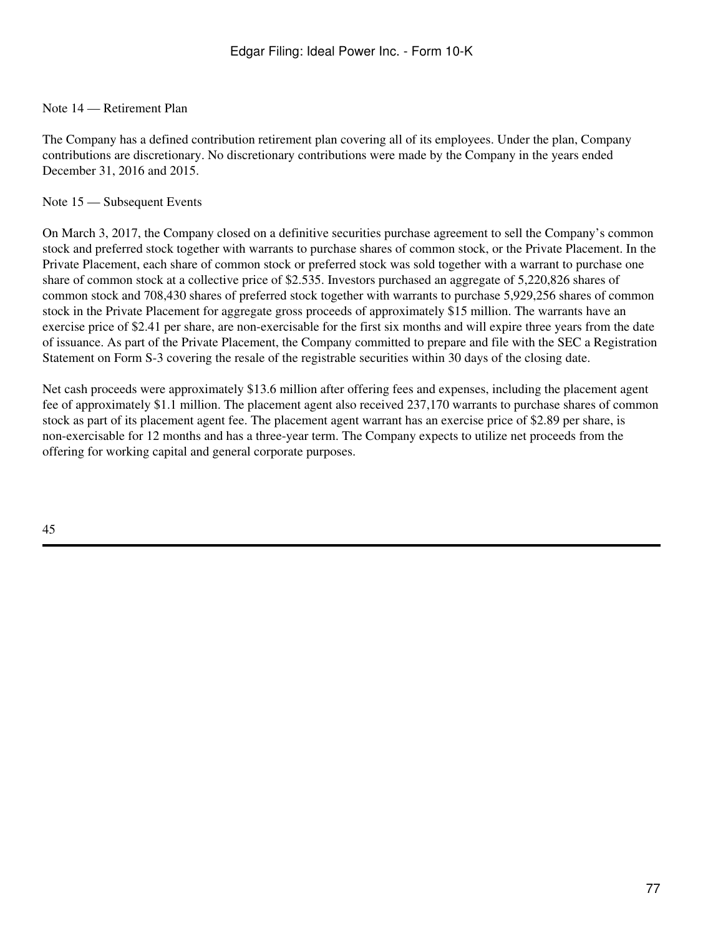# Note 14 — Retirement Plan

The Company has a defined contribution retirement plan covering all of its employees. Under the plan, Company contributions are discretionary. No discretionary contributions were made by the Company in the years ended December 31, 2016 and 2015.

#### Note 15 — Subsequent Events

On March 3, 2017, the Company closed on a definitive securities purchase agreement to sell the Company's common stock and preferred stock together with warrants to purchase shares of common stock, or the Private Placement. In the Private Placement, each share of common stock or preferred stock was sold together with a warrant to purchase one share of common stock at a collective price of \$2.535. Investors purchased an aggregate of 5,220,826 shares of common stock and 708,430 shares of preferred stock together with warrants to purchase 5,929,256 shares of common stock in the Private Placement for aggregate gross proceeds of approximately \$15 million. The warrants have an exercise price of \$2.41 per share, are non-exercisable for the first six months and will expire three years from the date of issuance. As part of the Private Placement, the Company committed to prepare and file with the SEC a Registration Statement on Form S-3 covering the resale of the registrable securities within 30 days of the closing date.

Net cash proceeds were approximately \$13.6 million after offering fees and expenses, including the placement agent fee of approximately \$1.1 million. The placement agent also received 237,170 warrants to purchase shares of common stock as part of its placement agent fee. The placement agent warrant has an exercise price of \$2.89 per share, is non-exercisable for 12 months and has a three-year term. The Company expects to utilize net proceeds from the offering for working capital and general corporate purposes.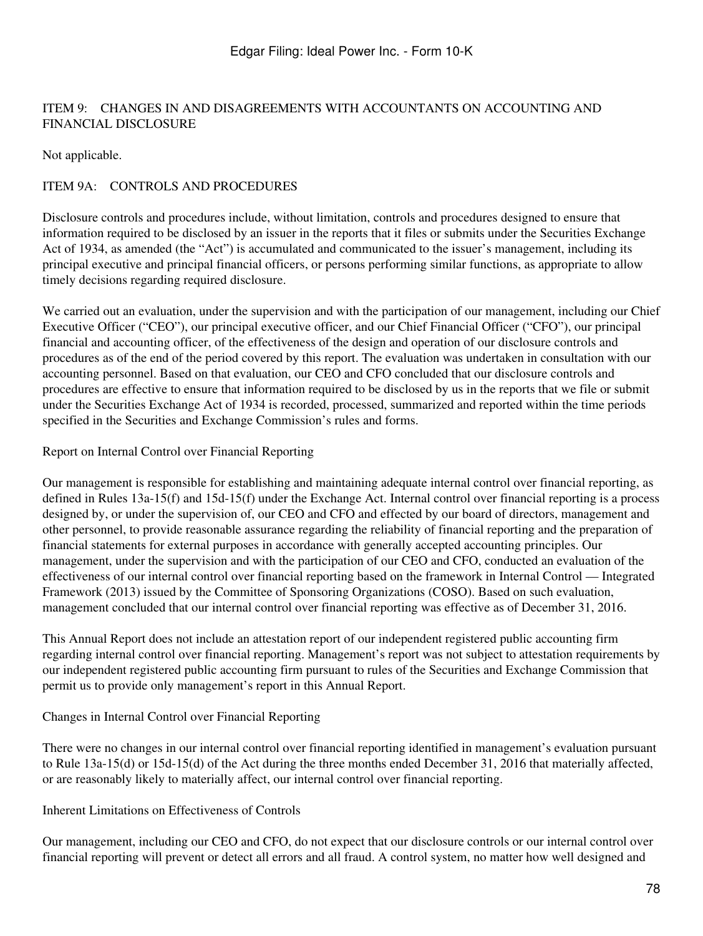# ITEM 9: CHANGES IN AND DISAGREEMENTS WITH ACCOUNTANTS ON ACCOUNTING AND FINANCIAL DISCLOSURE

Not applicable.

# ITEM 9A: CONTROLS AND PROCEDURES

Disclosure controls and procedures include, without limitation, controls and procedures designed to ensure that information required to be disclosed by an issuer in the reports that it files or submits under the Securities Exchange Act of 1934, as amended (the "Act") is accumulated and communicated to the issuer's management, including its principal executive and principal financial officers, or persons performing similar functions, as appropriate to allow timely decisions regarding required disclosure.

We carried out an evaluation, under the supervision and with the participation of our management, including our Chief Executive Officer ("CEO"), our principal executive officer, and our Chief Financial Officer ("CFO"), our principal financial and accounting officer, of the effectiveness of the design and operation of our disclosure controls and procedures as of the end of the period covered by this report. The evaluation was undertaken in consultation with our accounting personnel. Based on that evaluation, our CEO and CFO concluded that our disclosure controls and procedures are effective to ensure that information required to be disclosed by us in the reports that we file or submit under the Securities Exchange Act of 1934 is recorded, processed, summarized and reported within the time periods specified in the Securities and Exchange Commission's rules and forms.

## Report on Internal Control over Financial Reporting

Our management is responsible for establishing and maintaining adequate internal control over financial reporting, as defined in Rules 13a-15(f) and 15d-15(f) under the Exchange Act. Internal control over financial reporting is a process designed by, or under the supervision of, our CEO and CFO and effected by our board of directors, management and other personnel, to provide reasonable assurance regarding the reliability of financial reporting and the preparation of financial statements for external purposes in accordance with generally accepted accounting principles. Our management, under the supervision and with the participation of our CEO and CFO, conducted an evaluation of the effectiveness of our internal control over financial reporting based on the framework in Internal Control — Integrated Framework (2013) issued by the Committee of Sponsoring Organizations (COSO). Based on such evaluation, management concluded that our internal control over financial reporting was effective as of December 31, 2016.

This Annual Report does not include an attestation report of our independent registered public accounting firm regarding internal control over financial reporting. Management's report was not subject to attestation requirements by our independent registered public accounting firm pursuant to rules of the Securities and Exchange Commission that permit us to provide only management's report in this Annual Report.

## Changes in Internal Control over Financial Reporting

There were no changes in our internal control over financial reporting identified in management's evaluation pursuant to Rule 13a-15(d) or 15d-15(d) of the Act during the three months ended December 31, 2016 that materially affected, or are reasonably likely to materially affect, our internal control over financial reporting.

Inherent Limitations on Effectiveness of Controls

Our management, including our CEO and CFO, do not expect that our disclosure controls or our internal control over financial reporting will prevent or detect all errors and all fraud. A control system, no matter how well designed and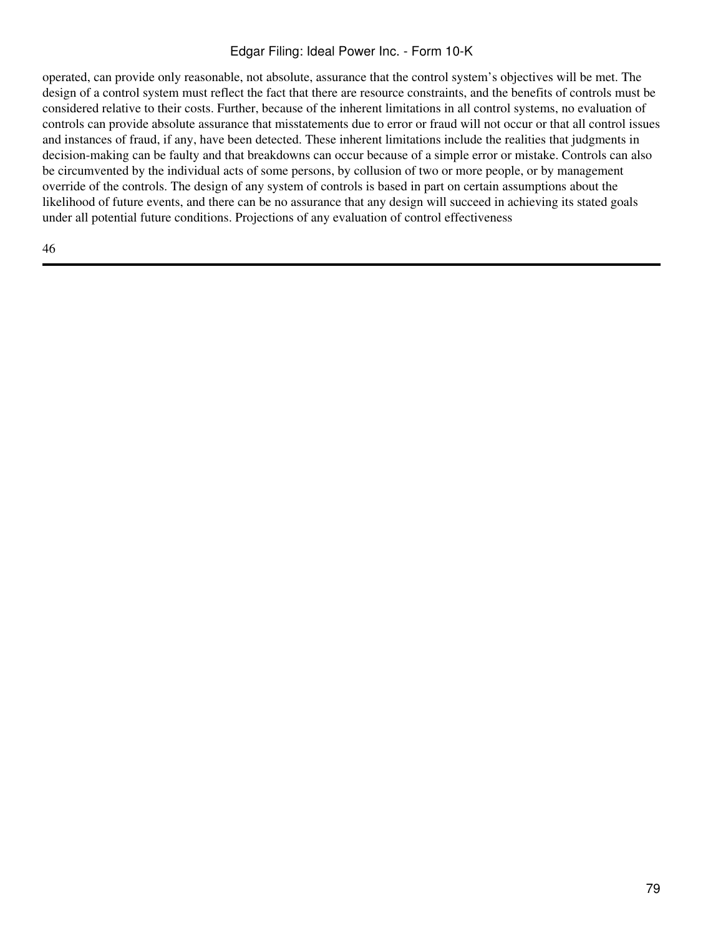# Edgar Filing: Ideal Power Inc. - Form 10-K

operated, can provide only reasonable, not absolute, assurance that the control system's objectives will be met. The design of a control system must reflect the fact that there are resource constraints, and the benefits of controls must be considered relative to their costs. Further, because of the inherent limitations in all control systems, no evaluation of controls can provide absolute assurance that misstatements due to error or fraud will not occur or that all control issues and instances of fraud, if any, have been detected. These inherent limitations include the realities that judgments in decision-making can be faulty and that breakdowns can occur because of a simple error or mistake. Controls can also be circumvented by the individual acts of some persons, by collusion of two or more people, or by management override of the controls. The design of any system of controls is based in part on certain assumptions about the likelihood of future events, and there can be no assurance that any design will succeed in achieving its stated goals under all potential future conditions. Projections of any evaluation of control effectiveness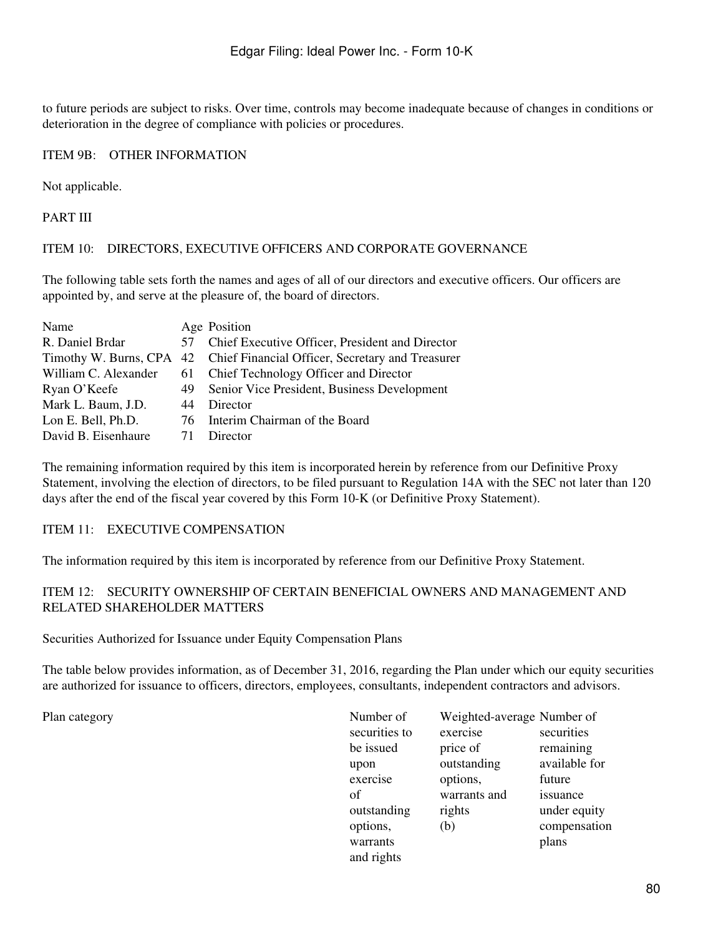to future periods are subject to risks. Over time, controls may become inadequate because of changes in conditions or deterioration in the degree of compliance with policies or procedures.

# ITEM 9B: OTHER INFORMATION

Not applicable.

PART III

#### ITEM 10: DIRECTORS, EXECUTIVE OFFICERS AND CORPORATE GOVERNANCE

The following table sets forth the names and ages of all of our directors and executive officers. Our officers are appointed by, and serve at the pleasure of, the board of directors.

| Name                 |    | Age Position                                                              |
|----------------------|----|---------------------------------------------------------------------------|
| R. Daniel Brdar      |    | 57 Chief Executive Officer, President and Director                        |
|                      |    | Timothy W. Burns, CPA 42 Chief Financial Officer, Secretary and Treasurer |
| William C. Alexander |    | 61 Chief Technology Officer and Director                                  |
| Ryan O'Keefe         |    | 49 Senior Vice President, Business Development                            |
| Mark L. Baum, J.D.   | 44 | Director                                                                  |
| Lon E. Bell, Ph.D.   |    | 76 Interim Chairman of the Board                                          |
| David B. Eisenhaure  | 71 | Director                                                                  |

The remaining information required by this item is incorporated herein by reference from our Definitive Proxy Statement, involving the election of directors, to be filed pursuant to Regulation 14A with the SEC not later than 120 days after the end of the fiscal year covered by this Form 10-K (or Definitive Proxy Statement).

## ITEM 11: EXECUTIVE COMPENSATION

The information required by this item is incorporated by reference from our Definitive Proxy Statement.

## ITEM 12: SECURITY OWNERSHIP OF CERTAIN BENEFICIAL OWNERS AND MANAGEMENT AND RELATED SHAREHOLDER MATTERS

Securities Authorized for Issuance under Equity Compensation Plans

The table below provides information, as of December 31, 2016, regarding the Plan under which our equity securities are authorized for issuance to officers, directors, employees, consultants, independent contractors and advisors.

Plan category

| Number of     | Weighted-average Number of |               |
|---------------|----------------------------|---------------|
| securities to | exercise                   | securities    |
| be issued     | price of                   | remaining     |
| upon          | outstanding                | available for |
| exercise      | options,                   | future        |
| of            | warrants and               | issuance      |
| outstanding   | rights                     | under equity  |
| options,      | (b)                        | compensation  |
| warrants      |                            | plans         |
| and rights    |                            |               |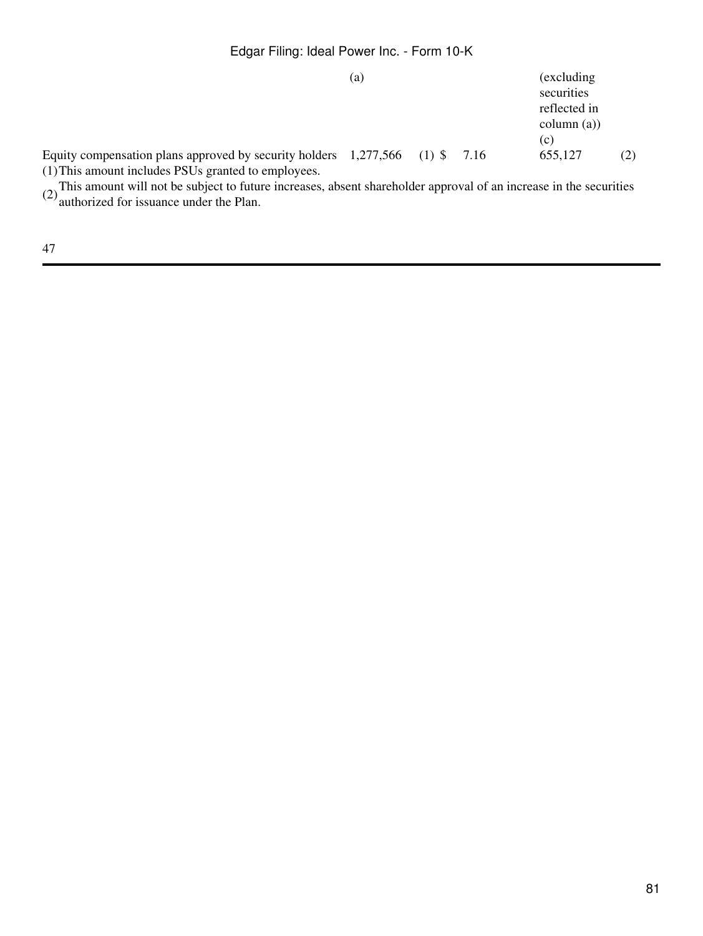# Edgar Filing: Ideal Power Inc. - Form 10-K

|                                                                                                                                      | (a) |  | (excluding)<br>securities<br>reflected in<br>$\text{column}(\text{a})$<br>(c) |     |
|--------------------------------------------------------------------------------------------------------------------------------------|-----|--|-------------------------------------------------------------------------------|-----|
| Equity compensation plans approved by security holders $1,277,566$ (1) \$7.16<br>(1) This amount includes PSUs granted to employees. |     |  | 655,127                                                                       | (2) |

(2)This amount will not be subject to future increases, absent shareholder approval of an increase in the securities authorized for issuance under the Plan.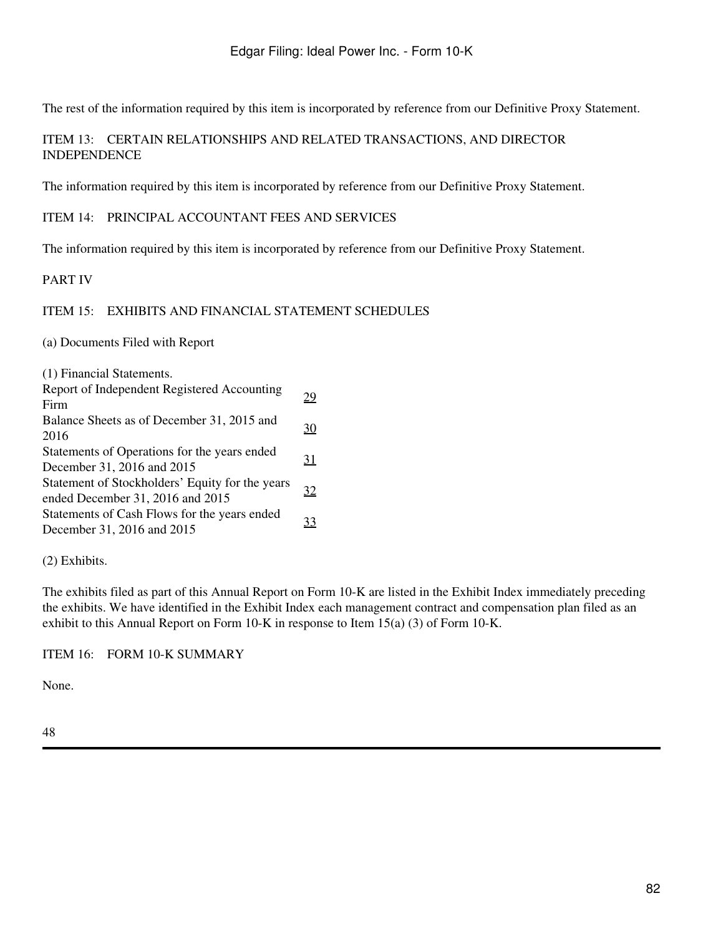The rest of the information required by this item is incorporated by reference from our Definitive Proxy Statement.

# ITEM 13: CERTAIN RELATIONSHIPS AND RELATED TRANSACTIONS, AND DIRECTOR INDEPENDENCE

The information required by this item is incorporated by reference from our Definitive Proxy Statement.

ITEM 14: PRINCIPAL ACCOUNTANT FEES AND SERVICES

The information required by this item is incorporated by reference from our Definitive Proxy Statement.

PART IV

#### ITEM 15: EXHIBITS AND FINANCIAL STATEMENT SCHEDULES

(a) Documents Filed with Report

| (1) Financial Statements.                   |
|---------------------------------------------|
| Report of Independent Registered Accounting |

| report of macpenaem registered recounting       | 29        |
|-------------------------------------------------|-----------|
| Firm                                            |           |
| Balance Sheets as of December 31, 2015 and      |           |
| 2016                                            | 30        |
| Statements of Operations for the years ended    |           |
| December 31, 2016 and 2015                      | <u>31</u> |
| Statement of Stockholders' Equity for the years | <u>32</u> |
| ended December 31, 2016 and 2015                |           |
| Statements of Cash Flows for the years ended    | 33        |
| December 31, 2016 and 2015                      |           |

(2) Exhibits.

The exhibits filed as part of this Annual Report on Form 10-K are listed in the Exhibit Index immediately preceding the exhibits. We have identified in the Exhibit Index each management contract and compensation plan filed as an exhibit to this Annual Report on Form 10-K in response to Item 15(a) (3) of Form 10-K.

#### ITEM 16: FORM 10-K SUMMARY

None.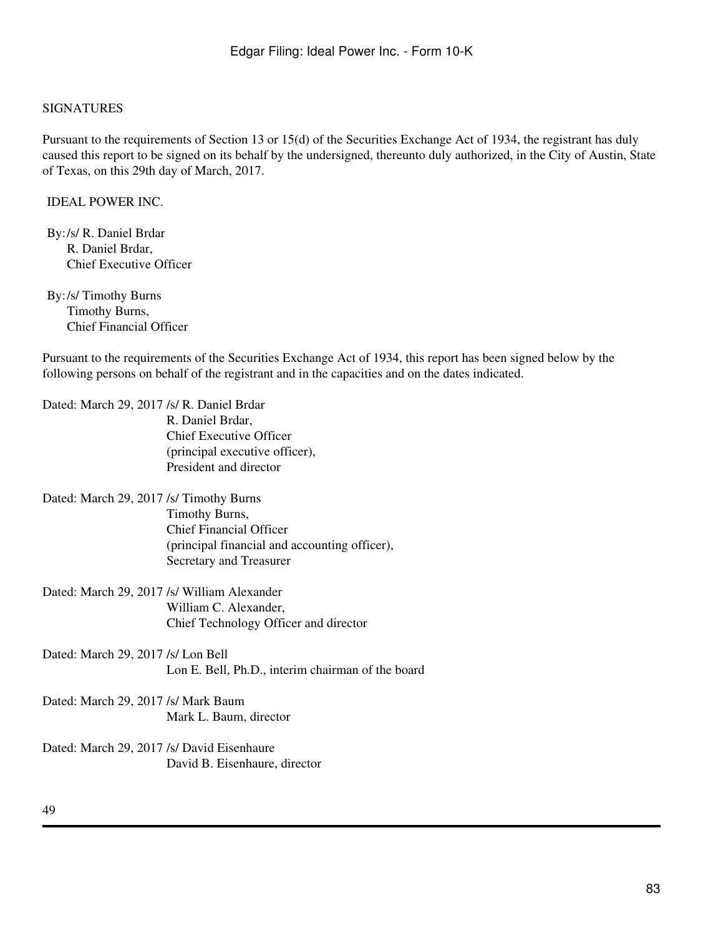#### SIGNATURES

Pursuant to the requirements of Section 13 or 15(d) of the Securities Exchange Act of 1934, the registrant has duly caused this report to be signed on its behalf by the undersigned, thereunto duly authorized, in the City of Austin, State of Texas, on this 29th day of March, 2017.

IDEAL POWER INC.

By:/s/ R. Daniel Brdar R. Daniel Brdar, Chief Executive Officer

By:/s/ Timothy Burns Timothy Burns, Chief Financial Officer

Pursuant to the requirements of the Securities Exchange Act of 1934, this report has been signed below by the following persons on behalf of the registrant and in the capacities and on the dates indicated.

Dated: March 29, 2017 /s/ R. Daniel Brdar R. Daniel Brdar, Chief Executive Officer (principal executive officer), President and director Dated: March 29, 2017 /s/ Timothy Burns Timothy Burns, Chief Financial Officer (principal financial and accounting officer), Secretary and Treasurer Dated: March 29, 2017 /s/ William Alexander William C. Alexander, Chief Technology Officer and director Dated: March 29, 2017 /s/ Lon Bell Lon E. Bell, Ph.D., interim chairman of the board Dated: March 29, 2017 /s/ Mark Baum Mark L. Baum, director

Dated: March 29, 2017 /s/ David Eisenhaure David B. Eisenhaure, director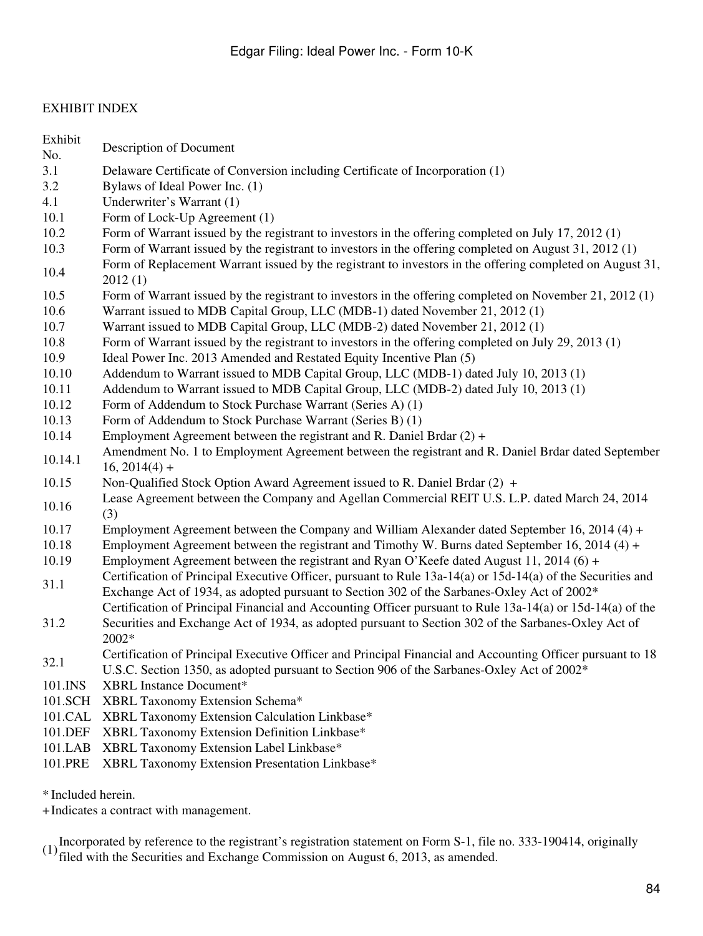## EXHIBIT INDEX

| Exhibit<br>No. | Description of Document                                                                                               |
|----------------|-----------------------------------------------------------------------------------------------------------------------|
| 3.1            | Delaware Certificate of Conversion including Certificate of Incorporation (1)                                         |
| 3.2            | Bylaws of Ideal Power Inc. (1)                                                                                        |
| 4.1            | Underwriter's Warrant (1)                                                                                             |
| 10.1           | Form of Lock-Up Agreement (1)                                                                                         |
| 10.2           | Form of Warrant issued by the registrant to investors in the offering completed on July 17, 2012 (1)                  |
| 10.3           | Form of Warrant issued by the registrant to investors in the offering completed on August 31, 2012 (1)                |
|                | Form of Replacement Warrant issued by the registrant to investors in the offering completed on August 31,             |
| 10.4           | 2012(1)                                                                                                               |
| 10.5           | Form of Warrant issued by the registrant to investors in the offering completed on November 21, 2012 (1)              |
| 10.6           | Warrant issued to MDB Capital Group, LLC (MDB-1) dated November 21, 2012 (1)                                          |
| 10.7           | Warrant issued to MDB Capital Group, LLC (MDB-2) dated November 21, 2012 (1)                                          |
| 10.8           | Form of Warrant issued by the registrant to investors in the offering completed on July 29, 2013 (1)                  |
| 10.9           | Ideal Power Inc. 2013 Amended and Restated Equity Incentive Plan (5)                                                  |
| 10.10          | Addendum to Warrant issued to MDB Capital Group, LLC (MDB-1) dated July 10, 2013 (1)                                  |
| 10.11          | Addendum to Warrant issued to MDB Capital Group, LLC (MDB-2) dated July 10, 2013 (1)                                  |
| 10.12          | Form of Addendum to Stock Purchase Warrant (Series A) (1)                                                             |
| 10.13          | Form of Addendum to Stock Purchase Warrant (Series B) (1)                                                             |
| 10.14          | Employment Agreement between the registrant and R. Daniel Brdar $(2) +$                                               |
| 10.14.1        | Amendment No. 1 to Employment Agreement between the registrant and R. Daniel Brdar dated September<br>$16, 2014(4) +$ |
| 10.15          | Non-Qualified Stock Option Award Agreement issued to R. Daniel Brdar (2) +                                            |
| 10.16          | Lease Agreement between the Company and Agellan Commercial REIT U.S. L.P. dated March 24, 2014<br>(3)                 |
| 10.17          | Employment Agreement between the Company and William Alexander dated September 16, 2014 (4) +                         |
| 10.18          | Employment Agreement between the registrant and Timothy W. Burns dated September 16, 2014 (4) +                       |
| 10.19          | Employment Agreement between the registrant and Ryan O'Keefe dated August 11, 2014 (6) +                              |
|                | Certification of Principal Executive Officer, pursuant to Rule 13a-14(a) or 15d-14(a) of the Securities and           |
| 31.1           | Exchange Act of 1934, as adopted pursuant to Section 302 of the Sarbanes-Oxley Act of 2002*                           |
|                | Certification of Principal Financial and Accounting Officer pursuant to Rule 13a-14(a) or 15d-14(a) of the            |
| 31.2           | Securities and Exchange Act of 1934, as adopted pursuant to Section 302 of the Sarbanes-Oxley Act of                  |
|                | 2002*                                                                                                                 |
|                | Certification of Principal Executive Officer and Principal Financial and Accounting Officer pursuant to 18            |
| 32.1           | U.S.C. Section 1350, as adopted pursuant to Section 906 of the Sarbanes-Oxley Act of $2002*$                          |
| 101.INS        | <b>XBRL Instance Document*</b>                                                                                        |
| 101.SCH        | XBRL Taxonomy Extension Schema*                                                                                       |
| 101.CAL        | XBRL Taxonomy Extension Calculation Linkbase*                                                                         |
| 101.DEF        | XBRL Taxonomy Extension Definition Linkbase*                                                                          |
| 101.LAB        | XBRL Taxonomy Extension Label Linkbase*                                                                               |
| 101.PRE        | XBRL Taxonomy Extension Presentation Linkbase*                                                                        |

\* Included herein.

+Indicates a contract with management.

(1)Incorporated by reference to the registrant's registration statement on Form S-1, file no. 333-190414, originally filed with the Securities and Exchange Commission on August 6, 2013, as amended.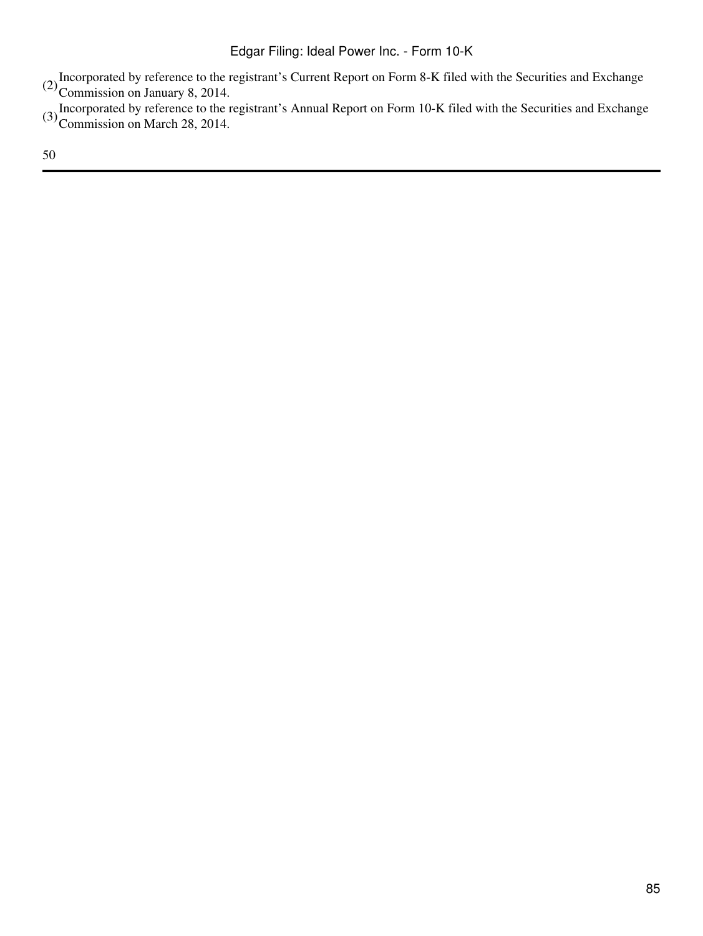- (2) Incorporated by reference to the registrant's Current Report on Form 8-K filed with the Securities and Exchange CO<br>Commission on January 8, 2014.
- (3) Incorporated by reference to the registrant's Annual Report on Form 10-K filed with the Securities and Exchange Commission on March 28, 2014.